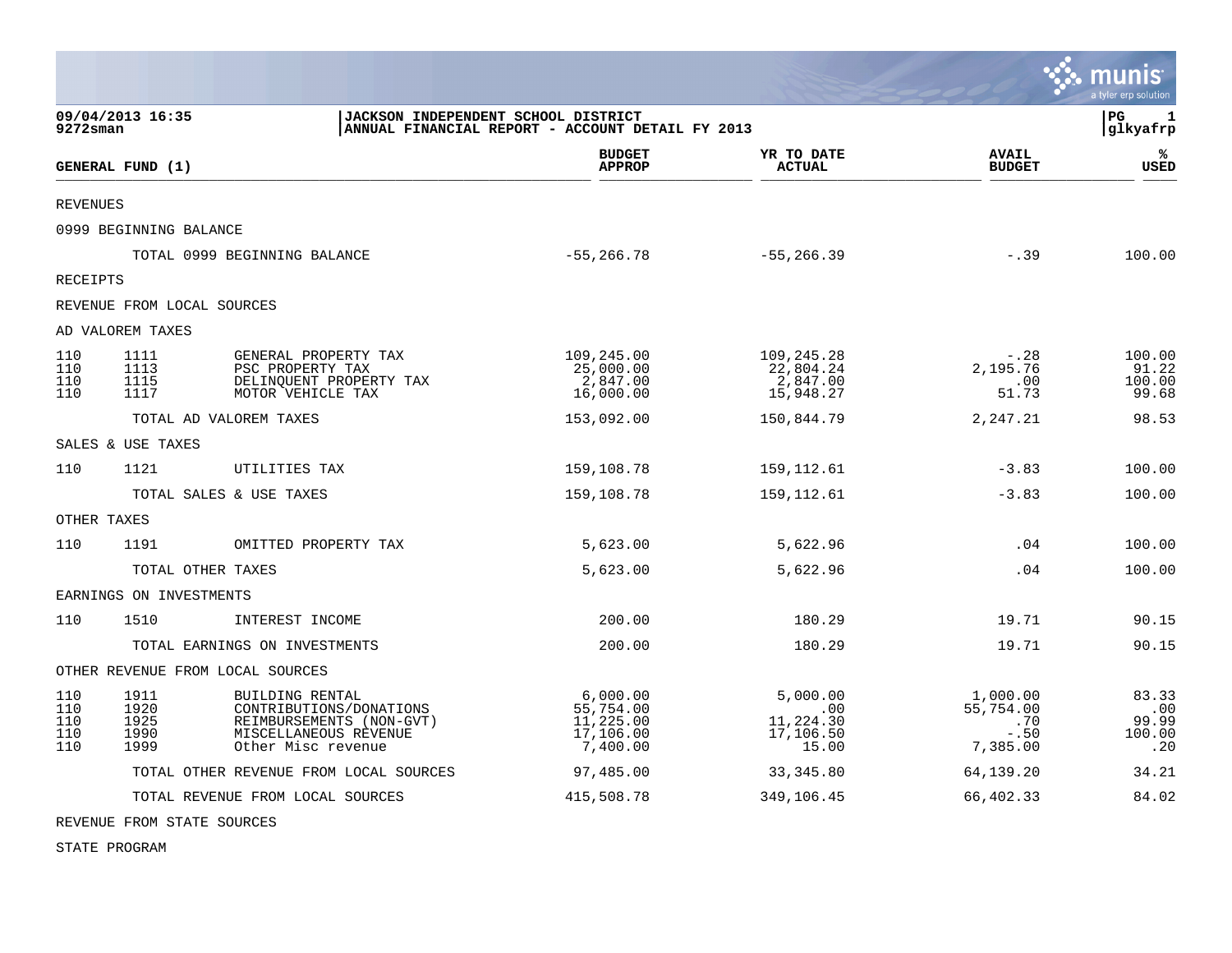|                                 |                                      |                                                                                                                       |                                                              |                                                    |                                                    | $\cdot$ munis<br>a tyler erp solution  |
|---------------------------------|--------------------------------------|-----------------------------------------------------------------------------------------------------------------------|--------------------------------------------------------------|----------------------------------------------------|----------------------------------------------------|----------------------------------------|
| 9272sman                        | 09/04/2013 16:35                     | JACKSON INDEPENDENT SCHOOL DISTRICT                                                                                   | ANNUAL FINANCIAL REPORT - ACCOUNT DETAIL FY 2013             |                                                    |                                                    | l PG.<br>1<br>glkyafrp                 |
|                                 | GENERAL FUND (1)                     |                                                                                                                       | <b>BUDGET</b><br><b>APPROP</b>                               | YR TO DATE<br><b>ACTUAL</b>                        | <b>AVAIL</b><br><b>BUDGET</b>                      | ℁<br><b>USED</b>                       |
| <b>REVENUES</b>                 |                                      |                                                                                                                       |                                                              |                                                    |                                                    |                                        |
|                                 | 0999 BEGINNING BALANCE               |                                                                                                                       |                                                              |                                                    |                                                    |                                        |
|                                 |                                      | TOTAL 0999 BEGINNING BALANCE                                                                                          | $-55, 266.78$                                                | $-55, 266.39$                                      | $-.39$                                             | 100.00                                 |
| RECEIPTS                        |                                      |                                                                                                                       |                                                              |                                                    |                                                    |                                        |
|                                 | REVENUE FROM LOCAL SOURCES           |                                                                                                                       |                                                              |                                                    |                                                    |                                        |
|                                 | AD VALOREM TAXES                     |                                                                                                                       |                                                              |                                                    |                                                    |                                        |
| 110<br>110<br>110<br>110        | 1111<br>1113<br>1115<br>1117         | GENERAL PROPERTY TAX<br>PSC PROPERTY TAX<br>DELINQUENT PROPERTY TAX<br>MOTOR VEHICLE TAX                              | 109,245.00<br>25,000.00<br>2,847.00<br>16,000.00             | 109,245.28<br>22,804.24<br>2,847.00<br>15,948.27   | $-.28$<br>2,195.76<br>.00<br>51.73                 | 100.00<br>91.22<br>100.00<br>99.68     |
|                                 |                                      | TOTAL AD VALOREM TAXES                                                                                                | 153,092.00                                                   | 150,844.79                                         | 2,247.21                                           | 98.53                                  |
|                                 | SALES & USE TAXES                    |                                                                                                                       |                                                              |                                                    |                                                    |                                        |
| 110                             | 1121                                 | UTILITIES TAX                                                                                                         | 159,108.78                                                   | 159,112.61                                         | $-3.83$                                            | 100.00                                 |
|                                 |                                      | TOTAL SALES & USE TAXES                                                                                               | 159,108.78                                                   | 159,112.61                                         | $-3.83$                                            | 100.00                                 |
| OTHER TAXES                     |                                      |                                                                                                                       |                                                              |                                                    |                                                    |                                        |
| 110                             | 1191                                 | OMITTED PROPERTY TAX                                                                                                  | 5,623.00                                                     | 5,622.96                                           | .04                                                | 100.00                                 |
|                                 | TOTAL OTHER TAXES                    |                                                                                                                       | 5,623.00                                                     | 5,622.96                                           | .04                                                | 100.00                                 |
|                                 | EARNINGS ON INVESTMENTS              |                                                                                                                       |                                                              |                                                    |                                                    |                                        |
| 110                             | 1510                                 | INTEREST INCOME                                                                                                       | 200.00                                                       | 180.29                                             | 19.71                                              | 90.15                                  |
|                                 |                                      | TOTAL EARNINGS ON INVESTMENTS                                                                                         | 200.00                                                       | 180.29                                             | 19.71                                              | 90.15                                  |
|                                 | OTHER REVENUE FROM LOCAL SOURCES     |                                                                                                                       |                                                              |                                                    |                                                    |                                        |
| 110<br>110<br>110<br>110<br>110 | 1911<br>1920<br>1925<br>1990<br>1999 | BUILDING RENTAL<br>CONTRIBUTIONS/DONATIONS<br>REIMBURSEMENTS (NON-GVT)<br>MISCELLANEOUS REVENUE<br>Other Misc revenue | 6,000.00<br>55,754.00<br>11, 225.00<br>17,106.00<br>7,400.00 | 5,000.00<br>.00<br>11,224.30<br>17,106.50<br>15.00 | 1,000.00<br>55,754.00<br>.70<br>$-.50$<br>7,385.00 | 83.33<br>.00<br>99.99<br>100.00<br>.20 |
|                                 |                                      | TOTAL OTHER REVENUE FROM LOCAL SOURCES                                                                                | 97,485.00                                                    | 33, 345.80                                         | 64,139.20                                          | 34.21                                  |
|                                 |                                      | TOTAL REVENUE FROM LOCAL SOURCES                                                                                      | 415,508.78                                                   | 349,106.45                                         | 66,402.33                                          | 84.02                                  |

 $\mathcal{L}$ 

REVENUE FROM STATE SOURCES

STATE PROGRAM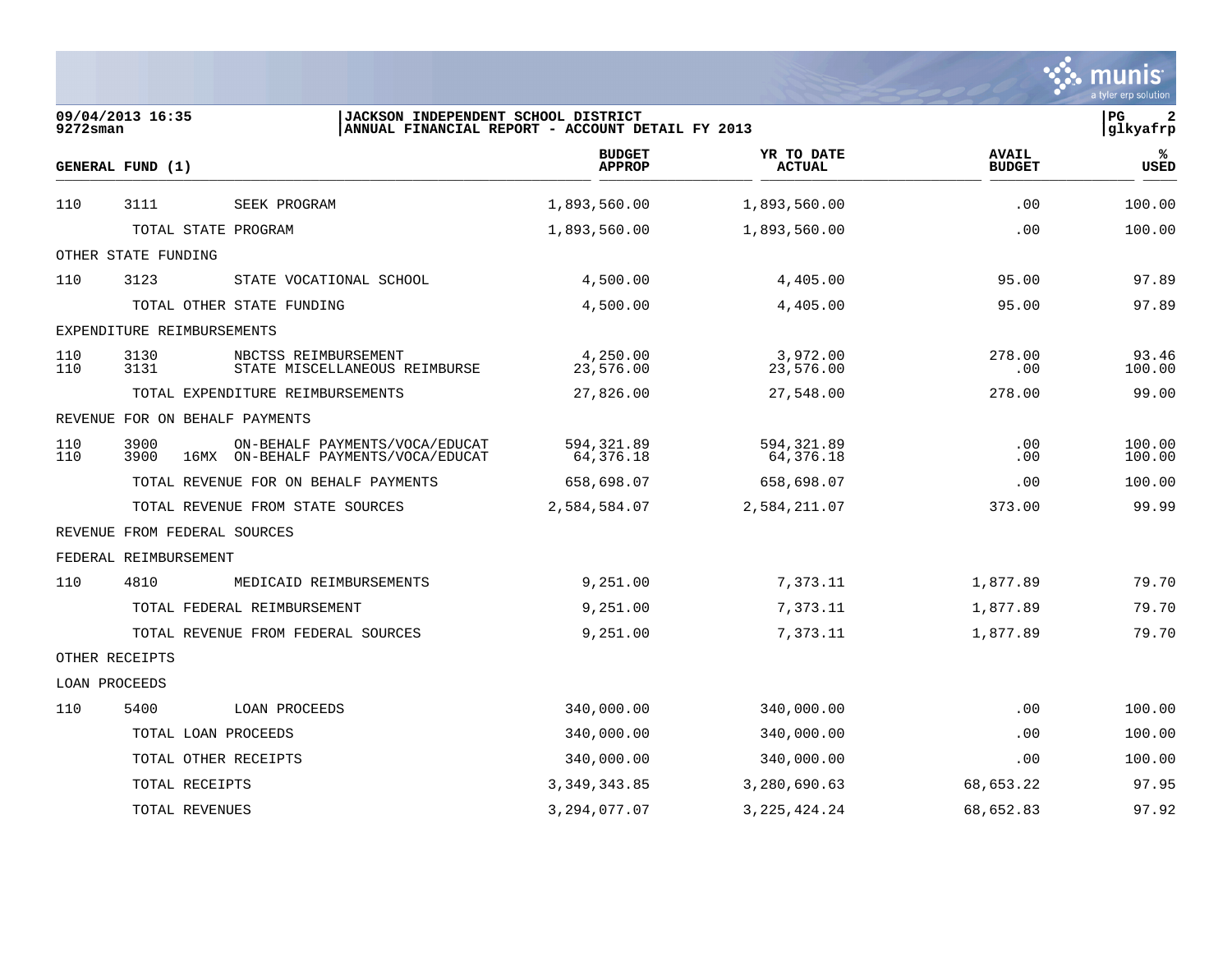|               |                                |                                                                       |                                                  |                             |                               | a tyler erp solution            |  |
|---------------|--------------------------------|-----------------------------------------------------------------------|--------------------------------------------------|-----------------------------|-------------------------------|---------------------------------|--|
| 9272sman      | 09/04/2013 16:35               | JACKSON INDEPENDENT SCHOOL DISTRICT                                   | ANNUAL FINANCIAL REPORT - ACCOUNT DETAIL FY 2013 |                             |                               | P <sub>G</sub><br>2<br>glkyafrp |  |
|               | GENERAL FUND (1)               |                                                                       | <b>BUDGET</b><br><b>APPROP</b>                   | YR TO DATE<br><b>ACTUAL</b> | <b>AVAIL</b><br><b>BUDGET</b> | ℁<br>USED                       |  |
| 110           | 3111                           | SEEK PROGRAM                                                          | 1,893,560.00                                     | 1,893,560.00                | .00                           | 100.00                          |  |
|               | TOTAL STATE PROGRAM            |                                                                       | 1,893,560.00                                     | 1,893,560.00                | .00                           | 100.00                          |  |
|               | OTHER STATE FUNDING            |                                                                       |                                                  |                             |                               |                                 |  |
| 110           | 3123                           | STATE VOCATIONAL SCHOOL                                               | 4,500.00                                         | 4,405.00                    | 95.00                         | 97.89                           |  |
|               |                                | TOTAL OTHER STATE FUNDING                                             | 4,500.00                                         | 4,405.00                    | 95.00                         | 97.89                           |  |
|               | EXPENDITURE REIMBURSEMENTS     |                                                                       |                                                  |                             |                               |                                 |  |
| 110<br>110    | 3130<br>3131                   | NBCTSS REIMBURSEMENT<br>STATE MISCELLANEOUS REIMBURSE                 | 4,250.00<br>23,576.00                            | 3,972.00<br>23,576.00       | 278.00<br>.00                 | 93.46<br>100.00                 |  |
|               |                                | TOTAL EXPENDITURE REIMBURSEMENTS                                      | 27,826.00                                        | 27,548.00                   | 278.00                        | 99.00                           |  |
|               | REVENUE FOR ON BEHALF PAYMENTS |                                                                       |                                                  |                             |                               |                                 |  |
| 110<br>110    | 3900<br>3900                   | ON-BEHALF PAYMENTS/VOCA/EDUCAT<br>16MX ON-BEHALF PAYMENTS/VOCA/EDUCAT | 594,321.89<br>64,376.18                          | 594,321.89<br>64,376.18     | .00<br>.00                    | 100.00<br>100.00                |  |
|               |                                | TOTAL REVENUE FOR ON BEHALF PAYMENTS                                  | 658,698.07                                       | 658,698.07                  | .00                           | 100.00                          |  |
|               |                                | TOTAL REVENUE FROM STATE SOURCES                                      | 2,584,584.07                                     | 2,584,211.07                | 373.00                        | 99.99                           |  |
|               | REVENUE FROM FEDERAL SOURCES   |                                                                       |                                                  |                             |                               |                                 |  |
|               | FEDERAL REIMBURSEMENT          |                                                                       |                                                  |                             |                               |                                 |  |
| 110           | 4810                           | MEDICAID REIMBURSEMENTS                                               | 9,251.00                                         | 7,373.11                    | 1,877.89                      | 79.70                           |  |
|               |                                | TOTAL FEDERAL REIMBURSEMENT                                           | 9,251.00                                         | 7,373.11                    | 1,877.89                      | 79.70                           |  |
|               |                                | TOTAL REVENUE FROM FEDERAL SOURCES                                    | 9,251.00                                         | 7,373.11                    | 1,877.89                      | 79.70                           |  |
|               | OTHER RECEIPTS                 |                                                                       |                                                  |                             |                               |                                 |  |
| LOAN PROCEEDS |                                |                                                                       |                                                  |                             |                               |                                 |  |
| 110           | 5400                           | LOAN PROCEEDS                                                         | 340,000.00                                       | 340,000.00                  | .00                           | 100.00                          |  |
|               | TOTAL LOAN PROCEEDS            |                                                                       | 340,000.00                                       | 340,000.00                  | .00                           | 100.00                          |  |
|               | TOTAL OTHER RECEIPTS           |                                                                       | 340,000.00                                       | 340,000.00                  | .00                           | 100.00                          |  |
|               | TOTAL RECEIPTS                 |                                                                       | 3, 349, 343.85                                   | 3,280,690.63                | 68,653.22                     | 97.95                           |  |
|               | TOTAL REVENUES                 |                                                                       | 3, 294, 077.07                                   | 3, 225, 424. 24             | 68,652.83                     | 97.92                           |  |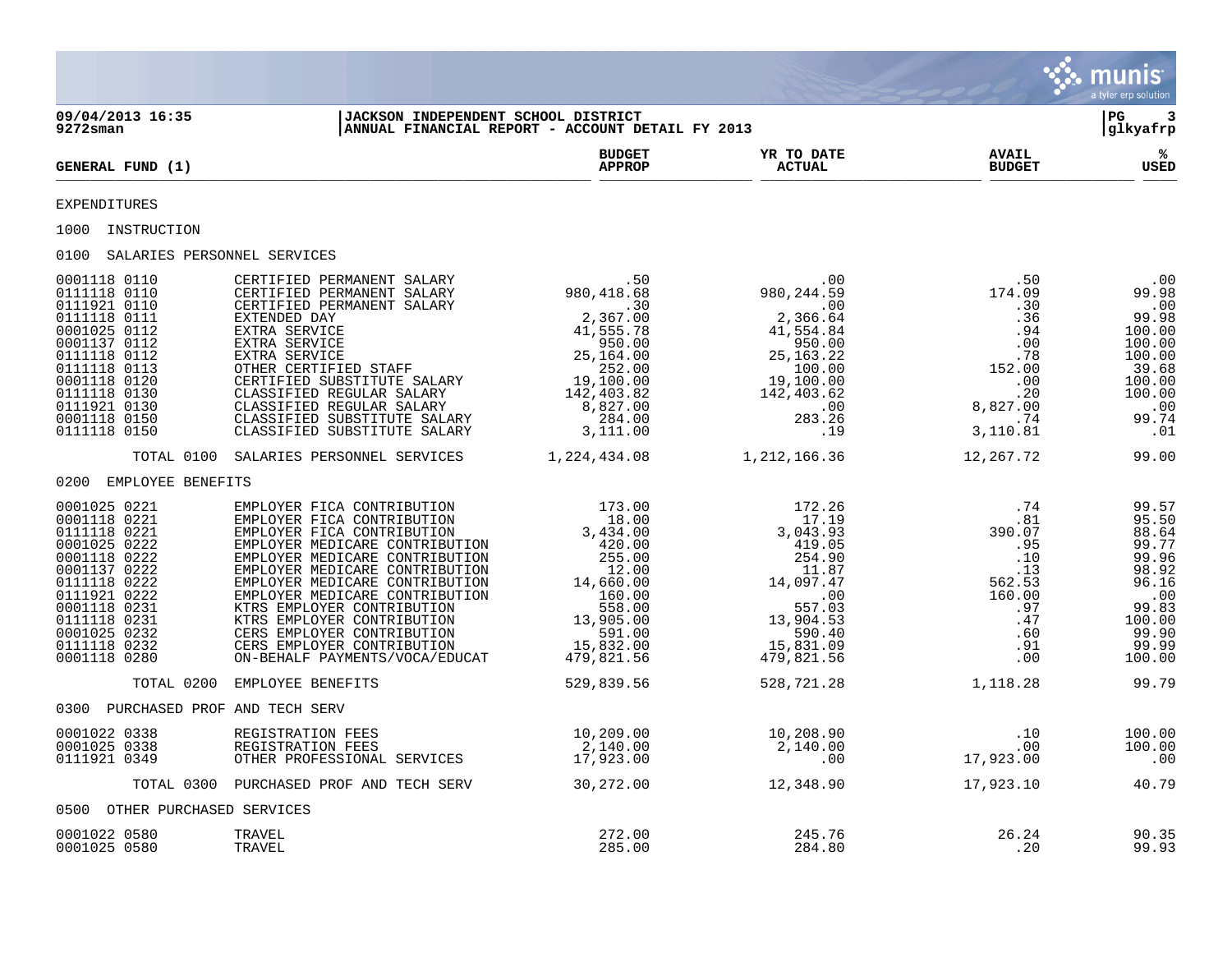|                                                                                                                                                                                                              |                                                                                                                                                                                                                                                                                                                                                                                                                                                                                                                                                                                                                                                    |                                                  |                                 |                                                                                                                                                                | munis<br>a tyler erp solution                                                                                              |
|--------------------------------------------------------------------------------------------------------------------------------------------------------------------------------------------------------------|----------------------------------------------------------------------------------------------------------------------------------------------------------------------------------------------------------------------------------------------------------------------------------------------------------------------------------------------------------------------------------------------------------------------------------------------------------------------------------------------------------------------------------------------------------------------------------------------------------------------------------------------------|--------------------------------------------------|---------------------------------|----------------------------------------------------------------------------------------------------------------------------------------------------------------|----------------------------------------------------------------------------------------------------------------------------|
| 09/04/2013 16:35<br>$9272$ sman                                                                                                                                                                              | JACKSON INDEPENDENT SCHOOL DISTRICT                                                                                                                                                                                                                                                                                                                                                                                                                                                                                                                                                                                                                | ANNUAL FINANCIAL REPORT - ACCOUNT DETAIL FY 2013 |                                 |                                                                                                                                                                | l PG-<br>3<br> glkyafrp                                                                                                    |
| GENERAL FUND (1)                                                                                                                                                                                             |                                                                                                                                                                                                                                                                                                                                                                                                                                                                                                                                                                                                                                                    | <b>BUDGET</b><br><b>APPROP</b>                   | YR TO DATE<br><b>ACTUAL</b>     | <b>AVAIL</b><br><b>BUDGET</b>                                                                                                                                  | %<br>USED                                                                                                                  |
| EXPENDITURES                                                                                                                                                                                                 |                                                                                                                                                                                                                                                                                                                                                                                                                                                                                                                                                                                                                                                    |                                                  |                                 |                                                                                                                                                                |                                                                                                                            |
| 1000 INSTRUCTION                                                                                                                                                                                             |                                                                                                                                                                                                                                                                                                                                                                                                                                                                                                                                                                                                                                                    |                                                  |                                 |                                                                                                                                                                |                                                                                                                            |
| 0100 SALARIES PERSONNEL SERVICES                                                                                                                                                                             |                                                                                                                                                                                                                                                                                                                                                                                                                                                                                                                                                                                                                                                    |                                                  |                                 |                                                                                                                                                                |                                                                                                                            |
| 0001118 0110<br>0111118 0110<br>0111921 0110<br>0111118 0111<br>0001025 0112<br>0001137 0112<br>0111118 0112<br>0111118 0113<br>0001118 0120<br>0111118 0130<br>0111921 0130<br>0001118 0150<br>0111118 0150 | $\begin{tabular}{l c c c c} \multicolumn{1}{c }{\texttt{CERTIFIED PERMANENT SALARY}} & .50 & .00 \\ \multicolumn{1}{c }{\texttt{CERTIFIED PERMANENT SALARY}} & .50 & 980, 244.59 \\ \multicolumn{1}{c }{\texttt{CERTIFIED PERMANENT SALARY}} & .30 & .00 \\ \multicolumn{1}{c }{\texttt{EXTRA SERVICE}} & .2,367.00 & 2,366.4 \\ \multicolumn{1}{c }{\texttt{EXTRA SERVICE}} & 41,555.78 & 41,554.84 \\ \multicolumn{1}{c }{\$<br>CERTIFIED PERMANENT SALARY<br>CERTIFIED PERMANENT SALARY<br>CERTIFIED PERMANENT SALARY<br>EXTENDED DAY<br>EXTRA SERVICE<br>EXTRA SERVICE<br>CTRA SERVICE<br>OTHER CERTIFIED STAFF<br>CERTIFIED SUBSTITUTE SALARY |                                                  |                                 | $.50$<br>174.09<br>.30<br>$\begin{array}{r} .30 \\ .36 \\ .94 \\ .00 \\ .00 \\ 152.00 \\ .00 \\ .20 \\ .20 \\ .3,827.00 \\ .74 \\ 3,110.81 \end{array}$<br>.00 | .00<br>99.98<br>$\cdot$ 00<br>99.98<br>100.00<br>100.00<br>100.00<br>39.68<br>100.00<br>100.00<br>$\,$ .00<br>99.74<br>.01 |
|                                                                                                                                                                                                              | TOTAL 0100 SALARIES PERSONNEL SERVICES 1,224,434.08 1,212,166.36                                                                                                                                                                                                                                                                                                                                                                                                                                                                                                                                                                                   |                                                  |                                 | 12,267.72                                                                                                                                                      | 99.00                                                                                                                      |
| 0200 EMPLOYEE BENEFITS                                                                                                                                                                                       |                                                                                                                                                                                                                                                                                                                                                                                                                                                                                                                                                                                                                                                    |                                                  |                                 |                                                                                                                                                                |                                                                                                                            |
| 0001025 0221<br>0001118 0221<br>0111118 0221<br>0001025 0222<br>0001118 0222<br>0001137 0222<br>0111118 0222<br>0111921 0222<br>0001118 0231<br>0111118 0231<br>0001025 0232<br>0111118 0232<br>0001118 0280 | $\begin{tabular}{l c c c} \multicolumn{1}{c}{EMPLOVER} & FICA CONTREBUTION & 173.00 & 172.26 \\ \multicolumn{1}{c}{EMPLOVER} & FICA CONTREUTON & 18.00 & 17.19 \\ \multicolumn{1}{c}{EMPLOVER} & FICA CONTREUTON & 3,434.00 & 3,043.93 \\ \multicolumn{1}{c}{EMPLOVER} & MEDICARE CONTREUTON & 420.00 & 254.90 \\ \multicolumn{1}{c}{EMPLOVER} & MEDICARE CONTREUTON & 12.00 & 17.19 \\ \multicolumn{1}{c}{EMPLO$                                                                                                                                                                                                                                  |                                                  |                                 | .74<br>$74$<br>$81$<br>$390.07$<br>$95$<br>$10$<br>$11$<br>$13$<br>$562.53$<br>$160.00$<br>$97$<br>$47$<br>$60$<br>$91$<br>$00$                                | 99.57<br>95.50<br>88.64<br>99.77<br>99.96<br>98.92<br>96.16<br>$\cdot$ 00<br>99.83<br>100.00<br>99.90<br>99.99<br>100.00   |
| TOTAL 0200                                                                                                                                                                                                   | EMPLOYEE BENEFITS                                                                                                                                                                                                                                                                                                                                                                                                                                                                                                                                                                                                                                  | 529,839.56                                       | 528,721.28                      | 1,118.28                                                                                                                                                       | 99.79                                                                                                                      |
| 0300 PURCHASED PROF AND TECH SERV                                                                                                                                                                            |                                                                                                                                                                                                                                                                                                                                                                                                                                                                                                                                                                                                                                                    |                                                  |                                 |                                                                                                                                                                |                                                                                                                            |
| 0001022 0338<br>0001025 0338<br>0111921 0349                                                                                                                                                                 | REGISTRATION FEES<br>REGISTRATION FEES<br>OTHER PROFESSIONAL SERVICES                                                                                                                                                                                                                                                                                                                                                                                                                                                                                                                                                                              | 10,209.00<br>2,140.00<br>ERVICES 17,923.00       | $10, 208.90$<br>2,140.00<br>.00 | 10.<br>00.<br>17,923.00<br>.10<br>.00                                                                                                                          | 100.00<br>100.00<br>$\overline{\phantom{0}}$ .00                                                                           |
|                                                                                                                                                                                                              | TOTAL 0300 PURCHASED PROF AND TECH SERV                                                                                                                                                                                                                                                                                                                                                                                                                                                                                                                                                                                                            |                                                  | 30,272.00 12,348.90             | 17,923.10                                                                                                                                                      | 40.79                                                                                                                      |
| 0500 OTHER PURCHASED SERVICES                                                                                                                                                                                |                                                                                                                                                                                                                                                                                                                                                                                                                                                                                                                                                                                                                                                    |                                                  |                                 |                                                                                                                                                                |                                                                                                                            |
| 0001022 0580<br>0001025 0580                                                                                                                                                                                 | TRAVEL<br>TRAVEL                                                                                                                                                                                                                                                                                                                                                                                                                                                                                                                                                                                                                                   | 272.00<br>285.00                                 | 245.76<br>284.80                | 26.24<br>.20                                                                                                                                                   | 90.35<br>99.93                                                                                                             |

 $\mathcal{L}$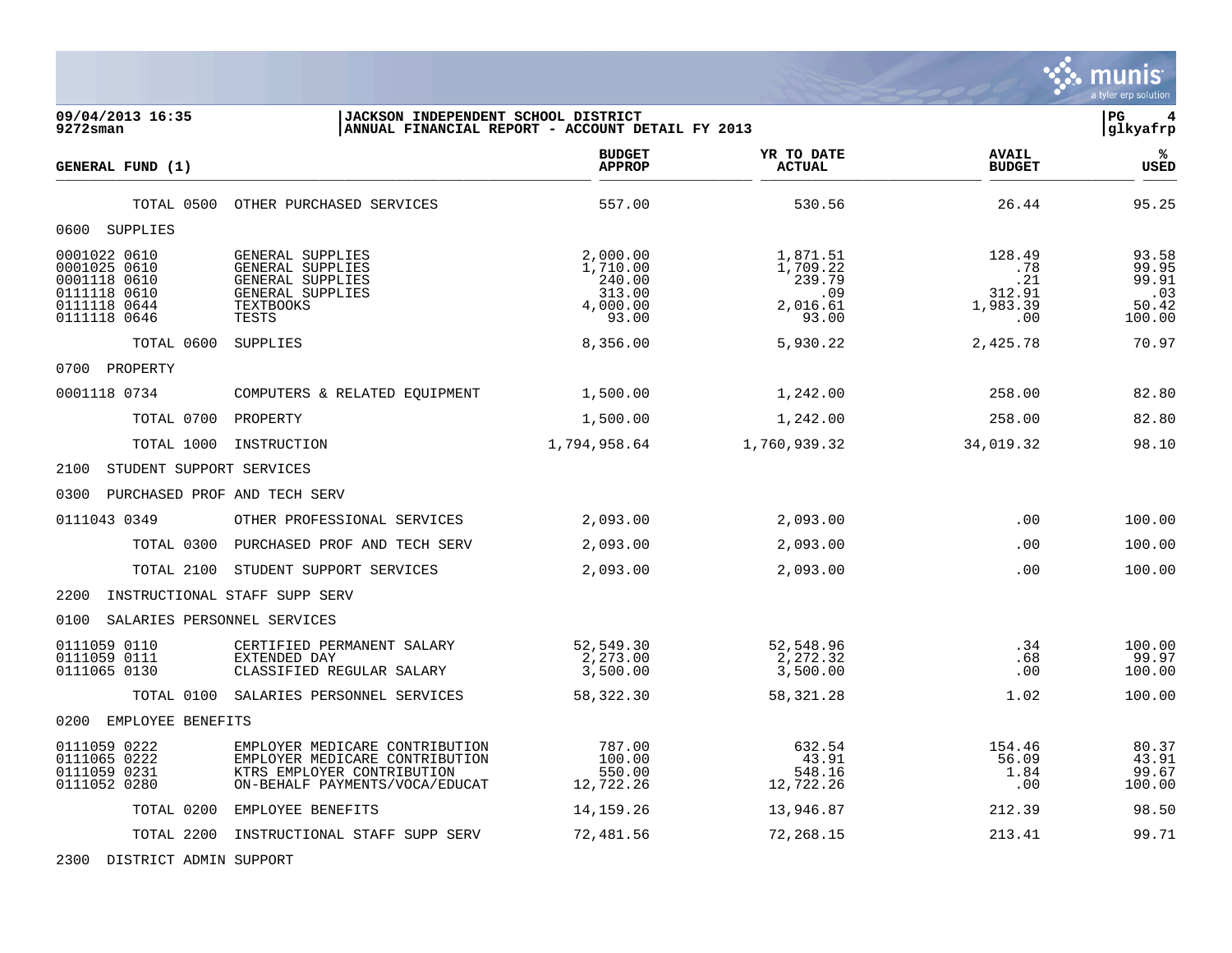a tyler erp solution **09/04/2013 16:35 |JACKSON INDEPENDENT SCHOOL DISTRICT |PG 4** ANNUAL FINANCIAL REPORT - ACCOUNT DETAIL FY 2013 **BUDGET YR TO DATE AVAIL % GENERAL FUND (1) APPROP ACTUAL BUDGET USED**  $\frac{A_{\text{H}^{\text{F}}\text{N}}}{A_{\text{H}}\text{N}}$   $\frac{A_{\text{H}}\text{N}}{A_{\text{H}}\text{N}}$   $\frac{A_{\text{H}}\text{N}}{A_{\text{H}}\text{N}}$   $\frac{A_{\text{H}}\text{N}}{A_{\text{H}}\text{N}}$   $\frac{B_{\text{H}}\text{N}}{B_{\text{H}}\text{N}}$  TOTAL 0500 OTHER PURCHASED SERVICES 557.00 530.56 26.44 95.25 0600 SUPPLIES 0001022 0610 GENERAL SUPPLIES 2,000.00 1,871.51 128.49 93.58 0001025 0610 GENERAL SUPPLIES 1,710.00 1,709.22 .78 99.95 0001118 0610 GENERAL SUPPLIES 240.00 239.79 .21 99.91 0111118 0610 GENERAL SUPPLIES 313.00 .09 312.91 .03 0111118 0644 TEXTBOOKS 4,000.00 2,016.61 1,983.39 50.42 0111118 0646 TESTS 93.00 93.00 .00 100.00 TOTAL 0600 SUPPLIES 8,356.00 5,930.22 2,425.78 70.97 0700 PROPERTY 0001118 0734 COMPUTERS & RELATED EQUIPMENT 1,500.00 1,242.00 258.00 82.80 TOTAL 0700 PROPERTY 1,500.00 1,242.00 258.00 82.80 TOTAL 1000 INSTRUCTION 1,794,958.64 1,760,939.32 34,019.32 98.10 2100 STUDENT SUPPORT SERVICES 0300 PURCHASED PROF AND TECH SERV 0111043 0349 OTHER PROFESSIONAL SERVICES 2,093.00 2,093.00 2,093.00 .00 100.00 TOTAL 0300 PURCHASED PROF AND TECH SERV  $2,093.00$   $2,093.00$   $2,093.00$   $100.00$ TOTAL 2100 STUDENT SUPPORT SERVICES  $2,093.00$   $2,093.00$   $2,093.00$   $100.00$ 2200 INSTRUCTIONAL STAFF SUPP SERV 0100 SALARIES PERSONNEL SERVICES 0111059 0110 CERTIFIED PERMANENT SALARY 52,549.30 52,548.96 .34 100.00 0111059 0111 EXTENDED DAY 2,273.00 2,272.32 .68 99.97 0111065 0130 CLASSIFIED REGULAR SALARY 3,500.00 3,500.00 3,500.00 00 00 00 100.00 TOTAL 0100 SALARIES PERSONNEL SERVICES 58,322.30 58,321.28 1.02 100.00 0200 EMPLOYEE BENEFITS 0111059 0222 EMPLOYER MEDICARE CONTRIBUTION 787.00 632.54 154.46 80.37 0111065 0222 EMPLOYER MEDICARE CONTRIBUTION 100.00 43.91 56.09 43.91 0111059 0231 KTRS EMPLOYER CONTRIBUTION 550.00 548.16 1.84 99.67 ON-BEHALF PAYMENTS/VOCA/EDUCAT

. munis

 TOTAL 0200 EMPLOYEE BENEFITS 14,159.26 13,946.87 212.39 98.50 TOTAL 2200 INSTRUCTIONAL STAFF SUPP SERV 72,481.56 72,268.15 213.41 99.71

2300 DISTRICT ADMIN SUPPORT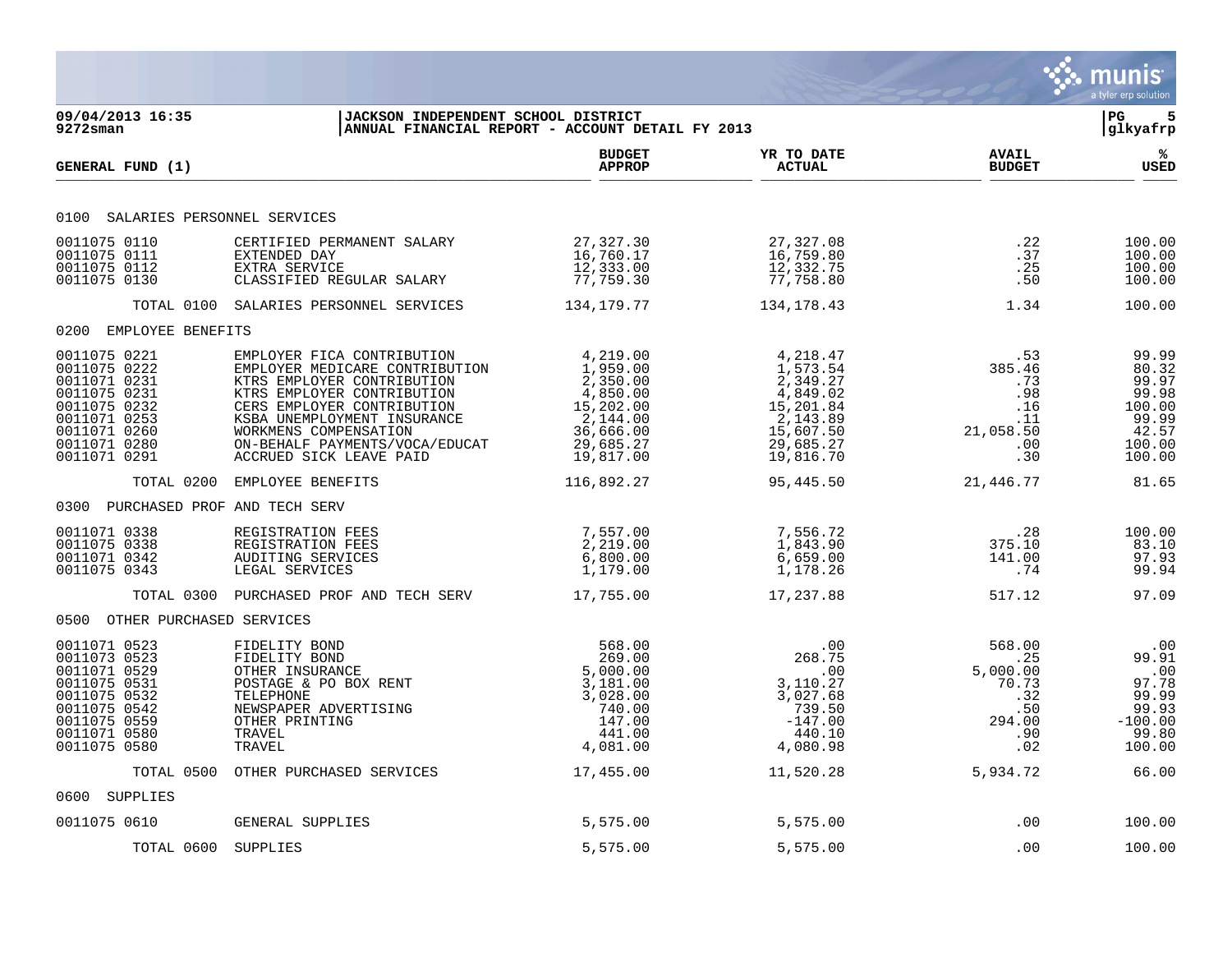|                                                                                                                                              |                                                                                                                                                                                                                                                                             |                                                                                                                                                          |                                                                                                              |                                                                                                    | munis<br>a tyler erp solution                                                    |
|----------------------------------------------------------------------------------------------------------------------------------------------|-----------------------------------------------------------------------------------------------------------------------------------------------------------------------------------------------------------------------------------------------------------------------------|----------------------------------------------------------------------------------------------------------------------------------------------------------|--------------------------------------------------------------------------------------------------------------|----------------------------------------------------------------------------------------------------|----------------------------------------------------------------------------------|
| 09/04/2013 16:35<br>$9272$ sman                                                                                                              | <b>JACKSON INDEPENDENT SCHOOL DISTRICT</b>                                                                                                                                                                                                                                  | ANNUAL FINANCIAL REPORT - ACCOUNT DETAIL FY 2013                                                                                                         |                                                                                                              |                                                                                                    | l PG.<br> glkyafrp                                                               |
| GENERAL FUND (1)                                                                                                                             |                                                                                                                                                                                                                                                                             | <b>BUDGET</b><br><b>APPROP</b>                                                                                                                           | YR TO DATE<br><b>ACTUAL</b>                                                                                  | <b>AVAIL</b><br><b>BUDGET</b>                                                                      | ℁<br><b>USED</b>                                                                 |
| 0100 SALARIES PERSONNEL SERVICES                                                                                                             |                                                                                                                                                                                                                                                                             |                                                                                                                                                          |                                                                                                              |                                                                                                    |                                                                                  |
| 0011075 0110<br>0011075 0111<br>0011075 0112<br>0011075 0130                                                                                 | CERTIFIED PERMANENT SALARY<br>EXTENDED DAY<br>EXTRA SERVICE<br>CLASSIFIED REGULAR SALARY                                                                                                                                                                                    | 27,327.30<br>16,760.17<br>12,333.00<br>77,759.30                                                                                                         | 27,327.08<br>16,759.80<br>12,332.75<br>77,758.80                                                             | .22<br>.37<br>.25<br>.50                                                                           | 100.00<br>100.00<br>100.00<br>100.00                                             |
|                                                                                                                                              | TOTAL 0100 SALARIES PERSONNEL SERVICES                                                                                                                                                                                                                                      | 134,179.77                                                                                                                                               | 134,178.43                                                                                                   | 1.34                                                                                               | 100.00                                                                           |
| 0200 EMPLOYEE BENEFITS                                                                                                                       |                                                                                                                                                                                                                                                                             |                                                                                                                                                          |                                                                                                              |                                                                                                    |                                                                                  |
| 0011075 0221<br>0011075 0222<br>0011071 0231<br>0011075 0231<br>0011075 0232<br>0011071 0253<br>0011071 0260<br>0011071 0280<br>0011071 0291 | EMPLOYER FICA CONTRIBUTION<br>EMPLOYER MEDICARE CONTRIBUTION<br>KTRS EMPLOYER CONTRIBUTION<br>KTRS EMPLOYER CONTRIBUTION<br>CERS EMPLOYER CONTRIBUTION<br>KSBA UNEMPLOYMENT INSURANCE<br>WORKMENS COMPENSATION<br>ON-BEHALF PAYMENTS/VOCA/EDUCAT<br>ACCRUED SICK LEAVE PAID | $4, 219.00$<br>$1, 959.00$<br>$2, 350.00$<br>$4, 850.00$<br>$15, 202.00$<br>$2, 144.00$<br>36,666.00<br>36,666.00<br>29,685.27<br>10,017.00<br>19,817.00 | 4,218.47<br>1,573.54<br>2,349.27<br>4,849.02<br>15,201.84<br>2,143.89<br>15,607.50<br>29,685.27<br>19,816.70 | .53<br>385.46<br>.73<br>.98<br>.16<br>.11<br>21,058.50<br>.00<br>.30                               | 99.99<br>80.32<br>99.97<br>99.98<br>100.00<br>99.99<br>42.57<br>100.00<br>100.00 |
| TOTAL 0200                                                                                                                                   | EMPLOYEE BENEFITS                                                                                                                                                                                                                                                           | 116,892.27                                                                                                                                               | 95,445.50                                                                                                    | 21,446.77                                                                                          | 81.65                                                                            |
| 0300 PURCHASED PROF AND TECH SERV                                                                                                            |                                                                                                                                                                                                                                                                             |                                                                                                                                                          |                                                                                                              |                                                                                                    |                                                                                  |
| 0011071 0338<br>0011075 0338<br>0011071 0342<br>0011075 0343                                                                                 | REGISTRATION FEES<br>REGISTRATION FEES<br>AUDITING SERVICES<br>LEGAL SERVICES                                                                                                                                                                                               | 7,557.00<br>2,219.00<br>6,800.00<br>1,179.00                                                                                                             | 7,556.72<br>1,843.90<br>6,659.00<br>1,178.26                                                                 | .28<br>375.10<br>141.00<br>.74                                                                     | 100.00<br>83.10<br>97.93<br>99.94                                                |
|                                                                                                                                              | TOTAL 0300 PURCHASED PROF AND TECH SERV 17,755.00                                                                                                                                                                                                                           |                                                                                                                                                          | 17,237.88                                                                                                    | 517.12                                                                                             | 97.09                                                                            |
| 0500 OTHER PURCHASED SERVICES                                                                                                                |                                                                                                                                                                                                                                                                             |                                                                                                                                                          |                                                                                                              |                                                                                                    |                                                                                  |
| 0011071 0523<br>0011073 0523<br>0011071 0529<br>0011075 0531<br>0011075 0532<br>0011075 0542<br>0011075 0559<br>0011071 0580<br>0011075 0580 | FIDELITY BOND<br>FIDELITY BOND<br>OTHER INSURANCE<br>POSTAGE & PO BOX RENT<br>TELEPHONE<br>NEWSPAPER ADVERTISING<br>OTHER PRINTING<br>TRAVEL<br>TRAVEL                                                                                                                      | 568.00<br>269.00<br>5,000.00<br>3,181.00<br>3,028.00<br>740.00<br>147.00<br>441.00<br>4,081.00                                                           | .00<br>268.75<br>.00<br>3,110.27<br>3,027.68<br>739.50<br>$-147.00$<br>440.10<br>4,080.98                    | 568.00<br>$\overline{\phantom{0}}$ . 25<br>5,000.00<br>70.73<br>.32<br>.50<br>294.00<br>.90<br>.02 | .00<br>99.91<br>.00<br>97.78<br>99.99<br>99.93<br>$-100.00$<br>99.80<br>100.00   |
|                                                                                                                                              | TOTAL 0500 OTHER PURCHASED SERVICES                                                                                                                                                                                                                                         | 17,455.00                                                                                                                                                | 11,520.28                                                                                                    | 5,934.72                                                                                           | 66.00                                                                            |
| 0600 SUPPLIES                                                                                                                                |                                                                                                                                                                                                                                                                             |                                                                                                                                                          |                                                                                                              |                                                                                                    |                                                                                  |
| 0011075 0610                                                                                                                                 | GENERAL SUPPLIES                                                                                                                                                                                                                                                            | 5,575.00                                                                                                                                                 | 5,575.00                                                                                                     | .00                                                                                                | 100.00                                                                           |
| TOTAL 0600 SUPPLIES                                                                                                                          |                                                                                                                                                                                                                                                                             | 5,575.00                                                                                                                                                 | 5,575.00                                                                                                     | .00                                                                                                | 100.00                                                                           |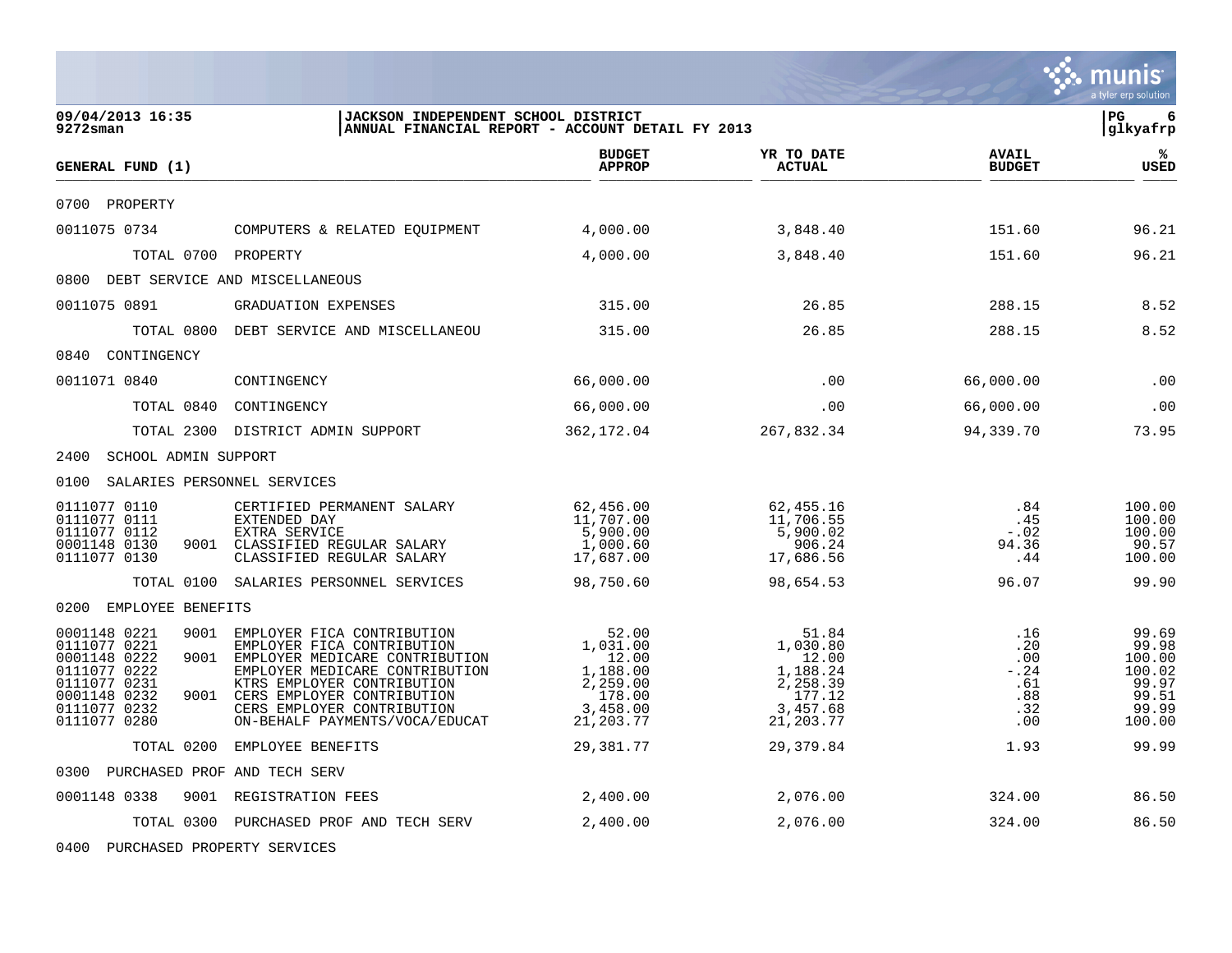|                                                                                                                                              |                                                                                                                                                                                                                                                               |                                                                                       |                                                                                       |                                                                 | a tyler erp solution                                                    |
|----------------------------------------------------------------------------------------------------------------------------------------------|---------------------------------------------------------------------------------------------------------------------------------------------------------------------------------------------------------------------------------------------------------------|---------------------------------------------------------------------------------------|---------------------------------------------------------------------------------------|-----------------------------------------------------------------|-------------------------------------------------------------------------|
| 09/04/2013 16:35<br>$9272$ sman                                                                                                              | JACKSON INDEPENDENT SCHOOL DISTRICT                                                                                                                                                                                                                           | ANNUAL FINANCIAL REPORT - ACCOUNT DETAIL FY 2013                                      |                                                                                       |                                                                 | l PG.<br>6<br>glkyafrp                                                  |
| GENERAL FUND (1)                                                                                                                             |                                                                                                                                                                                                                                                               | <b>BUDGET</b><br><b>APPROP</b>                                                        | YR TO DATE<br><b>ACTUAL</b>                                                           | <b>AVAIL</b><br><b>BUDGET</b>                                   | %<br>USED                                                               |
| 0700 PROPERTY                                                                                                                                |                                                                                                                                                                                                                                                               |                                                                                       |                                                                                       |                                                                 |                                                                         |
| 0011075 0734                                                                                                                                 | COMPUTERS & RELATED EQUIPMENT                                                                                                                                                                                                                                 | 4,000.00                                                                              | 3,848.40                                                                              | 151.60                                                          | 96.21                                                                   |
| TOTAL 0700 PROPERTY                                                                                                                          |                                                                                                                                                                                                                                                               | 4,000.00                                                                              | 3,848.40                                                                              | 151.60                                                          | 96.21                                                                   |
| 0800 DEBT SERVICE AND MISCELLANEOUS                                                                                                          |                                                                                                                                                                                                                                                               |                                                                                       |                                                                                       |                                                                 |                                                                         |
| 0011075 0891                                                                                                                                 | <b>GRADUATION EXPENSES</b>                                                                                                                                                                                                                                    | 315.00                                                                                | 26.85                                                                                 | 288.15                                                          | 8.52                                                                    |
|                                                                                                                                              | TOTAL 0800 DEBT SERVICE AND MISCELLANEOU                                                                                                                                                                                                                      | 315.00                                                                                | 26.85                                                                                 | 288.15                                                          | 8.52                                                                    |
| 0840 CONTINGENCY                                                                                                                             |                                                                                                                                                                                                                                                               |                                                                                       |                                                                                       |                                                                 |                                                                         |
| 0011071 0840                                                                                                                                 | CONTINGENCY                                                                                                                                                                                                                                                   | 66,000.00                                                                             | .00                                                                                   | 66,000.00                                                       | .00                                                                     |
| TOTAL 0840                                                                                                                                   | CONTINGENCY                                                                                                                                                                                                                                                   | 66,000.00                                                                             | .00                                                                                   | 66,000.00                                                       | .00                                                                     |
|                                                                                                                                              | TOTAL 2300 DISTRICT ADMIN SUPPORT                                                                                                                                                                                                                             | 362,172.04                                                                            | 267,832.34                                                                            | 94,339.70                                                       | 73.95                                                                   |
| 2400 SCHOOL ADMIN SUPPORT                                                                                                                    |                                                                                                                                                                                                                                                               |                                                                                       |                                                                                       |                                                                 |                                                                         |
| 0100<br>SALARIES PERSONNEL SERVICES                                                                                                          |                                                                                                                                                                                                                                                               |                                                                                       |                                                                                       |                                                                 |                                                                         |
| 0111077 0110<br>0111077 0111<br>0111077 0112<br>0001148 0130<br>0111077 0130                                                                 | CERTIFIED PERMANENT SALARY<br>EXTENDED DAY<br>EXTRA SERVICE<br>9001 CLASSIFIED REGULAR SALARY<br>CLASSIFIED REGULAR SALARY                                                                                                                                    | 62,456.00<br>11,707.00<br>5,900.00<br>1,000.60<br>17,687.00                           | 62,455.16<br>11,706.55<br>5,900.02<br>906.24<br>17,686.56                             | .84<br>.45<br>$-0.02$<br>94.36<br>.44                           | 100.00<br>100.00<br>100.00<br>90.57<br>100.00                           |
| TOTAL 0100                                                                                                                                   | SALARIES PERSONNEL SERVICES                                                                                                                                                                                                                                   | 98,750.60                                                                             | 98,654.53                                                                             | 96.07                                                           | 99.90                                                                   |
| 0200 EMPLOYEE BENEFITS                                                                                                                       |                                                                                                                                                                                                                                                               |                                                                                       |                                                                                       |                                                                 |                                                                         |
| 0001148 0221<br>9001<br>0111077 0221<br>0001148 0222<br>9001<br>0111077 0222<br>0111077 0231<br>0001148 0232<br>0111077 0232<br>0111077 0280 | EMPLOYER FICA CONTRIBUTION<br>EMPLOYER FICA CONTRIBUTION<br>EMPLOYER MEDICARE CONTRIBUTION<br>EMPLOYER MEDICARE CONTRIBUTION<br>KTRS EMPLOYER CONTRIBUTION<br>9001 CERS EMPLOYER CONTRIBUTION<br>CERS EMPLOYER CONTRIBUTION<br>ON-BEHALF PAYMENTS/VOCA/EDUCAT | 52.00<br>1,031.00<br>12.00<br>1,188.00<br>2,259.00<br>178.00<br>3,458.00<br>21,203.77 | 51.84<br>1,030.80<br>12.00<br>1,188.24<br>2,258.39<br>177.12<br>3,457.68<br>21,203.77 | .16<br>.20<br>$.00 \ \rm$<br>$-.24$<br>.61<br>.88<br>.32<br>.00 | 99.69<br>99.98<br>100.00<br>100.02<br>99.97<br>99.51<br>99.99<br>100.00 |
| TOTAL 0200                                                                                                                                   | EMPLOYEE BENEFITS                                                                                                                                                                                                                                             | 29,381.77                                                                             | 29,379.84                                                                             | 1.93                                                            | 99.99                                                                   |
| 0300 PURCHASED PROF AND TECH SERV                                                                                                            |                                                                                                                                                                                                                                                               |                                                                                       |                                                                                       |                                                                 |                                                                         |
| 0001148 0338<br>9001                                                                                                                         | REGISTRATION FEES                                                                                                                                                                                                                                             | 2,400.00                                                                              | 2,076.00                                                                              | 324.00                                                          | 86.50                                                                   |
|                                                                                                                                              | TOTAL 0300 PURCHASED PROF AND TECH SERV                                                                                                                                                                                                                       | 2,400.00                                                                              | 2,076.00                                                                              | 324.00                                                          | 86.50                                                                   |

0400 PURCHASED PROPERTY SERVICES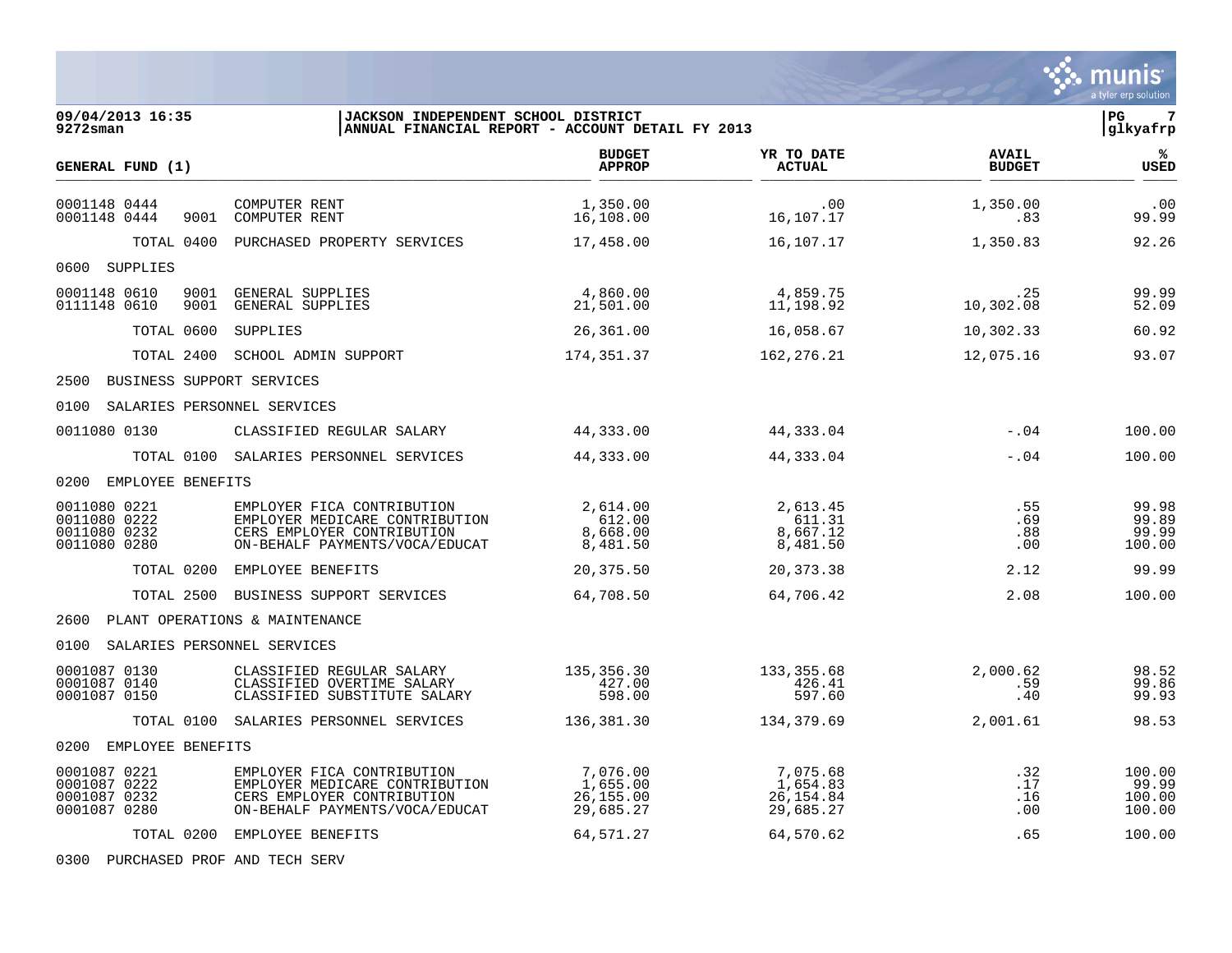|                                                              |                                                                                                                              |                                                 |                                                 |                               | munis<br>a tyler erp solution       |
|--------------------------------------------------------------|------------------------------------------------------------------------------------------------------------------------------|-------------------------------------------------|-------------------------------------------------|-------------------------------|-------------------------------------|
| 09/04/2013 16:35<br>9272sman                                 | JACKSON INDEPENDENT SCHOOL DISTRICT<br>ANNUAL FINANCIAL REPORT - ACCOUNT DETAIL FY 2013                                      |                                                 |                                                 |                               | l PG.<br>7<br> glkyafrp             |
| GENERAL FUND (1)                                             |                                                                                                                              | <b>BUDGET</b><br><b>APPROP</b>                  | YR TO DATE<br><b>ACTUAL</b>                     | <b>AVAIL</b><br><b>BUDGET</b> | ℁<br>USED                           |
| 0001148 0444<br>0001148 0444                                 | COMPUTER RENT<br>9001 COMPUTER RENT                                                                                          | 1,350.00<br>16,108.00                           | .00<br>16,107.17                                | 1,350.00<br>.83               | .00<br>99.99                        |
| TOTAL 0400                                                   | PURCHASED PROPERTY SERVICES                                                                                                  | 17,458.00                                       | 16,107.17                                       | 1,350.83                      | 92.26                               |
| 0600<br>SUPPLIES                                             |                                                                                                                              |                                                 |                                                 |                               |                                     |
| 0001148 0610<br>9001<br>0111148 0610<br>9001                 | GENERAL SUPPLIES<br>GENERAL SUPPLIES                                                                                         | 4,860.00<br>21,501.00                           | 4,859.75<br>11,198.92                           | .25<br>10,302.08              | 99.99<br>52.09                      |
| TOTAL 0600                                                   | SUPPLIES                                                                                                                     | 26,361.00                                       | 16,058.67                                       | 10,302.33                     | 60.92                               |
| TOTAL 2400                                                   | SCHOOL ADMIN SUPPORT                                                                                                         | 174,351.37                                      | 162,276.21                                      | 12,075.16                     | 93.07                               |
| 2500 BUSINESS SUPPORT SERVICES                               |                                                                                                                              |                                                 |                                                 |                               |                                     |
| SALARIES PERSONNEL SERVICES<br>0100                          |                                                                                                                              |                                                 |                                                 |                               |                                     |
| 0011080 0130                                                 | CLASSIFIED REGULAR SALARY                                                                                                    | 44,333.00                                       | 44,333.04                                       | $-.04$                        | 100.00                              |
|                                                              | TOTAL 0100 SALARIES PERSONNEL SERVICES                                                                                       | 44,333.00                                       | 44,333.04                                       | $-.04$                        | 100.00                              |
| 0200<br>EMPLOYEE BENEFITS                                    |                                                                                                                              |                                                 |                                                 |                               |                                     |
| 0011080 0221<br>0011080 0222<br>0011080 0232<br>0011080 0280 | EMPLOYER FICA CONTRIBUTION<br>EMPLOYER MEDICARE CONTRIBUTION<br>CERS EMPLOYER CONTRIBUTION<br>ON-BEHALF PAYMENTS/VOCA/EDUCAT | 2,614.00<br>612.00<br>8,668.00<br>8,481.50      | 2,613.45<br>611.31<br>8,667.12<br>8,481.50      | .55<br>.69<br>.88<br>.00      | 99.98<br>99.89<br>99.99<br>100.00   |
|                                                              | TOTAL 0200 EMPLOYEE BENEFITS                                                                                                 | 20,375.50                                       | 20,373.38                                       | 2.12                          | 99.99                               |
| TOTAL 2500                                                   | BUSINESS SUPPORT SERVICES                                                                                                    | 64,708.50                                       | 64,706.42                                       | 2.08                          | 100.00                              |
| 2600                                                         | PLANT OPERATIONS & MAINTENANCE                                                                                               |                                                 |                                                 |                               |                                     |
| 0100<br>SALARIES PERSONNEL SERVICES                          |                                                                                                                              |                                                 |                                                 |                               |                                     |
| 0001087 0130<br>0001087 0140<br>0001087 0150                 | CLASSIFIED REGULAR SALARY<br>CLASSIFIED OVERTIME SALARY<br>CLASSIFIED SUBSTITUTE SALARY                                      | 135,356.30<br>427.00<br>598.00                  | 133, 355.68<br>426.41<br>597.60                 | 2,000.62<br>.59<br>.40        | 98.52<br>99.86<br>99.93             |
|                                                              | TOTAL 0100 SALARIES PERSONNEL SERVICES                                                                                       | 136,381.30                                      | 134,379.69                                      | 2,001.61                      | 98.53                               |
| 0200<br>EMPLOYEE BENEFITS                                    |                                                                                                                              |                                                 |                                                 |                               |                                     |
| 0001087 0221<br>0001087 0222<br>0001087 0232<br>0001087 0280 | EMPLOYER FICA CONTRIBUTION<br>EMPLOYER MEDICARE CONTRIBUTION<br>CERS EMPLOYER CONTRIBUTION<br>ON-BEHALF PAYMENTS/VOCA/EDUCAT | 7,076.00<br>1,655.00<br>26, 155.00<br>29,685.27 | 7,075.68<br>1,654.83<br>26, 154.84<br>29,685.27 | .32<br>.17<br>.16<br>.00      | 100.00<br>99.99<br>100.00<br>100.00 |
|                                                              | TOTAL 0200 EMPLOYEE BENEFITS                                                                                                 | 64,571.27                                       | 64,570.62                                       | .65                           | 100.00                              |

0300 PURCHASED PROF AND TECH SERV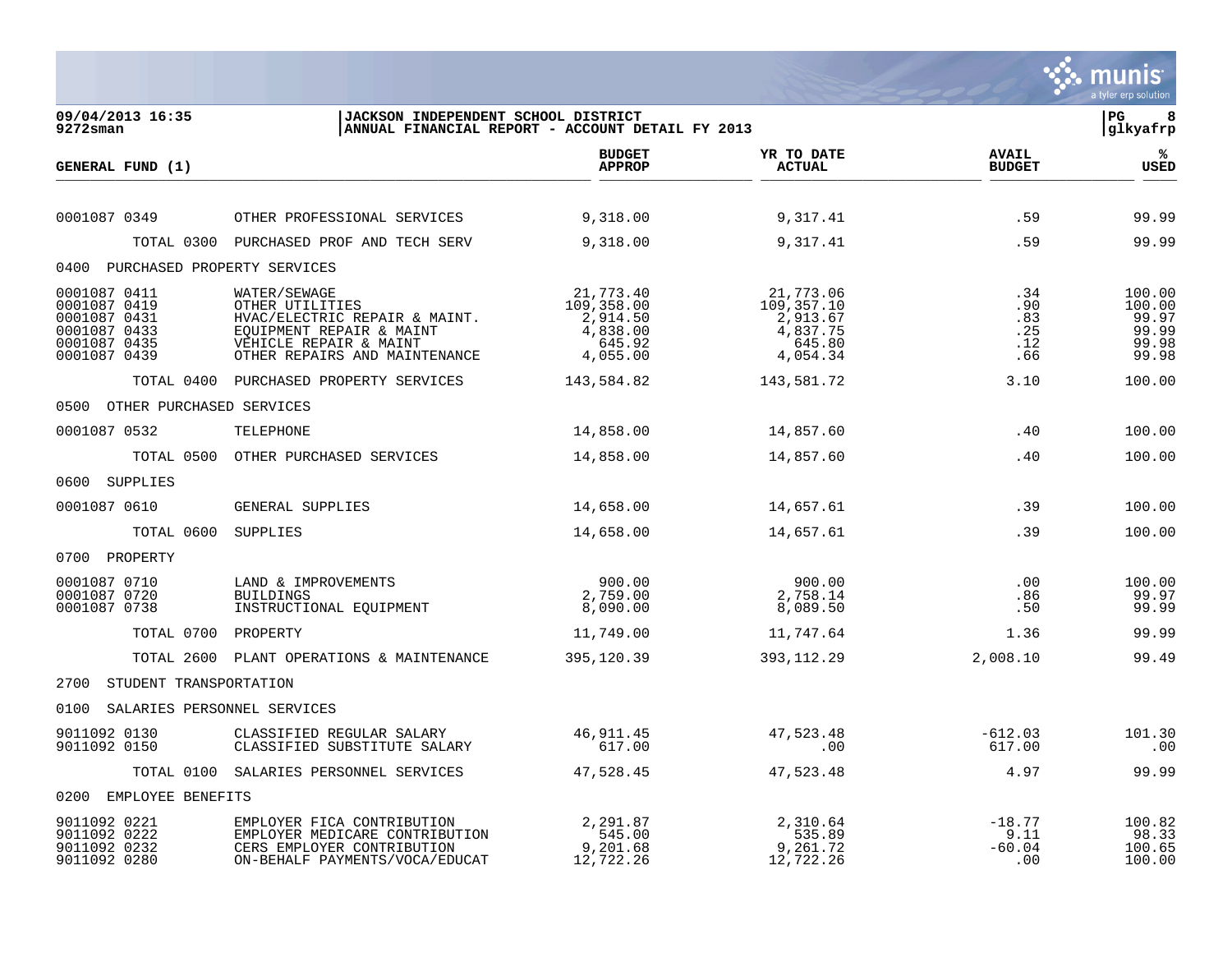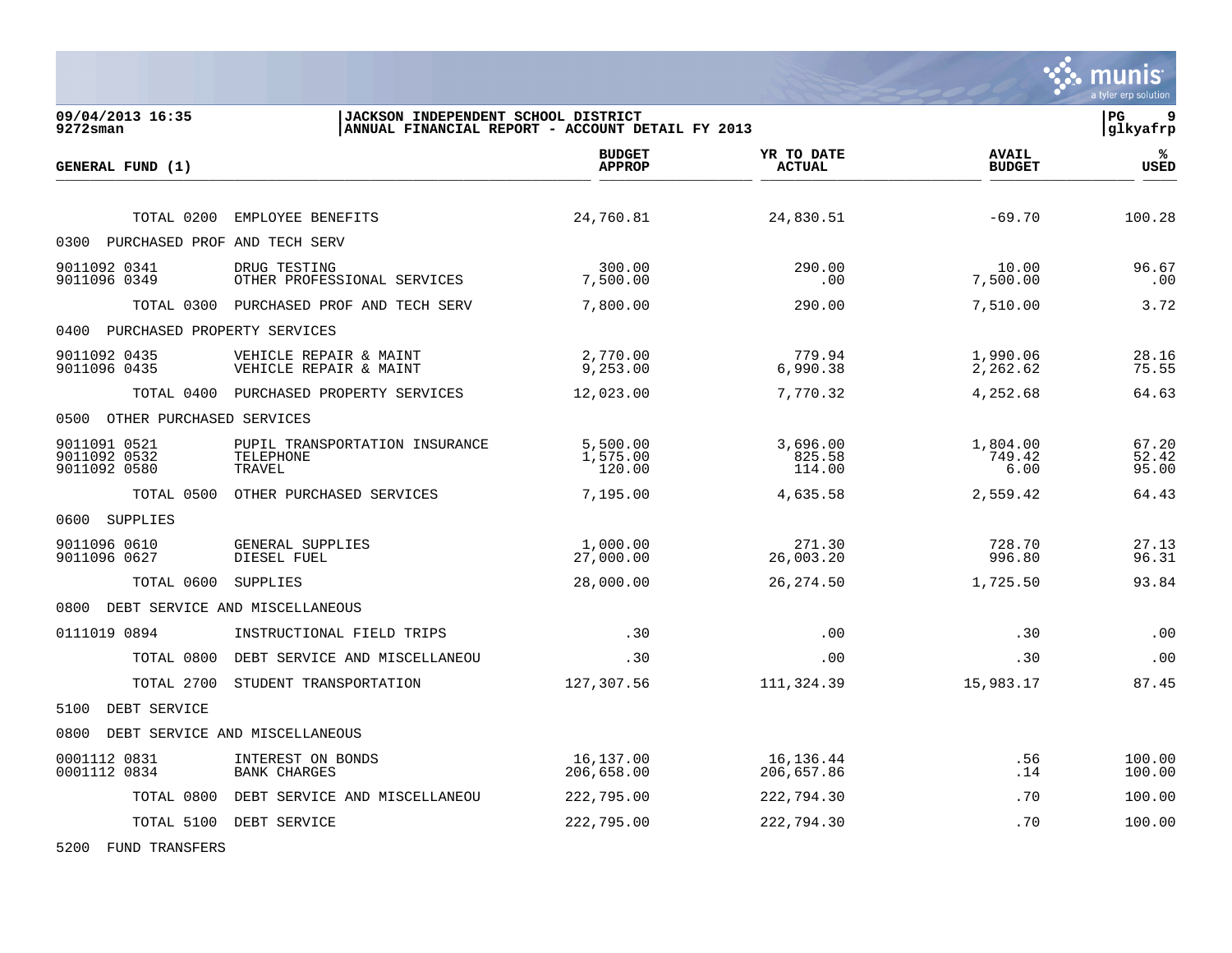

. munis

5200 FUND TRANSFERS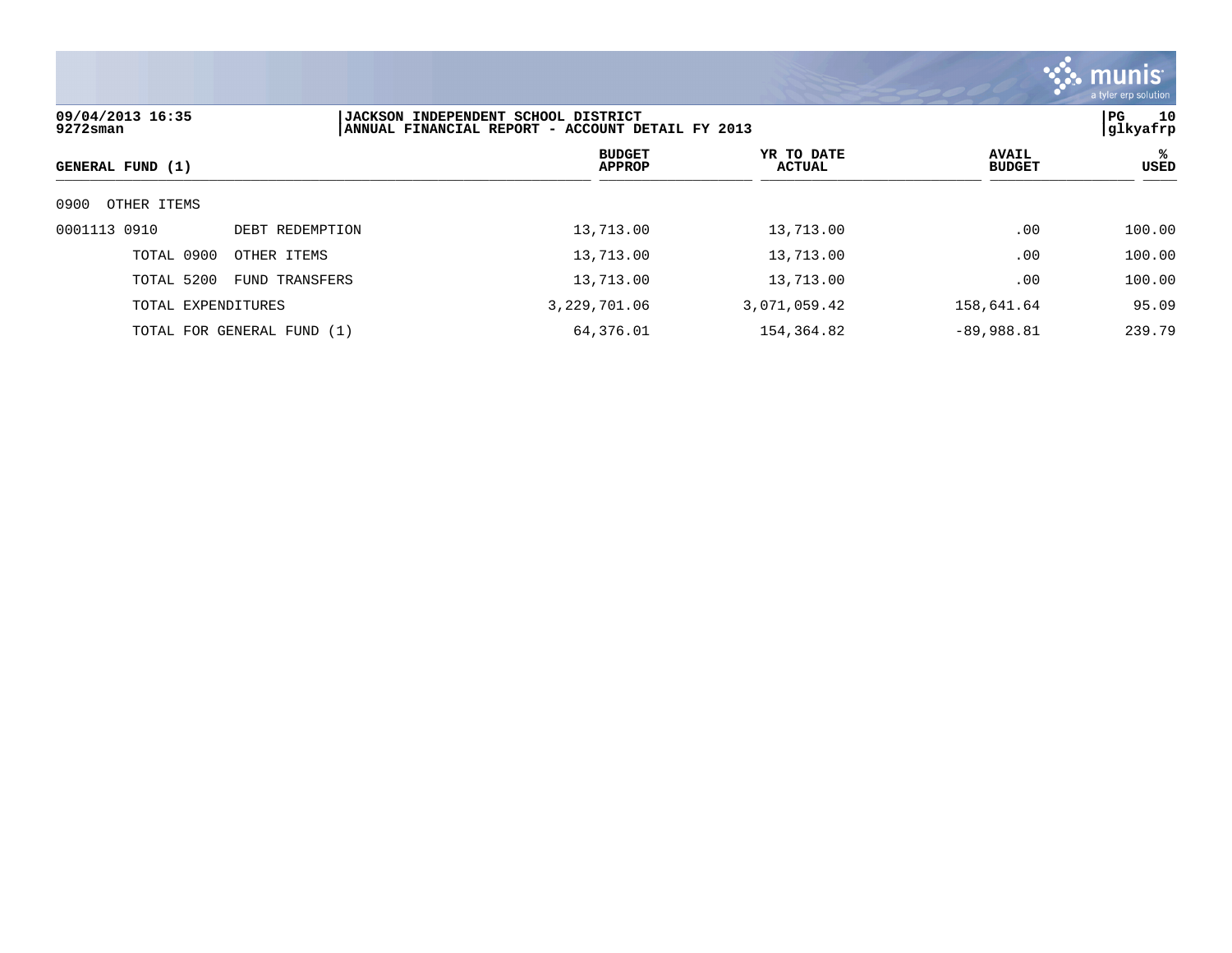

| 09/04/2013 16:35<br>$9272$ sman |                            | JACKSON INDEPENDENT SCHOOL DISTRICT<br>ANNUAL FINANCIAL REPORT - ACCOUNT DETAIL FY 2013 |                             |                               | 10<br>PG<br> glkyafrp |
|---------------------------------|----------------------------|-----------------------------------------------------------------------------------------|-----------------------------|-------------------------------|-----------------------|
| GENERAL FUND (1)                |                            | <b>BUDGET</b><br><b>APPROP</b>                                                          | YR TO DATE<br><b>ACTUAL</b> | <b>AVAIL</b><br><b>BUDGET</b> | ℁<br>USED             |
| 0900<br>OTHER ITEMS             |                            |                                                                                         |                             |                               |                       |
| 0001113 0910                    | DEBT REDEMPTION            | 13,713.00                                                                               | 13,713.00                   | .00                           | 100.00                |
| TOTAL 0900                      | OTHER ITEMS                | 13,713.00                                                                               | 13,713.00                   | .00                           | 100.00                |
| TOTAL 5200                      | FUND TRANSFERS             | 13,713.00                                                                               | 13,713.00                   | .00                           | 100.00                |
| TOTAL EXPENDITURES              |                            | 3,229,701.06                                                                            | 3,071,059.42                | 158,641.64                    | 95.09                 |
|                                 | TOTAL FOR GENERAL FUND (1) | 64,376.01                                                                               | 154,364.82                  | $-89,988.81$                  | 239.79                |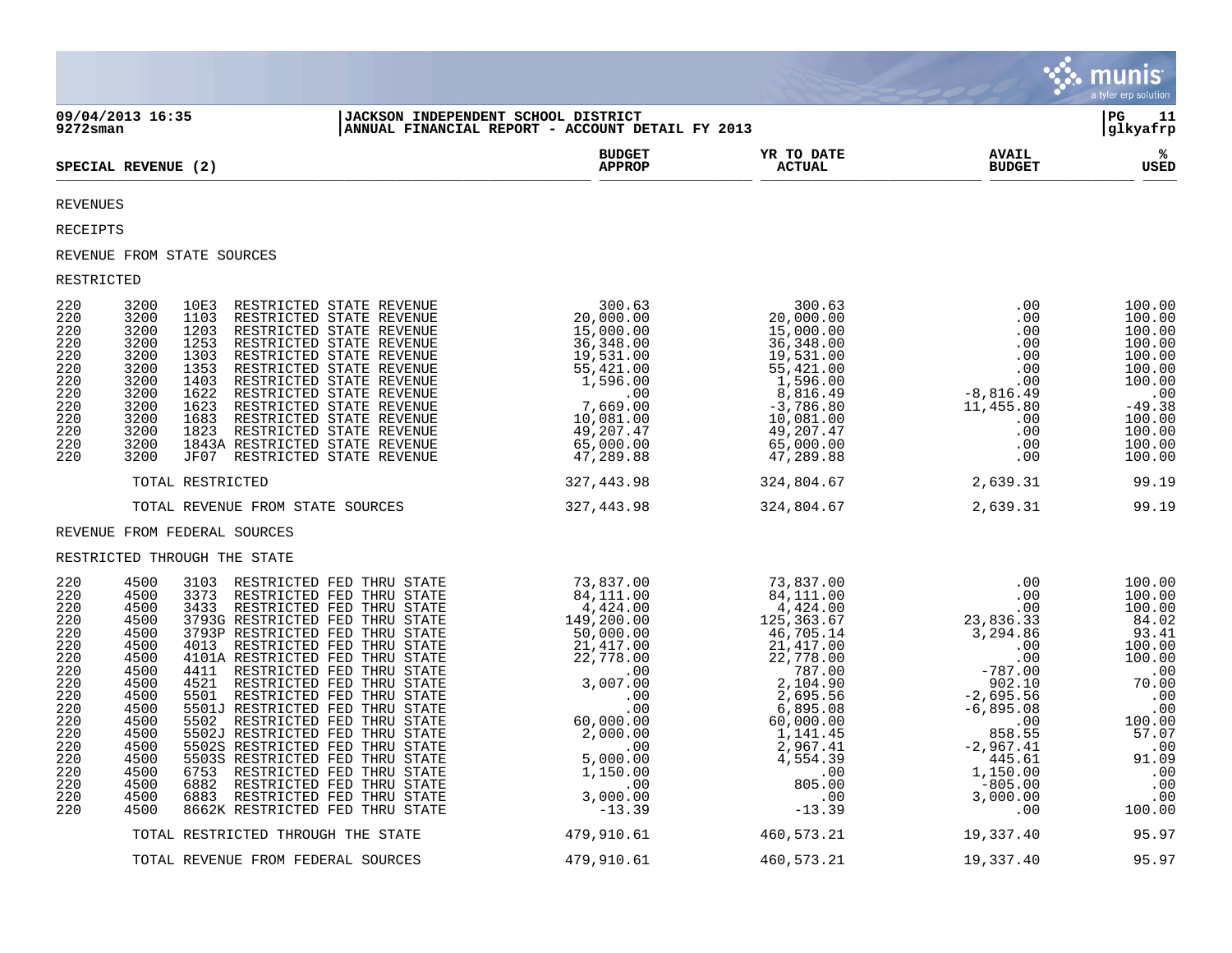|                                                                                                                                   |                                                                                                                                                                                              |                                                                                                                                                                                                                                                                                                                                                                                     |                                                                                                                                                                                                                                                         |                                |                               | munis<br>a tyler erp solution                                                                                                                                   |
|-----------------------------------------------------------------------------------------------------------------------------------|----------------------------------------------------------------------------------------------------------------------------------------------------------------------------------------------|-------------------------------------------------------------------------------------------------------------------------------------------------------------------------------------------------------------------------------------------------------------------------------------------------------------------------------------------------------------------------------------|---------------------------------------------------------------------------------------------------------------------------------------------------------------------------------------------------------------------------------------------------------|--------------------------------|-------------------------------|-----------------------------------------------------------------------------------------------------------------------------------------------------------------|
| 9272sman                                                                                                                          | 09/04/2013 16:35                                                                                                                                                                             | JACKSON INDEPENDENT SCHOOL DISTRICT                                                                                                                                                                                                                                                                                                                                                 | ANNUAL FINANCIAL REPORT - ACCOUNT DETAIL FY 2013                                                                                                                                                                                                        |                                |                               | l PG.<br>11<br>glkyafrp                                                                                                                                         |
|                                                                                                                                   | SPECIAL REVENUE (2)                                                                                                                                                                          |                                                                                                                                                                                                                                                                                                                                                                                     | <b>BUDGET</b><br><b>APPROP</b>                                                                                                                                                                                                                          | YR TO DATE<br><b>ACTUAL</b>    | <b>AVAIL</b><br><b>BUDGET</b> | ౣ<br><b>USED</b>                                                                                                                                                |
| <b>REVENUES</b>                                                                                                                   |                                                                                                                                                                                              |                                                                                                                                                                                                                                                                                                                                                                                     |                                                                                                                                                                                                                                                         |                                |                               |                                                                                                                                                                 |
| RECEIPTS                                                                                                                          |                                                                                                                                                                                              |                                                                                                                                                                                                                                                                                                                                                                                     |                                                                                                                                                                                                                                                         |                                |                               |                                                                                                                                                                 |
|                                                                                                                                   | REVENUE FROM STATE SOURCES                                                                                                                                                                   |                                                                                                                                                                                                                                                                                                                                                                                     |                                                                                                                                                                                                                                                         |                                |                               |                                                                                                                                                                 |
| RESTRICTED                                                                                                                        |                                                                                                                                                                                              |                                                                                                                                                                                                                                                                                                                                                                                     |                                                                                                                                                                                                                                                         |                                |                               |                                                                                                                                                                 |
| 220<br>220<br>220<br>220<br>220<br>220<br>220<br>220<br>220<br>220<br>220<br>220<br>220                                           | 3200<br>10E3<br>3200<br>1103<br>3200<br>1203<br>3200<br>1253<br>3200<br>3200<br>1303<br>1353<br>3200<br>1403<br>3200<br>3200<br>1622<br>1623<br>3200<br>1683<br>3200<br>1823<br>3200<br>3200 | RESTRICTED STATE REVENUE<br>RESTRICTED STATE REVENUE<br>RESTRICTED STATE REVENUE<br>RESTRICTED STATE REVENUE<br>RESTRICTED STATE REVENUE<br>RESTRICTED STATE REVENUE<br>RESTRICTED STATE REVENUE<br>RESTRICTED STATE REVENUE<br>RESTRICTED STATE REVENUE<br>RESTRICTED STATE REVENUE<br>RESTRICTED STATE REVENUE<br>1843A RESTRICTED STATE REVENUE<br>JF07 RESTRICTED STATE REVENUE | $\begin{array}{c c c c c c} &300.63&300.63\\ 20,000.00&20,000.00\\ 15,000.00&15,000.00\\ 36,348.00&36,348.00\\ 19,531.00&19,531.00\\ 55,421.00&19,531.00\\ 1,596.00&1,596.00\\ 0&0&8,816.49\\ 1,596.00&-3,786.80\\ 10,081.00&10,081.00\\ 49,207.47&49,$ |                                | .00                           | 100.00<br>100.00<br>100.00<br>100.00<br>100.00<br>100.00<br>100.00<br>$-49.38$<br>100.00<br>100.00<br>100.00<br>100.00                                          |
|                                                                                                                                   | TOTAL RESTRICTED                                                                                                                                                                             |                                                                                                                                                                                                                                                                                                                                                                                     | 327,443.98                                                                                                                                                                                                                                              | 324,804.67                     | 2,639.31                      | 99.19                                                                                                                                                           |
|                                                                                                                                   | TOTAL REVENUE FROM STATE SOURCES                                                                                                                                                             |                                                                                                                                                                                                                                                                                                                                                                                     |                                                                                                                                                                                                                                                         | 327,443.98 324,804.67 2,639.31 |                               | 99.19                                                                                                                                                           |
|                                                                                                                                   | REVENUE FROM FEDERAL SOURCES                                                                                                                                                                 |                                                                                                                                                                                                                                                                                                                                                                                     |                                                                                                                                                                                                                                                         |                                |                               |                                                                                                                                                                 |
|                                                                                                                                   | RESTRICTED THROUGH THE STATE                                                                                                                                                                 |                                                                                                                                                                                                                                                                                                                                                                                     |                                                                                                                                                                                                                                                         |                                |                               |                                                                                                                                                                 |
| 220<br>220<br>220<br>220<br>220<br>220<br>220<br>220<br>220<br>220<br>220<br>220<br>220<br>220<br>220<br>220<br>220<br>220<br>220 | 4500<br>4500<br>4500<br>4500<br>4500<br>4500<br>4500<br>4500<br>4500<br>4500<br>4500<br>4500<br>4500<br>4500<br>4500<br>4500<br>4500<br>4500<br>4500                                         |                                                                                                                                                                                                                                                                                                                                                                                     |                                                                                                                                                                                                                                                         |                                |                               | 100.00<br>100.00<br>100.00<br>84.02<br>93.41<br>100.00<br>100.00<br>70.00<br>.00<br>$.00 \\ 100.00$<br>57.07<br>$00.00$<br>91.09<br>.00<br>.00<br>.00<br>100.00 |
|                                                                                                                                   |                                                                                                                                                                                              | TOTAL RESTRICTED THROUGH THE STATE                                                                                                                                                                                                                                                                                                                                                  | 479,910.61                                                                                                                                                                                                                                              | 460,573.21                     | 19,337.40                     | 95.97                                                                                                                                                           |
|                                                                                                                                   |                                                                                                                                                                                              | TOTAL REVENUE FROM FEDERAL SOURCES                                                                                                                                                                                                                                                                                                                                                  | 479,910.61                                                                                                                                                                                                                                              | 460,573.21                     | 19,337.40                     | 95.97                                                                                                                                                           |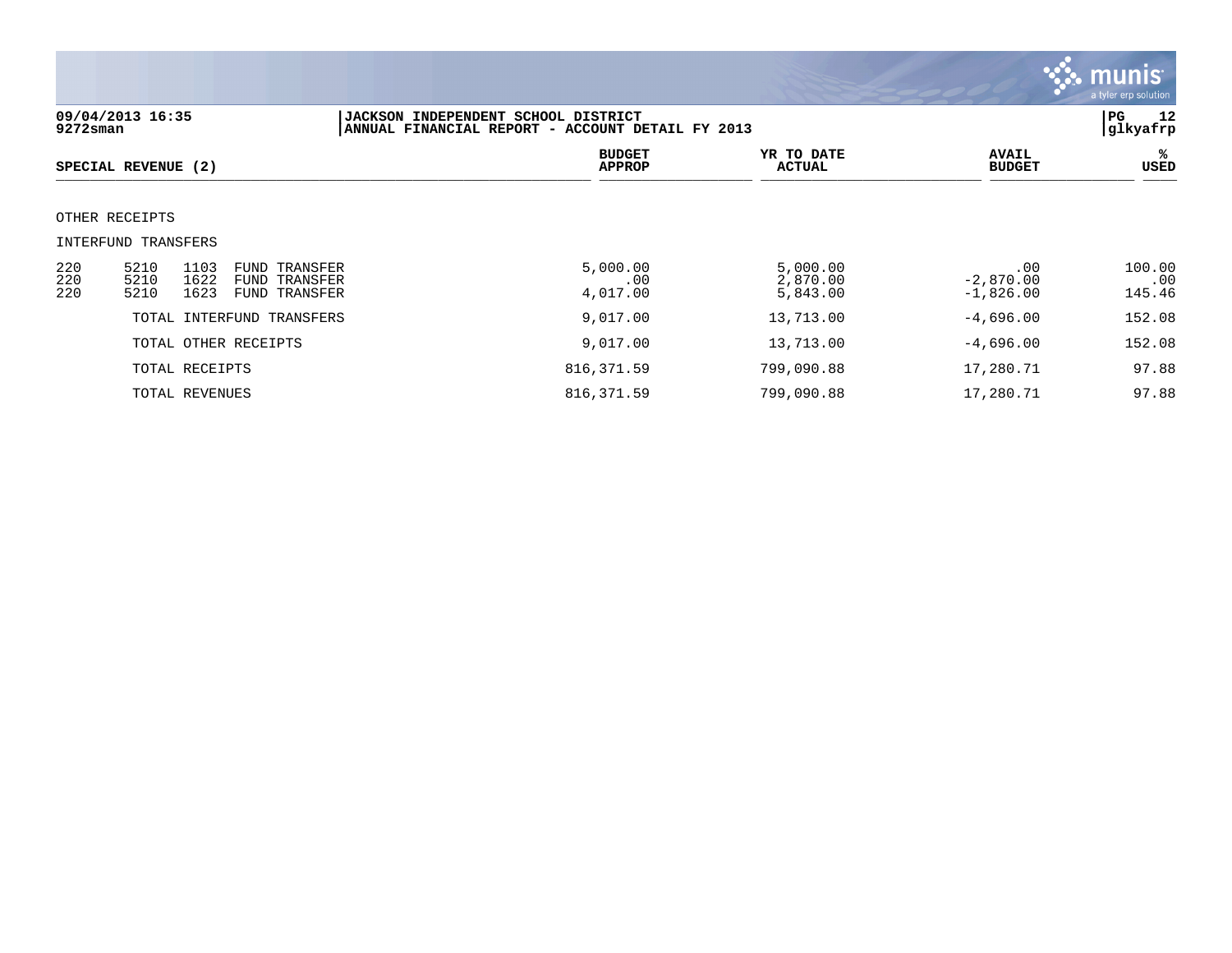

| 09/04/2013 16:35<br>$9272$ sman |                                                                                                                      | JACKSON INDEPENDENT SCHOOL DISTRICT<br>ANNUAL FINANCIAL REPORT - ACCOUNT DETAIL FY 2013 |                                  |                                   |                         |
|---------------------------------|----------------------------------------------------------------------------------------------------------------------|-----------------------------------------------------------------------------------------|----------------------------------|-----------------------------------|-------------------------|
|                                 | SPECIAL REVENUE (2)                                                                                                  | <b>BUDGET</b><br><b>APPROP</b>                                                          | YR TO DATE<br>ACTUAL             | <b>AVAIL</b><br><b>BUDGET</b>     | ℁<br>USED               |
|                                 | OTHER RECEIPTS                                                                                                       |                                                                                         |                                  |                                   |                         |
|                                 | INTERFUND TRANSFERS                                                                                                  |                                                                                         |                                  |                                   |                         |
| 220<br>220<br>220               | 5210<br>1103<br><b>FUND TRANSFER</b><br>5210<br>1622<br><b>FUND TRANSFER</b><br>5210<br>1623<br><b>FUND TRANSFER</b> | 5,000.00<br>.00<br>4,017.00                                                             | 5,000.00<br>2,870.00<br>5,843.00 | .00<br>$-2,870.00$<br>$-1,826.00$ | 100.00<br>.00<br>145.46 |
|                                 | TOTAL INTERFUND TRANSFERS                                                                                            | 9,017.00                                                                                | 13,713.00                        | $-4,696.00$                       | 152.08                  |
|                                 | TOTAL OTHER RECEIPTS                                                                                                 | 9,017.00                                                                                | 13,713.00                        | $-4,696.00$                       | 152.08                  |
|                                 | TOTAL RECEIPTS                                                                                                       | 816, 371.59                                                                             | 799,090.88                       | 17,280.71                         | 97.88                   |
|                                 | TOTAL REVENUES                                                                                                       | 816, 371.59                                                                             | 799,090.88                       | 17,280.71                         | 97.88                   |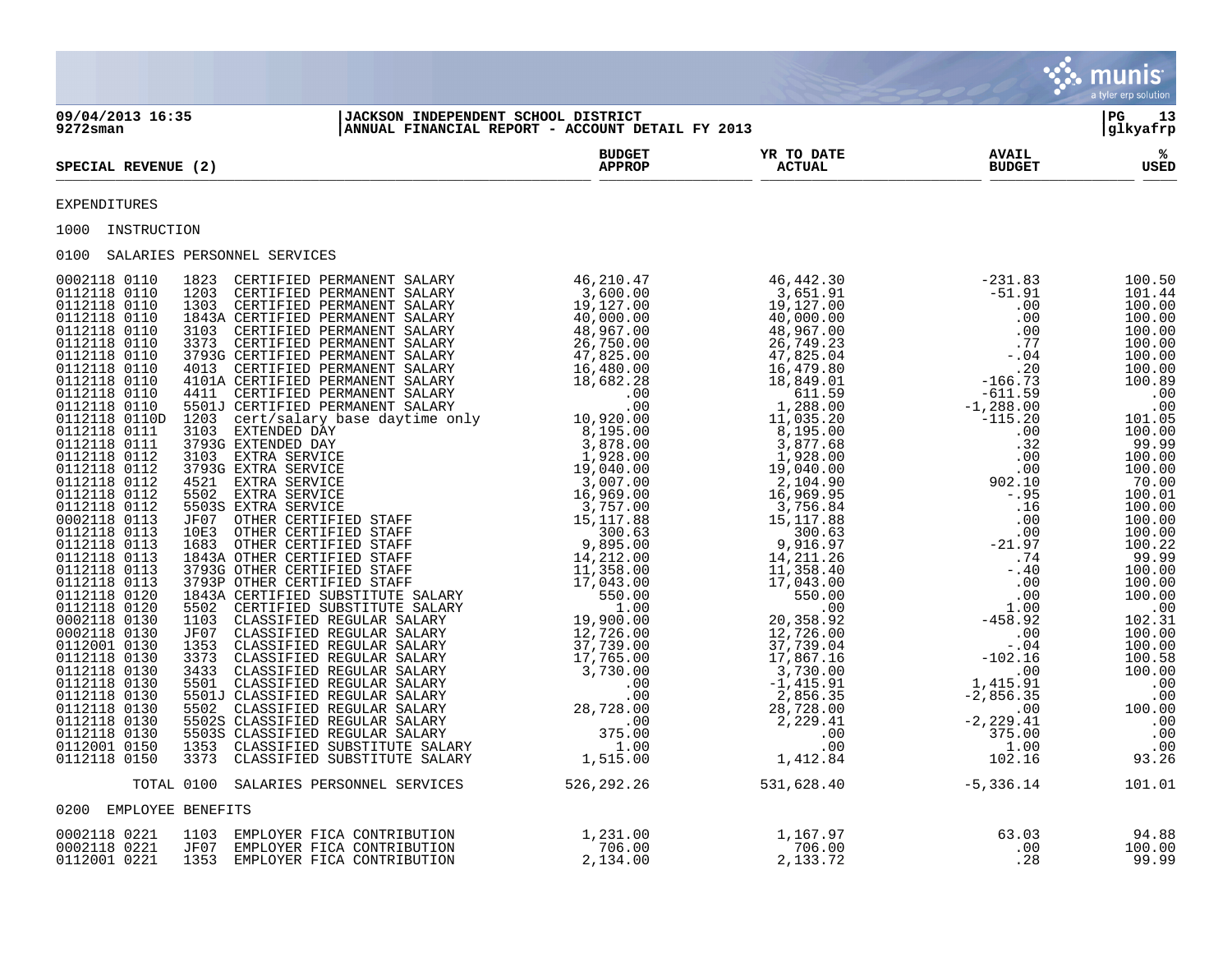|                                              |                                                                                                                                                                                                                                                                                 |                                                                                            |                                                   |                               | <mark>्. munis</mark><br>a tyler erp solution |
|----------------------------------------------|---------------------------------------------------------------------------------------------------------------------------------------------------------------------------------------------------------------------------------------------------------------------------------|--------------------------------------------------------------------------------------------|---------------------------------------------------|-------------------------------|-----------------------------------------------|
| 09/04/2013 16:35<br>$9272$ sman              | JACKSON INDEPENDENT SCHOOL DISTRICT<br> ANNUAL FINANCIAL REPORT - ACCOUNT DETAIL FY 2013                                                                                                                                                                                        |                                                                                            |                                                   |                               | l PG.<br>13<br> glkyafrp                      |
| SPECIAL REVENUE (2)                          |                                                                                                                                                                                                                                                                                 | <b>BUDGET</b><br><b>APPROP</b>                                                             | <b>YR TO DATE<br/>ACTUAL</b>                      | <b>AVAIL</b><br><b>BUDGET</b> | ℁<br>USED                                     |
| EXPENDITURES                                 |                                                                                                                                                                                                                                                                                 |                                                                                            |                                                   |                               |                                               |
| 1000 INSTRUCTION                             |                                                                                                                                                                                                                                                                                 |                                                                                            |                                                   |                               |                                               |
| 0100 SALARIES PERSONNEL SERVICES             |                                                                                                                                                                                                                                                                                 |                                                                                            |                                                   |                               |                                               |
|                                              | $\begin{bmatrix} 10.0 & 0.01 & 0.02 & 0.00 & -241 & 0.00 & -241 & 0.00 & 0.00 & -241 & 0.00 & 0.00 & 0.00 & -241 & 0.00 & 0.00 & 0.00 & 0.00 & 0.00 & 0.00 & 0.00 & 0.00 & 0.00 & 0.00 & 0.00 & 0.00 & 0.00 & 0.00 & 0.00 & 0.00 & 0.00 & 0.00 & 0.00 & 0.00 & 0.00 & 0.00 & 0$ |                                                                                            |                                                   |                               |                                               |
|                                              | TOTAL 0100 SALARIES PERSONNEL SERVICES                                                                                                                                                                                                                                          |                                                                                            | $526, 292.26$ $531, 628.40$ $-5, 336.14$ $101.01$ |                               |                                               |
| 0200 EMPLOYEE BENEFITS                       |                                                                                                                                                                                                                                                                                 |                                                                                            |                                                   |                               |                                               |
| 0002118 0221<br>0002118 0221<br>0112001 0221 | 1103 EMPLOYER FICA CONTRIBUTION<br>JF07 EMPLOYER FICA CONTRIBUTION<br>1353 EMPLOYER FICA CONTRIBUTION                                                                                                                                                                           | $\begin{array}{c} 1\,, 231\, . \, 00\, \ 706\, . \, 00\, \ 2\,, 134\, . \, 00 \end{array}$ | 1,167.97<br>706.00<br>2,133.72                    | $63.03$<br>.00<br>.28         | $94.88$<br>$100.00$<br>99.99                  |

 $\mathcal{L}^{\bullet}$  .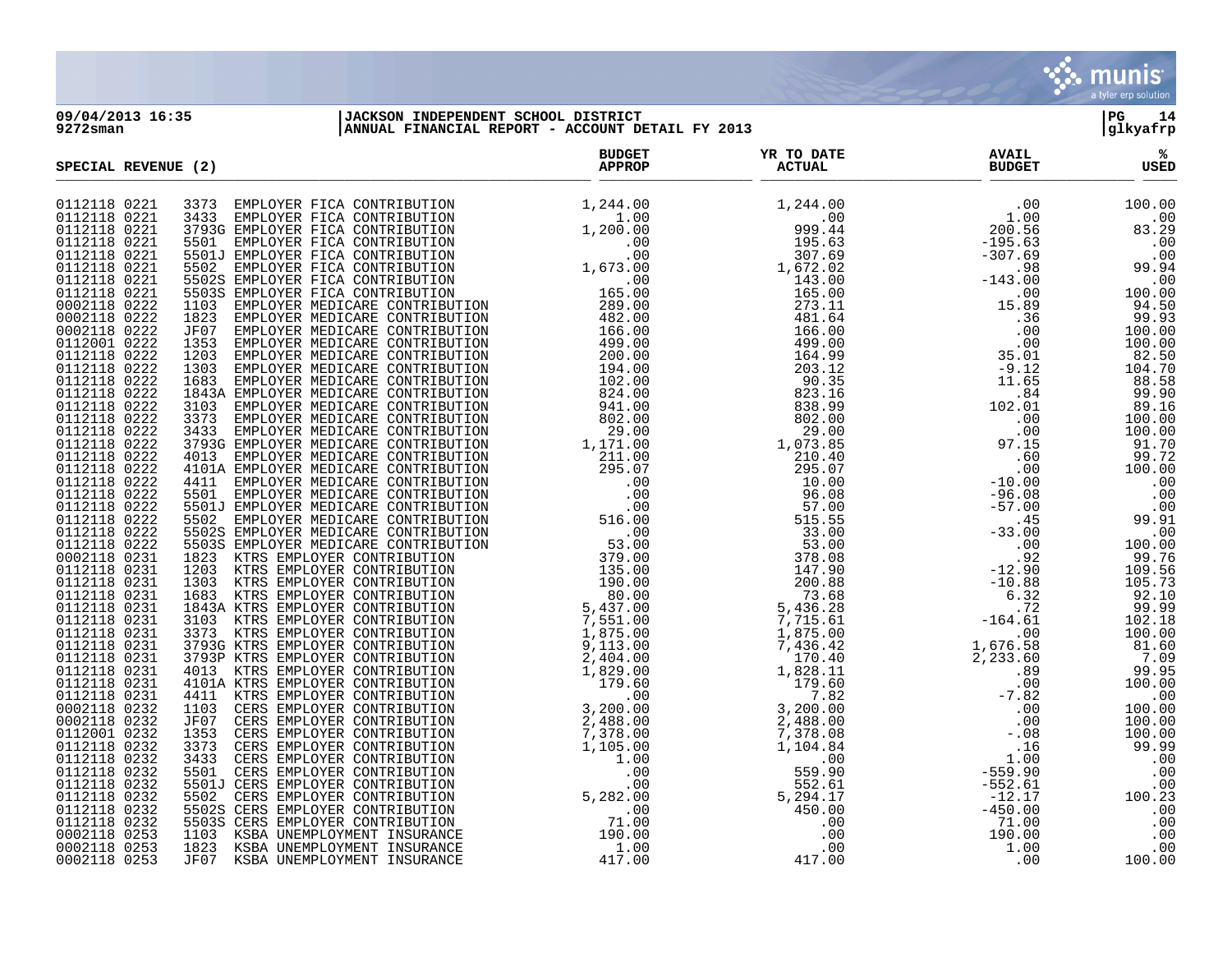

**09/04/2013 16:35 |JACKSON INDEPENDENT SCHOOL DISTRICT |PG 14 9272sman |ANNUAL FINANCIAL REPORT - ACCOUNT DETAIL FY 2013 |glkyafrp**

| SPECIAL REVENUE (2) | <b>BUDGET</b><br><b>APPROP</b> | YR TO DATE<br><b>ACTUAL</b> | <b>AVAIL</b><br><b>BUDGET</b> | ℁<br><b>USED</b> |
|---------------------|--------------------------------|-----------------------------|-------------------------------|------------------|
| 0112118 0221        |                                |                             |                               |                  |
| 0112118 0221        |                                |                             |                               |                  |
| 0112118 0221        |                                |                             |                               |                  |
| 0112118 0221        |                                |                             |                               |                  |
| 0112118 0221        |                                |                             |                               |                  |
| 0112118 0221        |                                |                             |                               |                  |
| 0112118 0221        |                                |                             |                               |                  |
| 0112118 0221        |                                |                             |                               |                  |
| 0002118 0222        |                                |                             |                               |                  |
| 0002118 0222        |                                |                             |                               |                  |
| 0002118 0222        |                                |                             |                               |                  |
| 0112001 0222        |                                |                             |                               |                  |
| 0112118 0222        |                                |                             |                               |                  |
| 0112118 0222        |                                |                             |                               |                  |
| 0112118 0222        |                                |                             |                               |                  |
| 0112118 0222        |                                |                             |                               |                  |
| 0112118 0222        |                                |                             |                               |                  |
| 0112118 0222        |                                |                             |                               |                  |
| 0112118 0222        |                                |                             |                               |                  |
| 0112118 0222        |                                |                             |                               |                  |
| 0112118 0222        |                                |                             |                               |                  |
| 0112118 0222        |                                |                             |                               |                  |
| 0112118 0222        |                                |                             |                               |                  |
| 0112118 0222        |                                |                             |                               |                  |
| 0112118 0222        |                                |                             |                               |                  |
| 0112118 0222        |                                |                             |                               |                  |
| 0112118 0222        |                                |                             |                               |                  |
| 0112118 0222        |                                |                             |                               |                  |
| 0002118 0231        |                                |                             |                               |                  |
| 0112118 0231        |                                |                             |                               |                  |
| 0112118 0231        |                                |                             |                               |                  |
| 0112118 0231        |                                |                             |                               |                  |
| 0112118 0231        |                                |                             |                               |                  |
| 0112118 0231        |                                |                             |                               |                  |
| 0112118 0231        |                                |                             |                               |                  |
| 0112118 0231        |                                |                             |                               |                  |
| 0112118 0231        |                                |                             |                               |                  |
| 0112118 0231        |                                |                             |                               |                  |
| 0112118 0231        |                                |                             |                               |                  |
| 0112118 0231        |                                |                             |                               |                  |
| 0002118 0232        |                                |                             |                               |                  |
| 0002118 0232        |                                |                             |                               |                  |
| 0112001 0232        |                                |                             |                               |                  |
| 0112118 0232        |                                |                             |                               |                  |
| 0112118 0232        |                                |                             |                               |                  |
| 0112118 0232        |                                |                             |                               |                  |
| 0112118 0232        |                                |                             |                               |                  |
| 0112118 0232        |                                |                             |                               |                  |
| 0112118 0232        |                                |                             |                               |                  |
| 0112118 0232        |                                |                             |                               |                  |
| 0002118 0253        |                                |                             |                               |                  |
| 0002118 0253        |                                |                             |                               |                  |
| 0002118 0253        |                                |                             |                               |                  |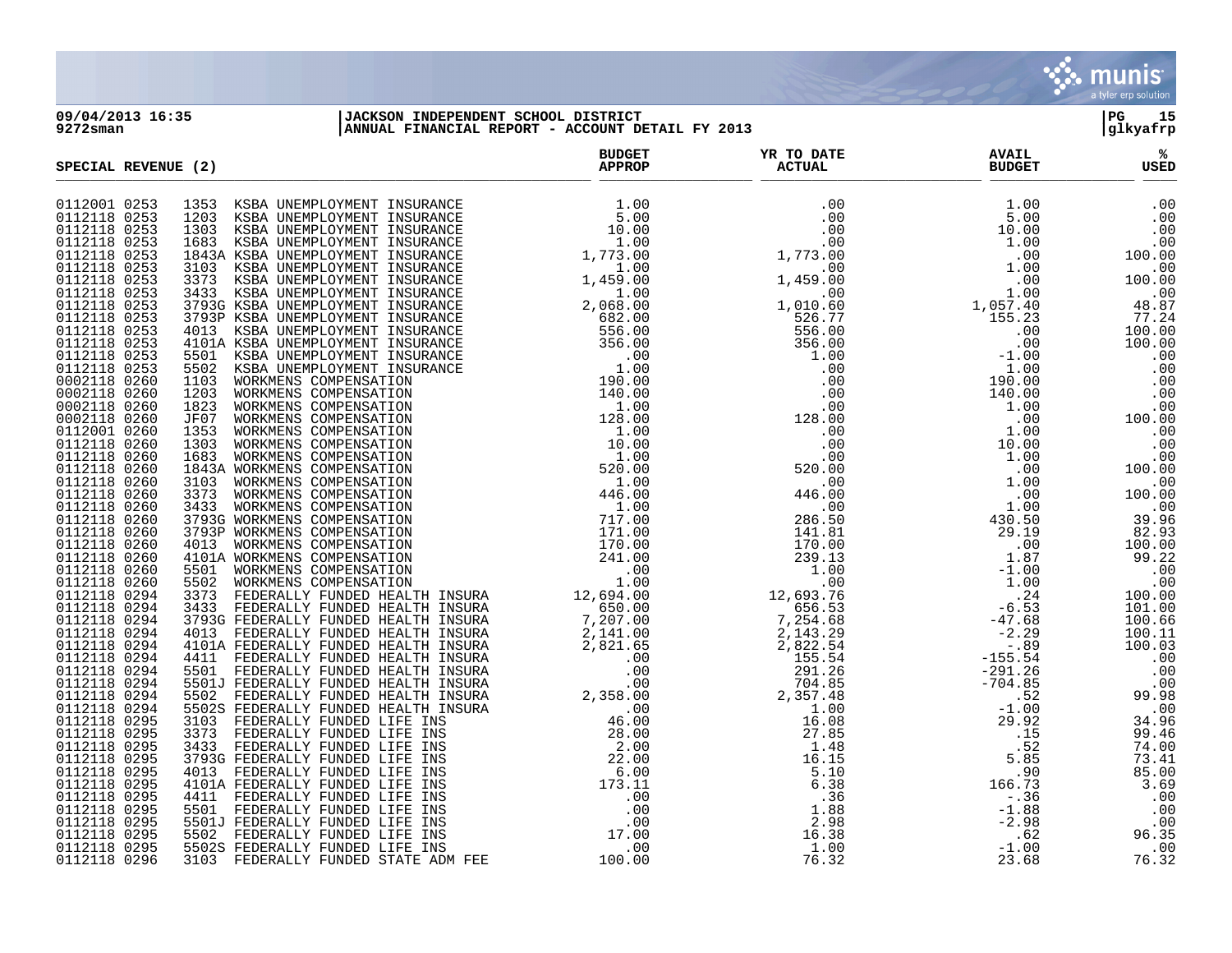

**09/04/2013 16:35 |JACKSON INDEPENDENT SCHOOL DISTRICT |PG 15 9272sman |ANNUAL FINANCIAL REPORT - ACCOUNT DETAIL FY 2013 |glkyafrp**

| SPECIAL REVENUE (2)          |  | <b>BUDGET</b><br><b>APPROP</b> | YR TO DATE<br><b>ACTUAL</b> | <b>AVAIL</b><br><b>BUDGET</b> | ℁<br><b>USED</b> |
|------------------------------|--|--------------------------------|-----------------------------|-------------------------------|------------------|
| 0112001 0253                 |  |                                |                             |                               |                  |
| 0112118 0253                 |  |                                |                             |                               |                  |
| 0112118 0253                 |  |                                |                             |                               |                  |
| 0112118 0253                 |  |                                |                             |                               |                  |
| 0112118 0253                 |  |                                |                             |                               |                  |
| 0112118 0253                 |  |                                |                             |                               |                  |
| 0112118 0253                 |  |                                |                             |                               |                  |
| 0112118 0253                 |  |                                |                             |                               |                  |
| 0112118 0253                 |  |                                |                             |                               |                  |
| 0112118 0253                 |  |                                |                             |                               |                  |
| 0112118 0253                 |  |                                |                             |                               |                  |
| 0112118 0253                 |  |                                |                             |                               |                  |
| 0112118 0253                 |  |                                |                             |                               |                  |
| 0112118 0253                 |  |                                |                             |                               |                  |
| 0002118 0260                 |  |                                |                             |                               |                  |
| 0002118 0260                 |  |                                |                             |                               |                  |
| 0002118 0260                 |  |                                |                             |                               |                  |
| 0002118 0260                 |  |                                |                             |                               |                  |
| 0112001 0260                 |  |                                |                             |                               |                  |
| 0112118 0260                 |  |                                |                             |                               |                  |
| 0112118 0260                 |  |                                |                             |                               |                  |
| 0112118 0260<br>0112118 0260 |  |                                |                             |                               |                  |
| 0112118 0260                 |  |                                |                             |                               |                  |
| 0112118 0260                 |  |                                |                             |                               |                  |
| 0112118 0260                 |  |                                |                             |                               |                  |
| 0112118 0260                 |  |                                |                             |                               |                  |
| 0112118 0260                 |  |                                |                             |                               |                  |
| 0112118 0260                 |  |                                |                             |                               |                  |
| 0112118 0260                 |  |                                |                             |                               |                  |
| 0112118 0260                 |  |                                |                             |                               |                  |
| 0112118 0294                 |  |                                |                             |                               |                  |
| 0112118 0294                 |  |                                |                             |                               |                  |
| 0112118 0294                 |  |                                |                             |                               |                  |
| 0112118 0294                 |  |                                |                             |                               |                  |
| 0112118 0294                 |  |                                |                             |                               |                  |
| 0112118 0294                 |  |                                |                             |                               |                  |
| 0112118 0294                 |  |                                |                             |                               |                  |
| 0112118 0294                 |  |                                |                             |                               |                  |
| 0112118 0294                 |  |                                |                             |                               |                  |
| 0112118 0294                 |  |                                |                             |                               |                  |
| 0112118 0295                 |  |                                |                             |                               |                  |
| 0112118 0295                 |  |                                |                             |                               |                  |
| 0112118 0295                 |  |                                |                             |                               |                  |
| 0112118 0295                 |  |                                |                             |                               |                  |
| 0112118 0295                 |  |                                |                             |                               |                  |
| 0112118 0295                 |  |                                |                             |                               |                  |
| 0112118 0295                 |  |                                |                             |                               |                  |
| 0112118 0295<br>0112118 0295 |  |                                |                             |                               |                  |
| 0112118 0295                 |  |                                |                             |                               |                  |
| 0112118 0295                 |  |                                |                             |                               |                  |
| 0112118 0296                 |  |                                |                             |                               |                  |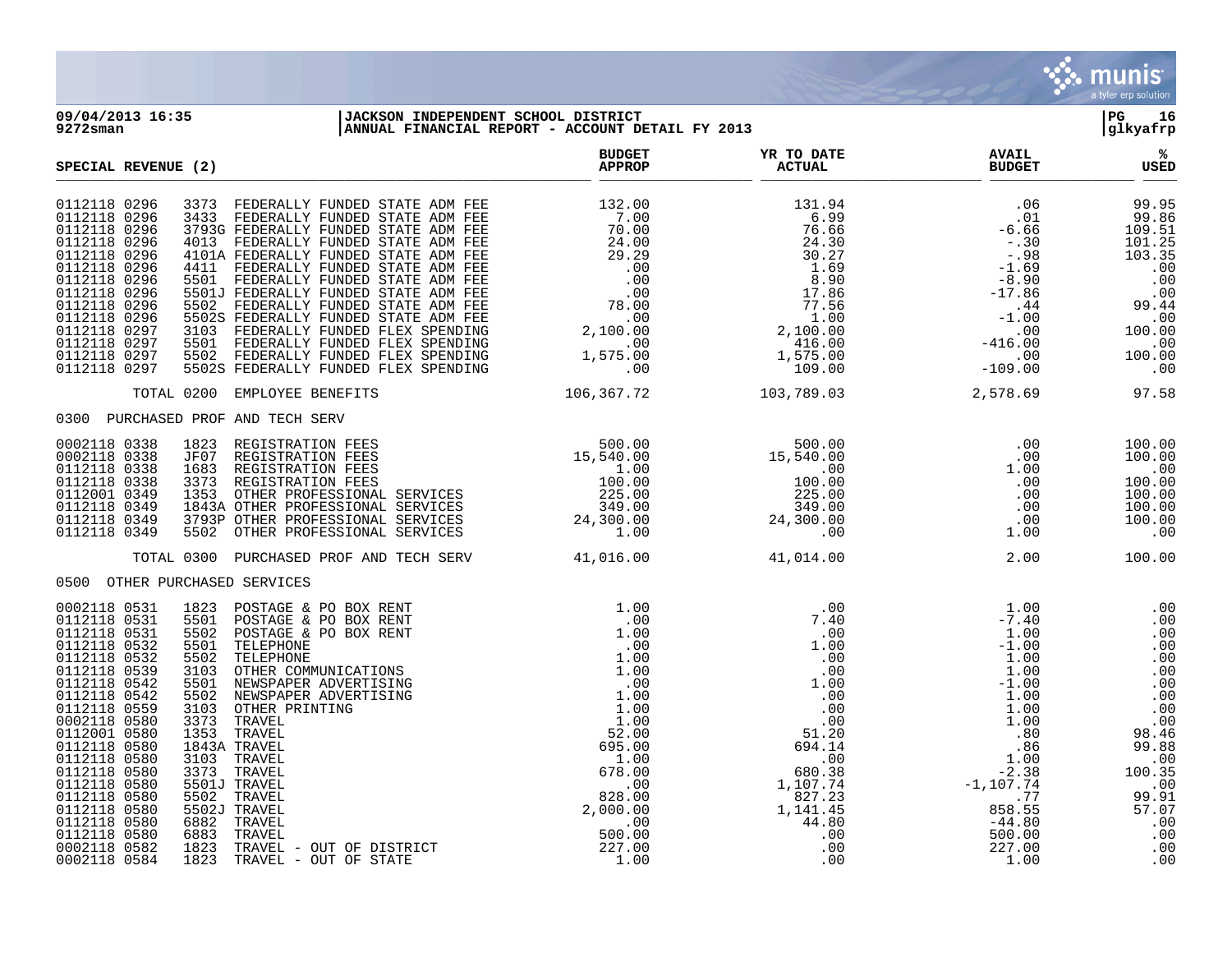

**09/04/2013 16:35 |JACKSON INDEPENDENT SCHOOL DISTRICT |PG 16 9272sman |ANNUAL FINANCIAL REPORT - ACCOUNT DETAIL FY 2013 |glkyafrp**

| SPECIAL REVENUE (2)                                                                                                                                                                                                                                                                                                                                                                                                                                                                                                                                                                                                                                                                                                                                                                                                                                                                                                                                                                                                                          | <b>BUDGET</b><br><b>APPROP</b> | YR TO DATE<br><b>ACTUAL</b>                                                                                                                                                                                                                                                                                               | <b>AVAIL</b><br><b>BUDGET</b>                                                                                                                                                          | ℁<br>USED   |
|----------------------------------------------------------------------------------------------------------------------------------------------------------------------------------------------------------------------------------------------------------------------------------------------------------------------------------------------------------------------------------------------------------------------------------------------------------------------------------------------------------------------------------------------------------------------------------------------------------------------------------------------------------------------------------------------------------------------------------------------------------------------------------------------------------------------------------------------------------------------------------------------------------------------------------------------------------------------------------------------------------------------------------------------|--------------------------------|---------------------------------------------------------------------------------------------------------------------------------------------------------------------------------------------------------------------------------------------------------------------------------------------------------------------------|----------------------------------------------------------------------------------------------------------------------------------------------------------------------------------------|-------------|
| 0112118 0296<br>0112118 0296<br>0112118 0296<br>0112118 0296<br>0112118 0296<br>0112118 0296<br>0112118 0296<br>0112118 0296<br>0112118 0296<br>0112118 0296<br>0112118 0297<br>0112118 0297<br>0112118 0297<br>0112118 0297                                                                                                                                                                                                                                                                                                                                                                                                                                                                                                                                                                                                                                                                                                                                                                                                                 |                                |                                                                                                                                                                                                                                                                                                                           |                                                                                                                                                                                        |             |
| TOTAL 0200 EMPLOYEE BENEFITS                                                                                                                                                                                                                                                                                                                                                                                                                                                                                                                                                                                                                                                                                                                                                                                                                                                                                                                                                                                                                 |                                | 106, 367. 72 103, 789. 03 2, 578. 69 97. 58                                                                                                                                                                                                                                                                               |                                                                                                                                                                                        |             |
| 0300 PURCHASED PROF AND TECH SERV                                                                                                                                                                                                                                                                                                                                                                                                                                                                                                                                                                                                                                                                                                                                                                                                                                                                                                                                                                                                            |                                |                                                                                                                                                                                                                                                                                                                           |                                                                                                                                                                                        |             |
| $\begin{tabular}{lllllllllllllllllllll} \textsc{1823} & \texttt{REGISTRATION FEES} & & & & & & & & & & 500.00 & & & & & 500.00 \\ \texttt{JF07} & \texttt{REGISTRATION FEES} & & & & & & 15,540.00 & & & 15,540.00 & & & \\ \texttt{1683} & \texttt{REGISTRATION FEES} & & & & & 1.00 & & & & 00 & & \\ \texttt{3373} & \texttt{REGISTRATION FEES} & & & & & 100.00 & & & & 100.00 & & \\ \texttt{1353}$<br>0002118 0338<br>0002118 0338<br>0112118 0338<br>0112118 0338<br>0112001 0349<br>0112118 0349<br>0112118 0349<br>0112118 0349                                                                                                                                                                                                                                                                                                                                                                                                                                                                                                     |                                |                                                                                                                                                                                                                                                                                                                           | $\begin{array}{cccc} .00 & & 100\, .00\ 0.00 & & 100\, .00\ 1.00 & & 0.00\ 0.00 & & 100\, .00\ 0.00 & & 100\, .00\ 0.00 & & 100\, .00\ 0.00 & & 100\, .00\ 1.00 & & 0.00\ \end{array}$ |             |
| TOTAL 0300 PURCHASED PROF AND TECH SERV 41,016.00 41,014.00                                                                                                                                                                                                                                                                                                                                                                                                                                                                                                                                                                                                                                                                                                                                                                                                                                                                                                                                                                                  |                                |                                                                                                                                                                                                                                                                                                                           |                                                                                                                                                                                        | 2.00 100.00 |
| 0500 OTHER PURCHASED SERVICES                                                                                                                                                                                                                                                                                                                                                                                                                                                                                                                                                                                                                                                                                                                                                                                                                                                                                                                                                                                                                |                                |                                                                                                                                                                                                                                                                                                                           |                                                                                                                                                                                        |             |
| PO BOX RENT 1.00<br>PO BOX RENT 1.00<br>PO BOX RENT 1.00<br>NICATIONS 1.00<br>NERTISING 1.00<br>VERTISING 1.00<br>VERTISING 1.00<br>1.00<br>1.00<br>1.00<br>1.00<br>1.00<br>1.00<br>1.00<br>22.00<br>0002118 0531<br>1823 POSTAGE & PO BOX RENT<br>0112118 0531<br>5501 POSTAGE & PO BOX RENT<br>0112118 0531<br>5502<br>POSTAGE & PO BOX RENT<br>0112118 0532<br>5501<br>TELEPHONE<br>0112118 0532<br>5502<br>TELEPHONE<br>0112118 0539<br>3103<br>OTHER COMMUNICATIONS<br>0112118 0542<br>5501 NEWSPAPER ADVERTISING<br>0112118 0542<br>5502<br>NEWSPAPER ADVERTISING<br>0112118 0559<br>3103<br>OTHER PRINTING<br>0002118 0580<br>3373 TRAVEL<br>1353 TRAVEL<br>0112001 0580<br>0112118 0580<br>1843A TRAVEL<br>0112118 0580<br>3103 TRAVEL<br>0112118 0580<br>3373 TRAVEL<br>0112118 0580<br>5501J TRAVEL<br>0112118 0580<br>5502 TRAVEL<br>0112118 0580<br>5502J TRAVEL<br>6882 TRAVEL<br>0112118 0580<br>0112118 0580<br>6883<br>TRAVEL<br>0002118 0582<br>1823 TRAVEL - OUT OF DISTRICT<br>1823 TRAVEL - OUT OF STATE<br>0002118 0584 |                                | $\begin{array}{cccccc} 1.00 & .00 & .00 & .00 & .00 & .00 & .00 & .00 \\ .00 & 7.40 & .00 & 1.00 & 0.00 & 0.00 & .00 \\ 1.00 & 1.00 & .00 & 1.00 & 0.00 & 0.00 \\ 1.00 & 1.00 & .00 & 1.00 & .00 & .00 \\ 1.00 & 1.00 & 1.00 & .00 & 1.00 & .00 \\ 1.00 & 1.00 & .00 & 1.00 & .00 & 0.0 \\ 1.00 & 0.00 & 1.$<br>$\sim$ 00 |                                                                                                                                                                                        |             |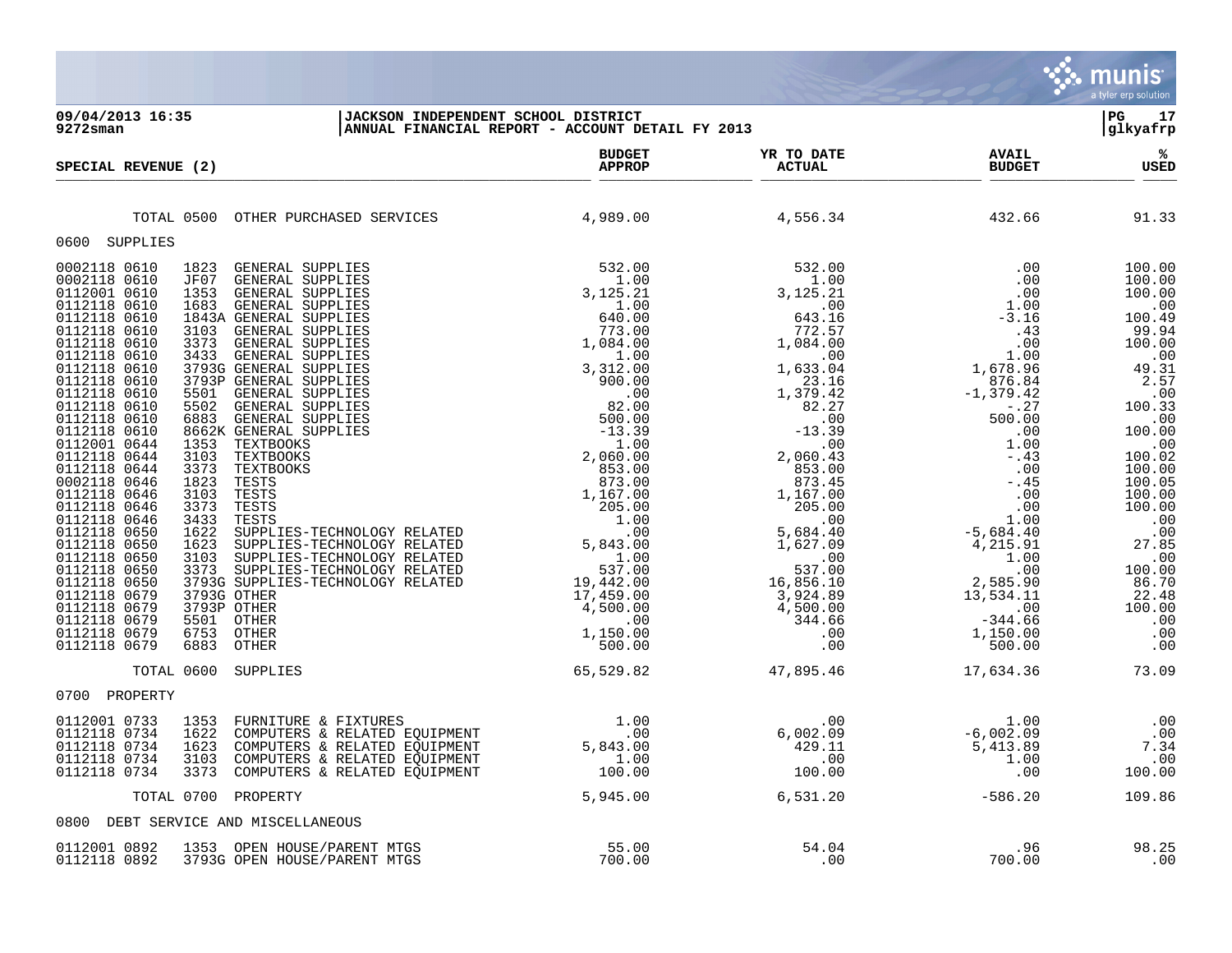| 09/04/2013 16:35<br>$9272$ sman                                                                                                                                                                                                                                                                                                                                                                                                                                                                              | JACKSON INDEPENDENT SCHOOL DISINICI<br>ANNUAL FINANCIAL REPORT - ACCOUNT DETAIL FY 2013                                                                                                                                                                                                                                                                                                                                                                                                                                                                                                                                                                                                                                                                                               |                                |                                       |                                                        | l PG-<br>17<br>glkyafrp             |
|--------------------------------------------------------------------------------------------------------------------------------------------------------------------------------------------------------------------------------------------------------------------------------------------------------------------------------------------------------------------------------------------------------------------------------------------------------------------------------------------------------------|---------------------------------------------------------------------------------------------------------------------------------------------------------------------------------------------------------------------------------------------------------------------------------------------------------------------------------------------------------------------------------------------------------------------------------------------------------------------------------------------------------------------------------------------------------------------------------------------------------------------------------------------------------------------------------------------------------------------------------------------------------------------------------------|--------------------------------|---------------------------------------|--------------------------------------------------------|-------------------------------------|
| SPECIAL REVENUE (2)                                                                                                                                                                                                                                                                                                                                                                                                                                                                                          |                                                                                                                                                                                                                                                                                                                                                                                                                                                                                                                                                                                                                                                                                                                                                                                       | <b>BUDGET</b><br><b>APPROP</b> | YR TO DATE<br>ACTUAL<br><b>ACTUAL</b> | <b>AVAIL</b><br><b>BUDGET</b>                          | $\%$<br>USED                        |
|                                                                                                                                                                                                                                                                                                                                                                                                                                                                                                              |                                                                                                                                                                                                                                                                                                                                                                                                                                                                                                                                                                                                                                                                                                                                                                                       |                                |                                       |                                                        |                                     |
|                                                                                                                                                                                                                                                                                                                                                                                                                                                                                                              | TOTAL 0500 OTHER PURCHASED SERVICES                                                                                                                                                                                                                                                                                                                                                                                                                                                                                                                                                                                                                                                                                                                                                   | 4,989.00                       | 4,556.34                              | 432.66                                                 | 91.33                               |
| 0600 SUPPLIES                                                                                                                                                                                                                                                                                                                                                                                                                                                                                                |                                                                                                                                                                                                                                                                                                                                                                                                                                                                                                                                                                                                                                                                                                                                                                                       |                                |                                       |                                                        |                                     |
| 0002118 0610<br>0002118 0610<br>0112001 0610<br>0112118 0610<br>0112118 0610<br>0112118 0610<br>0112118 0610<br>0112118 0610<br>0112118 0610<br>0112118 0610<br>0112118 0610<br>0112118 0610<br>0112118 0610<br>0112118 0610<br>0112001 0644<br>0112118 0644<br>0112118 0644<br>0002118 0646<br>0112118 0646<br>0112118 0646<br>0112118 0646<br>0112118 0650<br>0112118 0650<br>0112118 0650<br>0112118 0650<br>0112118 0650<br>0112118 0679<br>0112118 0679<br>0112118 0679<br>0112118 0679<br>0112118 0679 | 1823<br>$\begin{tabular}{@{\textbf{6.64\textwidth} \begin{tabular}{ c  c  c } \hline \textbf{QADERAL} & \textbf{SIPPLLES} & \textbf{SIPPLRES} & \textbf{S12-0.00} & \textbf{S21-0.00} & \textbf{S31-0.00} & \textbf{S10,000} & \textbf{S10,000} & \textbf{S21-0.00} & \textbf{S10,000} & \textbf{S21-0.00} & \textbf{S10,000} & \textbf{S10,000} & \textbf{S10,000} & \textbf{S1$<br>JF07<br>1353<br>1683 GENERAL SUPPLIES<br>1843A GENERAL SUPPLIES<br>3103<br>3373<br>3433<br>3793G GENERAL SUPPLIES<br>3793P GENERAL SUPPLIES<br>5501<br>5502<br>6883<br>8662K GENERAL SUPPLIES<br>1353 TEXTBOOKS<br>3103<br>3373<br>1823<br>3103<br>3373<br>3433<br>1622<br>1623<br>3103<br>3373<br>3793G SUPPLIES-TECHNOLOGY RELATED<br>3793G OTHER<br>3793P OTHER<br>5501 OTHER<br>6753<br>6883 |                                |                                       |                                                        |                                     |
| TOTAL 0600                                                                                                                                                                                                                                                                                                                                                                                                                                                                                                   | SUPPLIES                                                                                                                                                                                                                                                                                                                                                                                                                                                                                                                                                                                                                                                                                                                                                                              | 65,529.82                      | 47,895.46                             | 17,634.36                                              | 73.09                               |
| 0700 PROPERTY                                                                                                                                                                                                                                                                                                                                                                                                                                                                                                |                                                                                                                                                                                                                                                                                                                                                                                                                                                                                                                                                                                                                                                                                                                                                                                       |                                |                                       |                                                        |                                     |
| 0112001 0733<br>0112118 0734<br>0112118 0734<br>0112118 0734<br>0112118 0734                                                                                                                                                                                                                                                                                                                                                                                                                                 | COMPUTERS & FIXTURES<br>COMPUTERS & RELATED EQUIPMENT<br>COMPUTERS & RELATED EQUIPMENT<br>COMPUTERS & RELATED EQUIPMENT<br>COMPUTERS & RELATED EQUIPMENT<br>COMPUTERS & RELATED EQUIPMENT<br>COMPUTERS & RELATED EQUIPMENT<br>100.00<br>100.00<br>1353<br>1622<br>1623<br>3103<br>3373                                                                                                                                                                                                                                                                                                                                                                                                                                                                                                |                                |                                       | $1.00$<br>-6,002.09<br>5,413.89<br>1.00<br>1.00<br>.00 | .00<br>.00<br>7.34<br>.00<br>100.00 |
| TOTAL 0700                                                                                                                                                                                                                                                                                                                                                                                                                                                                                                   | PROPERTY                                                                                                                                                                                                                                                                                                                                                                                                                                                                                                                                                                                                                                                                                                                                                                              | 5,945.00                       | 6,531.20                              | $-586.20$                                              | 109.86                              |
|                                                                                                                                                                                                                                                                                                                                                                                                                                                                                                              | 0800 DEBT SERVICE AND MISCELLANEOUS                                                                                                                                                                                                                                                                                                                                                                                                                                                                                                                                                                                                                                                                                                                                                   |                                |                                       |                                                        |                                     |
| 0112001 0892<br>0112118 0892                                                                                                                                                                                                                                                                                                                                                                                                                                                                                 | 1353 OPEN HOUSE/PARENT MTGS<br>3793G OPEN HOUSE/PARENT MTGS                                                                                                                                                                                                                                                                                                                                                                                                                                                                                                                                                                                                                                                                                                                           | 55.00<br>700.00                | 54.04<br>.00                          | .96<br>700.00                                          | 98.25<br>.00                        |

 $\ddot{\ddot{\mathbf{y}}}$  munis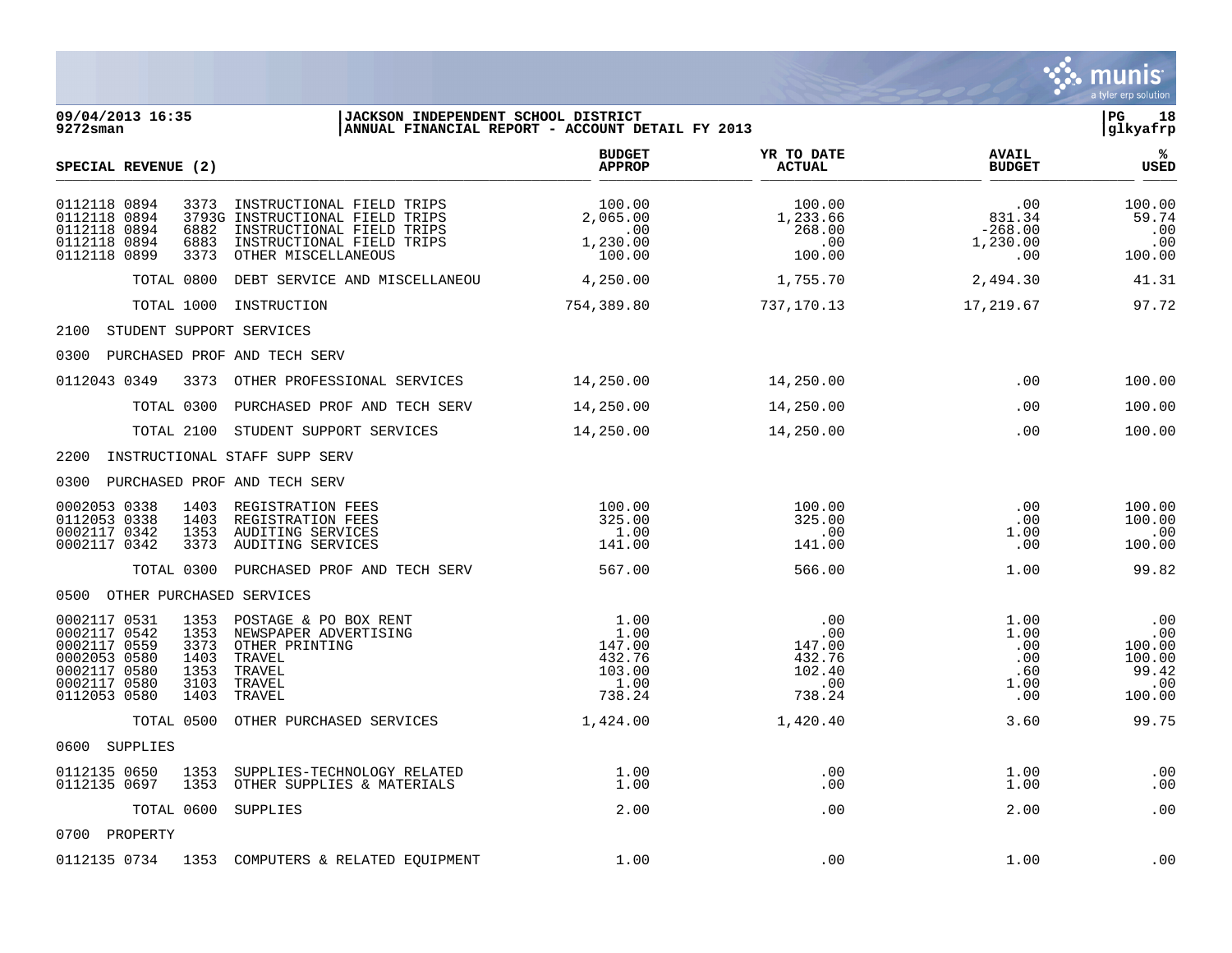

0112135 0734 1353 COMPUTERS & RELATED EOUIPMENT 1.00 .00 .00 .00 1.00 1.00 .00

 $\mathbf{\mathcal{C}}$  . munis a tyler erp solution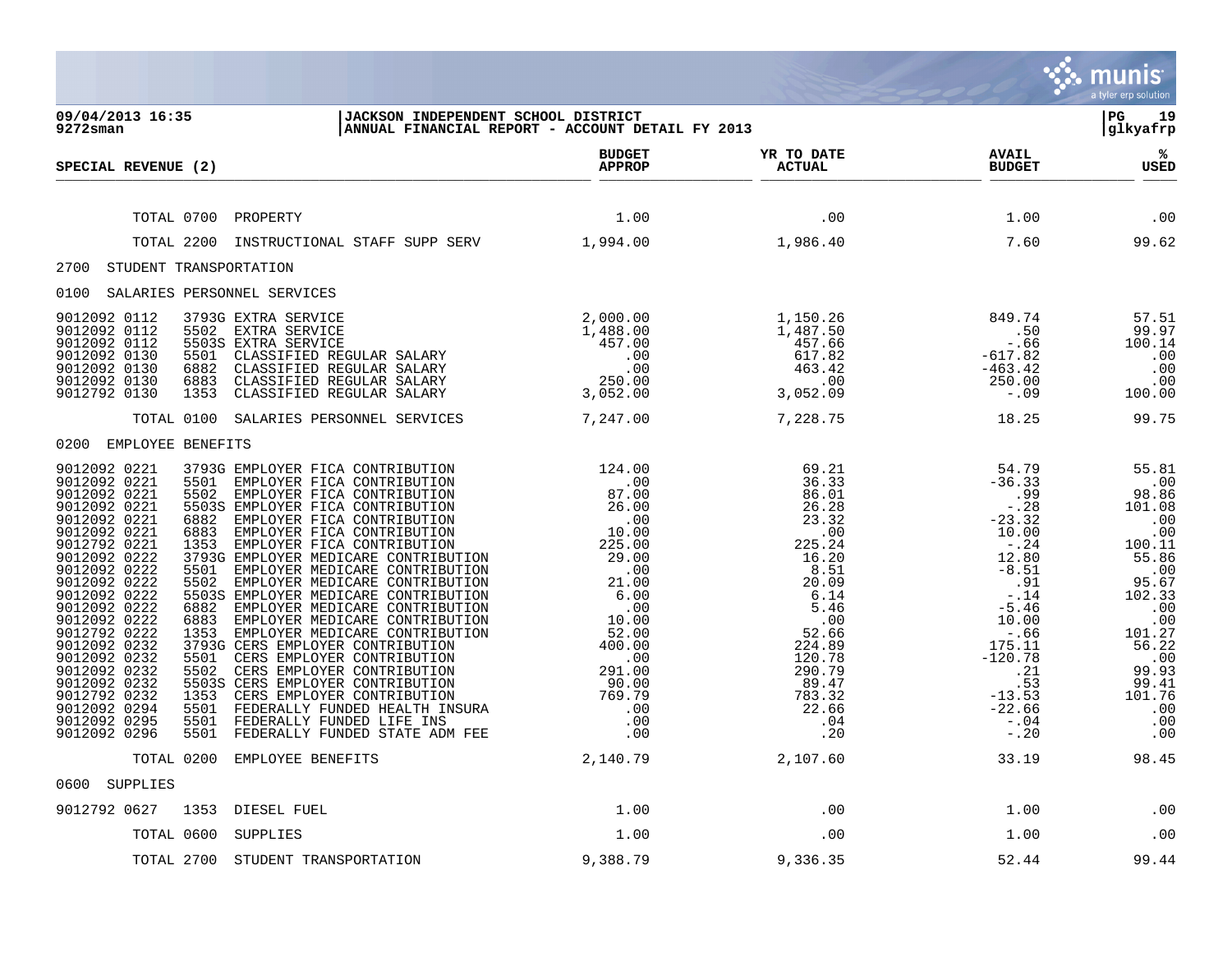|                                                                                                                                                                                                                                                                                                                                                                                                                                                                      |                                                                                                                                                                                                                                                                                                                                                                                                                                                                                                                                                                                                                                                                                                                                                                              |                                                                                                                                                                                                                                                                                                                                                                                                       |                                                                                                                                                                                                                       |                                                                                                                                                                                                                               | munis<br>a tyler erp solution                                                                                                                                                                                            |
|----------------------------------------------------------------------------------------------------------------------------------------------------------------------------------------------------------------------------------------------------------------------------------------------------------------------------------------------------------------------------------------------------------------------------------------------------------------------|------------------------------------------------------------------------------------------------------------------------------------------------------------------------------------------------------------------------------------------------------------------------------------------------------------------------------------------------------------------------------------------------------------------------------------------------------------------------------------------------------------------------------------------------------------------------------------------------------------------------------------------------------------------------------------------------------------------------------------------------------------------------------|-------------------------------------------------------------------------------------------------------------------------------------------------------------------------------------------------------------------------------------------------------------------------------------------------------------------------------------------------------------------------------------------------------|-----------------------------------------------------------------------------------------------------------------------------------------------------------------------------------------------------------------------|-------------------------------------------------------------------------------------------------------------------------------------------------------------------------------------------------------------------------------|--------------------------------------------------------------------------------------------------------------------------------------------------------------------------------------------------------------------------|
| 09/04/2013 16:35<br>9272sman                                                                                                                                                                                                                                                                                                                                                                                                                                         | JACKSON INDEPENDENT SCHOOL DISTRICT<br>ANNUAL FINANCIAL REPORT - ACCOUNT DETAIL FY 2013                                                                                                                                                                                                                                                                                                                                                                                                                                                                                                                                                                                                                                                                                      |                                                                                                                                                                                                                                                                                                                                                                                                       |                                                                                                                                                                                                                       |                                                                                                                                                                                                                               | $_{\rm PG}$<br>19<br> glkyafrp                                                                                                                                                                                           |
| SPECIAL REVENUE (2)                                                                                                                                                                                                                                                                                                                                                                                                                                                  |                                                                                                                                                                                                                                                                                                                                                                                                                                                                                                                                                                                                                                                                                                                                                                              | <b>BUDGET</b><br><b>APPROP</b>                                                                                                                                                                                                                                                                                                                                                                        | YR TO DATE<br><b>ACTUAL</b>                                                                                                                                                                                           | <b>AVAIL</b><br><b>BUDGET</b>                                                                                                                                                                                                 | ℁<br>USED                                                                                                                                                                                                                |
| TOTAL 0700                                                                                                                                                                                                                                                                                                                                                                                                                                                           | PROPERTY                                                                                                                                                                                                                                                                                                                                                                                                                                                                                                                                                                                                                                                                                                                                                                     | 1.00                                                                                                                                                                                                                                                                                                                                                                                                  | .00                                                                                                                                                                                                                   | 1.00                                                                                                                                                                                                                          | .00                                                                                                                                                                                                                      |
| TOTAL 2200                                                                                                                                                                                                                                                                                                                                                                                                                                                           | INSTRUCTIONAL STAFF SUPP SERV 1,994.00                                                                                                                                                                                                                                                                                                                                                                                                                                                                                                                                                                                                                                                                                                                                       |                                                                                                                                                                                                                                                                                                                                                                                                       | 1,986.40                                                                                                                                                                                                              | 7.60                                                                                                                                                                                                                          | 99.62                                                                                                                                                                                                                    |
| 2700<br>STUDENT TRANSPORTATION                                                                                                                                                                                                                                                                                                                                                                                                                                       |                                                                                                                                                                                                                                                                                                                                                                                                                                                                                                                                                                                                                                                                                                                                                                              |                                                                                                                                                                                                                                                                                                                                                                                                       |                                                                                                                                                                                                                       |                                                                                                                                                                                                                               |                                                                                                                                                                                                                          |
| 0100 SALARIES PERSONNEL SERVICES                                                                                                                                                                                                                                                                                                                                                                                                                                     |                                                                                                                                                                                                                                                                                                                                                                                                                                                                                                                                                                                                                                                                                                                                                                              |                                                                                                                                                                                                                                                                                                                                                                                                       |                                                                                                                                                                                                                       |                                                                                                                                                                                                                               |                                                                                                                                                                                                                          |
| 9012092 0112<br>9012092 0112<br>9012092 0112<br>9012092 0130<br>5501<br>9012092 0130<br>6882<br>9012092 0130<br>6883<br>9012792 0130<br>1353                                                                                                                                                                                                                                                                                                                         | $\begin{tabular}{l l l l} \multicolumn{2}{c}{\textbf{EXTRA} \textbf{ SERVICE}} & & & & 2,000.00 \\ \multicolumn{2}{c}{\textbf{EXTRA} \textbf{ SERVICE}} & & & 1,488.00 \\ \multicolumn{2}{c}{\textbf{EXTRA} \textbf{ SERVICE}} & & & 1,488.00 \\ \multicolumn{2}{c}{\textbf{CLASSIFIED REGULAR SALARY}} & & & 00 \\ \multicolumn{2}{c}{\textbf{CLASSIFIED REGULAR SALARY}} & & & 00 \\ \multicolumn{2}{c}{\textbf{CLASSIFIED REGULAR SALARY}} & & 250.00 \\ \multicolumn{$<br>3793G EXTRA SERVICE<br>5502 EXTRA SERVICE<br>5503S EXTRA SERVICE                                                                                                                                                                                                                               |                                                                                                                                                                                                                                                                                                                                                                                                       | 1,150.26<br>$1,150.26$<br>$487.66$<br>$457.66$<br>$617.82$<br>$463.42$<br>$.00$<br>$3,052.09$                                                                                                                         | 849.74<br>$-50$<br>-.66<br>$.50$<br>$-.66$<br>$-617.82$<br>$-463.42$<br>$250.00$<br>$-.09$                                                                                                                                    | 57.51<br>99.97<br>100.14<br>.00<br>.00<br>.00<br>100.00                                                                                                                                                                  |
|                                                                                                                                                                                                                                                                                                                                                                                                                                                                      | TOTAL 0100 SALARIES PERSONNEL SERVICES                                                                                                                                                                                                                                                                                                                                                                                                                                                                                                                                                                                                                                                                                                                                       | 7,247.00                                                                                                                                                                                                                                                                                                                                                                                              | 7,228.75                                                                                                                                                                                                              | 18.25                                                                                                                                                                                                                         | 99.75                                                                                                                                                                                                                    |
| 0200 EMPLOYEE BENEFITS                                                                                                                                                                                                                                                                                                                                                                                                                                               |                                                                                                                                                                                                                                                                                                                                                                                                                                                                                                                                                                                                                                                                                                                                                                              |                                                                                                                                                                                                                                                                                                                                                                                                       |                                                                                                                                                                                                                       |                                                                                                                                                                                                                               |                                                                                                                                                                                                                          |
| 9012092 0221<br>9012092 0221<br>9012092 0221<br>5502<br>9012092 0221<br>9012092 0221<br>6882<br>9012092 0221<br>6883<br>9012792 0221<br>1353<br>9012092 0222<br>9012092 0222<br>5501<br>9012092 0222<br>5502<br>9012092 0222<br>9012092 0222<br>6882<br>9012092 0222<br>6883<br>9012792 0222<br>9012092 0232<br>9012092 0232<br>5501<br>9012092 0232<br>5502<br>9012092 0232<br>9012792 0232<br>1353<br>9012092 0294<br>5501<br>9012092 0295<br>5501<br>9012092 0296 | 3793G EMPLOYER FICA CONTRIBUTION<br>5501<br>EMPLOYER FICA CONTRIBUTION<br>EMPLOYER FICA CONTRIBUTION<br>5503S EMPLOYER FICA CONTRIBUTION<br>EMPLOYER FICA CONTRIBUTION<br>EMPLOYER FICA CONTRIBUTION<br>EMPLOYER FICA CONTRIBUTION<br>3793G EMPLOYER MEDICARE CONTRIBUTION<br>EMPLOYER MEDICARE CONTRIBUTION<br>EMPLOYER MEDICARE CONTRIBUTION<br>5503S EMPLOYER MEDICARE CONTRIBUTION<br>EMPLOYER MEDICARE CONTRIBUTION<br>EMPLOYER MEDICARE CONTRIBUTION<br>EMPLOYER MEDICARE CONTRIBUTION<br>1353<br>3793G CERS EMPLOYER CONTRIBUTION<br>CERS EMPLOYER CONTRIBUTION<br>CERS EMPLOYER CONTRIBUTION<br>5503S CERS EMPLOYER CONTRIBUTION<br>CERS EMPLOYER CONTRIBUTION<br>FEDERALLY FUNDED HEALTH INSURA<br>FEDERALLY FUNDED LIFE INS<br>5501 FEDERALLY FUNDED STATE ADM FEE | $\begin{array}{cccc} 124.00 & & & & & & & 124.00 \\ & & & & & & & & & 0 \\ 0 & & & & & & & & 0 \\ 0 & & & & & & & & 0 \\ 0 & & & & & & & 0 \\ 0 & & & & & & & 0 \\ 0 & & & & & & & 0 \\ 0 & & & & & & & 0 \\ 0 & & & & & & & 0 \\ 0 & & & & & & & 0 \\ 0 & & & & & & & 0 \\ 0 & & & & & & & 0 \\ 0 & & & & & & & 0 \\ 0 & & & & & & & 0 \\ 0 & & & & & & & 0 \\ 0 & & & & & & & 0 \\ 0 & & & & & & &$ | 69.21<br>36.33<br>86.01<br>$86.01$<br>$26.28$<br>$23.300$<br>$225.24$<br>$16.20$<br>$8.51$<br>$20.09$<br>$6.14$<br>$5.46$<br>$0.00$<br>$224.89$<br>$120.78$<br>$290.79$<br>$89.47$<br>$783.36$<br>22.66<br>.04<br>.20 | $54.79$<br>$-36.33$<br>.99<br>$- 0.28$<br>$-23.32$<br>10.00<br>$-0.24$<br>12.80<br>$-8.51$<br>.91<br>$-.14$<br>$-5.46$<br>10.00<br>$- 0.66$<br>175.11<br>$-120.78$<br>.21<br>.53<br>$-13.53$<br>$-22.66$<br>$-0.04$<br>$-.20$ | 55.81<br>.00<br>98.86<br>101.08<br>$\overline{00}$<br>.00<br>100.11<br>55.86<br>.00<br>95.67<br>102.33<br>$\overline{\phantom{0}}$ .00<br>.00<br>101.27<br>56.22<br>.00<br>99.93<br>99.41<br>101.76<br>.00<br>.00<br>.00 |
|                                                                                                                                                                                                                                                                                                                                                                                                                                                                      | TOTAL 0200 EMPLOYEE BENEFITS                                                                                                                                                                                                                                                                                                                                                                                                                                                                                                                                                                                                                                                                                                                                                 | 2,140.79                                                                                                                                                                                                                                                                                                                                                                                              | 2,107.60                                                                                                                                                                                                              | 33.19                                                                                                                                                                                                                         | 98.45                                                                                                                                                                                                                    |
| 0600 SUPPLIES                                                                                                                                                                                                                                                                                                                                                                                                                                                        |                                                                                                                                                                                                                                                                                                                                                                                                                                                                                                                                                                                                                                                                                                                                                                              |                                                                                                                                                                                                                                                                                                                                                                                                       |                                                                                                                                                                                                                       |                                                                                                                                                                                                                               |                                                                                                                                                                                                                          |
| 9012792 0627                                                                                                                                                                                                                                                                                                                                                                                                                                                         | 1353 DIESEL FUEL                                                                                                                                                                                                                                                                                                                                                                                                                                                                                                                                                                                                                                                                                                                                                             | 1.00                                                                                                                                                                                                                                                                                                                                                                                                  | .00                                                                                                                                                                                                                   | 1.00                                                                                                                                                                                                                          | .00                                                                                                                                                                                                                      |
|                                                                                                                                                                                                                                                                                                                                                                                                                                                                      | TOTAL 0600 SUPPLIES                                                                                                                                                                                                                                                                                                                                                                                                                                                                                                                                                                                                                                                                                                                                                          | 1.00                                                                                                                                                                                                                                                                                                                                                                                                  | .00                                                                                                                                                                                                                   | 1.00                                                                                                                                                                                                                          | .00                                                                                                                                                                                                                      |
|                                                                                                                                                                                                                                                                                                                                                                                                                                                                      | TOTAL 2700 STUDENT TRANSPORTATION                                                                                                                                                                                                                                                                                                                                                                                                                                                                                                                                                                                                                                                                                                                                            | 9,388.79                                                                                                                                                                                                                                                                                                                                                                                              | 9,336.35                                                                                                                                                                                                              | 52.44                                                                                                                                                                                                                         | 99.44                                                                                                                                                                                                                    |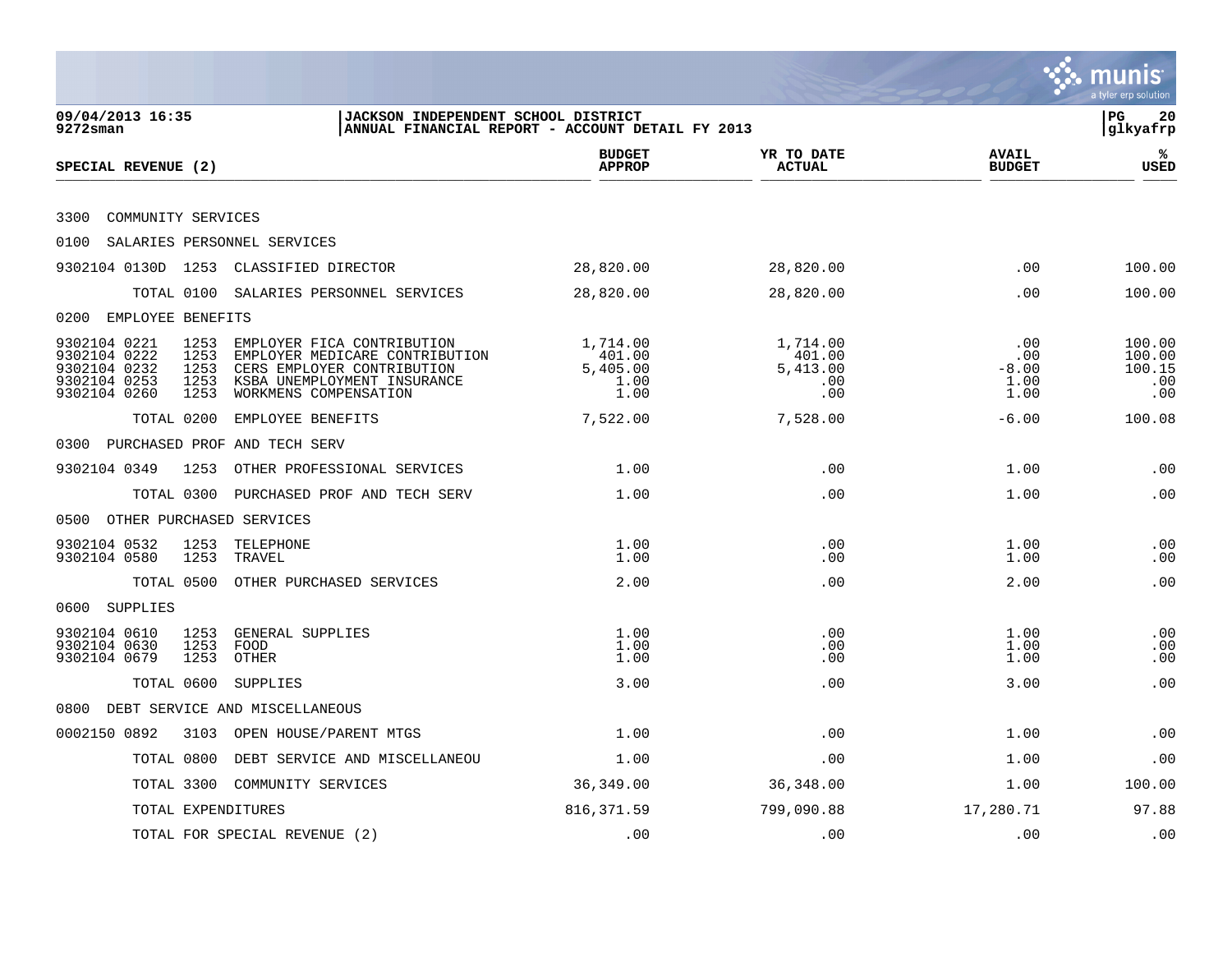|                                                                                                                                                                                                                                                                            |                                                  |                                              |                                       | munis<br>a tyler erp solution            |
|----------------------------------------------------------------------------------------------------------------------------------------------------------------------------------------------------------------------------------------------------------------------------|--------------------------------------------------|----------------------------------------------|---------------------------------------|------------------------------------------|
| 09/04/2013 16:35<br>JACKSON INDEPENDENT SCHOOL DISTRICT<br>$9272$ sman                                                                                                                                                                                                     | ANNUAL FINANCIAL REPORT - ACCOUNT DETAIL FY 2013 |                                              |                                       | PG<br>20<br>glkyafrp                     |
| SPECIAL REVENUE (2)                                                                                                                                                                                                                                                        | <b>BUDGET</b><br><b>APPROP</b>                   | YR TO DATE<br><b>ACTUAL</b>                  | <b>AVAIL</b><br><b>BUDGET</b>         | %<br><b>USED</b>                         |
| COMMUNITY SERVICES<br>3300                                                                                                                                                                                                                                                 |                                                  |                                              |                                       |                                          |
| SALARIES PERSONNEL SERVICES<br>0100                                                                                                                                                                                                                                        |                                                  |                                              |                                       |                                          |
| 9302104 0130D 1253 CLASSIFIED DIRECTOR                                                                                                                                                                                                                                     | 28,820.00                                        | 28,820.00                                    | .00                                   | 100.00                                   |
| TOTAL 0100 SALARIES PERSONNEL SERVICES                                                                                                                                                                                                                                     | 28,820.00                                        | 28,820.00                                    | .00                                   | 100.00                                   |
| EMPLOYEE BENEFITS<br>0200                                                                                                                                                                                                                                                  |                                                  |                                              |                                       |                                          |
| 9302104 0221<br>1253<br>EMPLOYER FICA CONTRIBUTION<br>9302104 0222<br>1253<br>EMPLOYER MEDICARE CONTRIBUTION<br>9302104 0232<br>1253<br>CERS EMPLOYER CONTRIBUTION<br>9302104 0253<br>1253<br>KSBA UNEMPLOYMENT INSURANCE<br>9302104 0260<br>WORKMENS COMPENSATION<br>1253 | 1,714.00<br>401.00<br>5,405.00<br>1.00<br>1.00   | 1,714.00<br>401.00<br>5,413.00<br>.00<br>.00 | .00<br>.00<br>$-8.00$<br>1.00<br>1.00 | 100.00<br>100.00<br>100.15<br>.00<br>.00 |
| TOTAL 0200<br>EMPLOYEE BENEFITS                                                                                                                                                                                                                                            | 7,522.00                                         | 7,528.00                                     | $-6.00$                               | 100.08                                   |
| 0300 PURCHASED PROF AND TECH SERV                                                                                                                                                                                                                                          |                                                  |                                              |                                       |                                          |
| 9302104 0349<br>1253<br>OTHER PROFESSIONAL SERVICES                                                                                                                                                                                                                        | 1.00                                             | .00                                          | 1.00                                  | .00                                      |
| TOTAL 0300<br>PURCHASED PROF AND TECH SERV                                                                                                                                                                                                                                 | 1.00                                             | .00                                          | 1.00                                  | .00                                      |
| 0500<br>OTHER PURCHASED SERVICES                                                                                                                                                                                                                                           |                                                  |                                              |                                       |                                          |
| 1253<br>9302104 0532<br>TELEPHONE<br>9302104 0580<br>1253<br>TRAVEL                                                                                                                                                                                                        | 1.00<br>1.00                                     | .00<br>.00                                   | 1.00<br>1.00                          | .00<br>.00                               |
| TOTAL 0500<br>OTHER PURCHASED SERVICES                                                                                                                                                                                                                                     | 2.00                                             | .00                                          | 2.00                                  | .00                                      |
| 0600 SUPPLIES                                                                                                                                                                                                                                                              |                                                  |                                              |                                       |                                          |
| 9302104 0610<br>1253<br>GENERAL SUPPLIES<br>9302104 0630<br>1253<br>FOOD<br>9302104 0679<br>1253<br>OTHER                                                                                                                                                                  | 1.00<br>1.00<br>1.00                             | .00<br>.00<br>.00                            | 1.00<br>1.00<br>1.00                  | .00<br>.00<br>.00                        |
| TOTAL 0600<br>SUPPLIES                                                                                                                                                                                                                                                     | 3.00                                             | .00                                          | 3.00                                  | .00                                      |
| 0800 DEBT SERVICE AND MISCELLANEOUS                                                                                                                                                                                                                                        |                                                  |                                              |                                       |                                          |
| 0002150 0892<br>3103 OPEN HOUSE/PARENT MTGS                                                                                                                                                                                                                                | 1.00                                             | .00                                          | 1.00                                  | .00                                      |
| TOTAL 0800<br>DEBT SERVICE AND MISCELLANEOU                                                                                                                                                                                                                                | 1.00                                             | .00                                          | 1.00                                  | .00                                      |
| TOTAL 3300 COMMUNITY SERVICES                                                                                                                                                                                                                                              | 36,349.00                                        | 36,348.00                                    | 1.00                                  | 100.00                                   |
| TOTAL EXPENDITURES                                                                                                                                                                                                                                                         | 816, 371.59                                      | 799,090.88                                   | 17,280.71                             | 97.88                                    |
| TOTAL FOR SPECIAL REVENUE (2)                                                                                                                                                                                                                                              | .00                                              | .00                                          | .00                                   | .00                                      |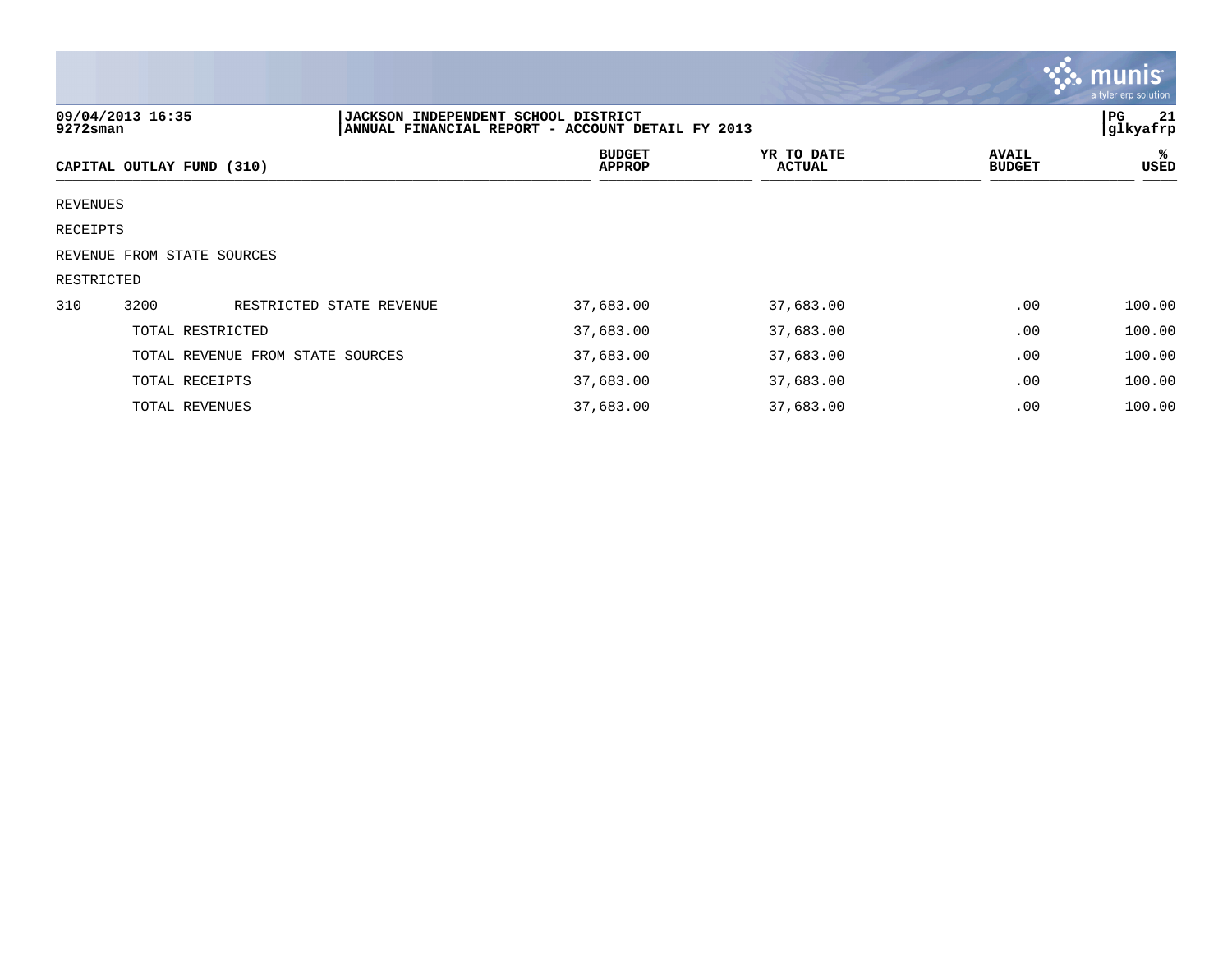|            |                                  |                                            |                                                  |                             |                               | <b>munis</b><br>a tyler erp solution |
|------------|----------------------------------|--------------------------------------------|--------------------------------------------------|-----------------------------|-------------------------------|--------------------------------------|
| 9272sman   | 09/04/2013 16:35                 | <b>JACKSON INDEPENDENT SCHOOL DISTRICT</b> | ANNUAL FINANCIAL REPORT - ACCOUNT DETAIL FY 2013 |                             |                               | PG<br>21<br>glkyafrp                 |
|            | CAPITAL OUTLAY FUND (310)        |                                            | <b>BUDGET</b><br>APPROP                          | YR TO DATE<br><b>ACTUAL</b> | <b>AVAIL</b><br><b>BUDGET</b> | ℁<br>USED                            |
| REVENUES   |                                  |                                            |                                                  |                             |                               |                                      |
| RECEIPTS   |                                  |                                            |                                                  |                             |                               |                                      |
|            | REVENUE FROM STATE SOURCES       |                                            |                                                  |                             |                               |                                      |
| RESTRICTED |                                  |                                            |                                                  |                             |                               |                                      |
| 310        | 3200                             | RESTRICTED STATE REVENUE                   | 37,683.00                                        | 37,683.00                   | .00                           | 100.00                               |
|            | TOTAL RESTRICTED                 |                                            | 37,683.00                                        | 37,683.00                   | .00                           | 100.00                               |
|            | TOTAL REVENUE FROM STATE SOURCES |                                            | 37,683.00                                        | 37,683.00                   | .00                           | 100.00                               |
|            | TOTAL RECEIPTS                   |                                            | 37,683.00                                        | 37,683.00                   | .00                           | 100.00                               |
|            | TOTAL REVENUES                   |                                            | 37,683.00                                        | 37,683.00                   | .00                           | 100.00                               |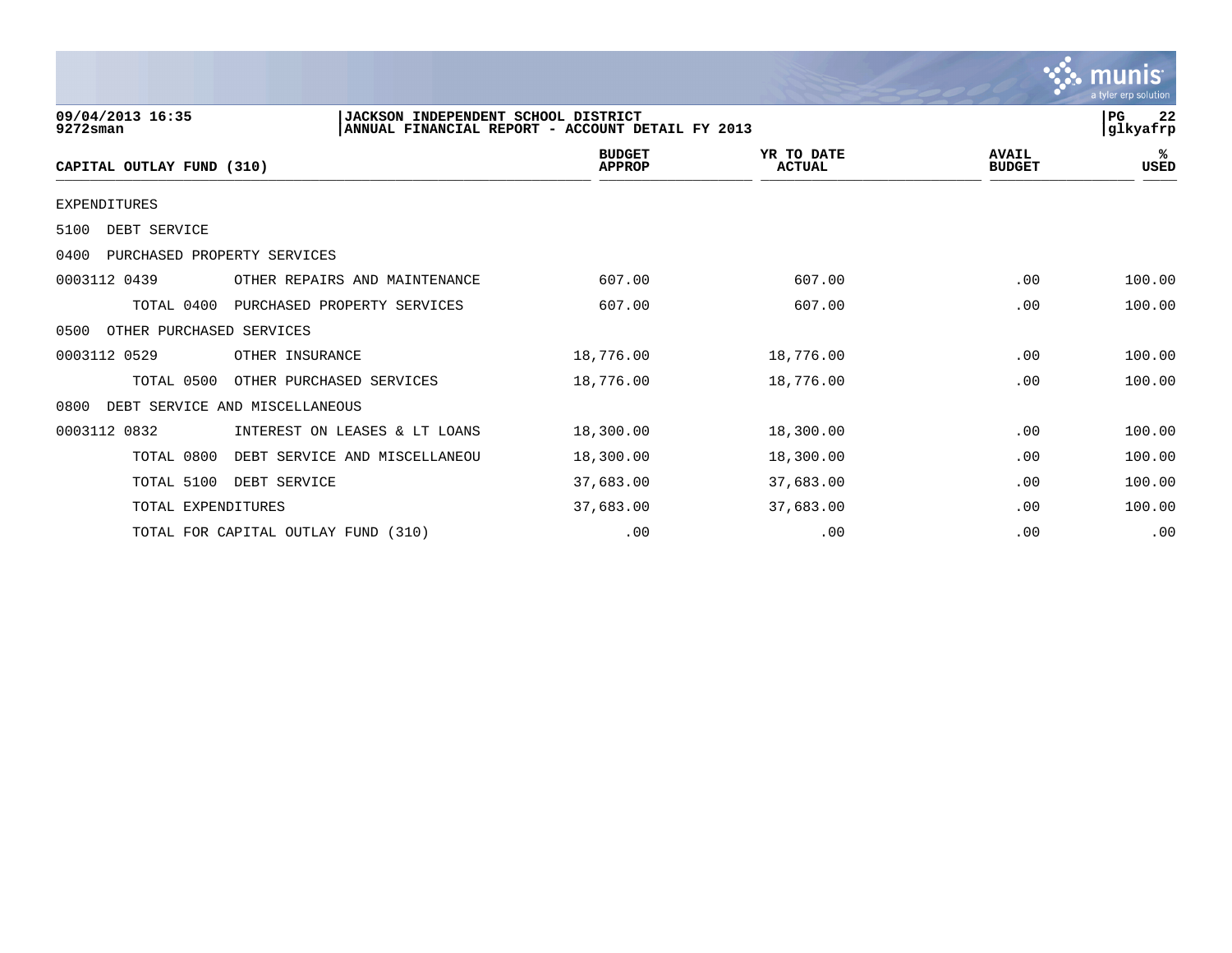|                                     |                                     |                                |                             |                               | munis <sup>.</sup><br>a tyler erp solution |
|-------------------------------------|-------------------------------------|--------------------------------|-----------------------------|-------------------------------|--------------------------------------------|
| 09/04/2013 16:35<br>$9272$ sman     |                                     | 22<br>PG<br>glkyafrp           |                             |                               |                                            |
| CAPITAL OUTLAY FUND (310)           |                                     | <b>BUDGET</b><br><b>APPROP</b> | YR TO DATE<br><b>ACTUAL</b> | <b>AVAIL</b><br><b>BUDGET</b> | %ะ<br>USED                                 |
| <b>EXPENDITURES</b>                 |                                     |                                |                             |                               |                                            |
| DEBT SERVICE<br>5100                |                                     |                                |                             |                               |                                            |
| 0400<br>PURCHASED PROPERTY SERVICES |                                     |                                |                             |                               |                                            |
| 0003112 0439                        | OTHER REPAIRS AND MAINTENANCE       | 607.00                         | 607.00                      | .00                           | 100.00                                     |
| TOTAL 0400                          | PURCHASED PROPERTY SERVICES         | 607.00                         | 607.00                      | .00                           | 100.00                                     |
| OTHER PURCHASED SERVICES<br>0500    |                                     |                                |                             |                               |                                            |
| 0003112 0529                        | OTHER INSURANCE                     | 18,776.00                      | 18,776.00                   | .00                           | 100.00                                     |
| TOTAL 0500                          | OTHER PURCHASED SERVICES            | 18,776.00                      | 18,776.00                   | .00                           | 100.00                                     |
| 0800                                | DEBT SERVICE AND MISCELLANEOUS      |                                |                             |                               |                                            |
| 0003112 0832                        | INTEREST ON LEASES & LT LOANS       | 18,300.00                      | 18,300.00                   | .00                           | 100.00                                     |
| TOTAL 0800                          | DEBT SERVICE AND MISCELLANEOU       | 18,300.00                      | 18,300.00                   | .00                           | 100.00                                     |
| TOTAL 5100                          | DEBT SERVICE                        | 37,683.00                      | 37,683.00                   | .00                           | 100.00                                     |
| TOTAL EXPENDITURES                  |                                     | 37,683.00                      | 37,683.00                   | .00                           | 100.00                                     |
|                                     | TOTAL FOR CAPITAL OUTLAY FUND (310) | .00                            | .00                         | .00                           | .00                                        |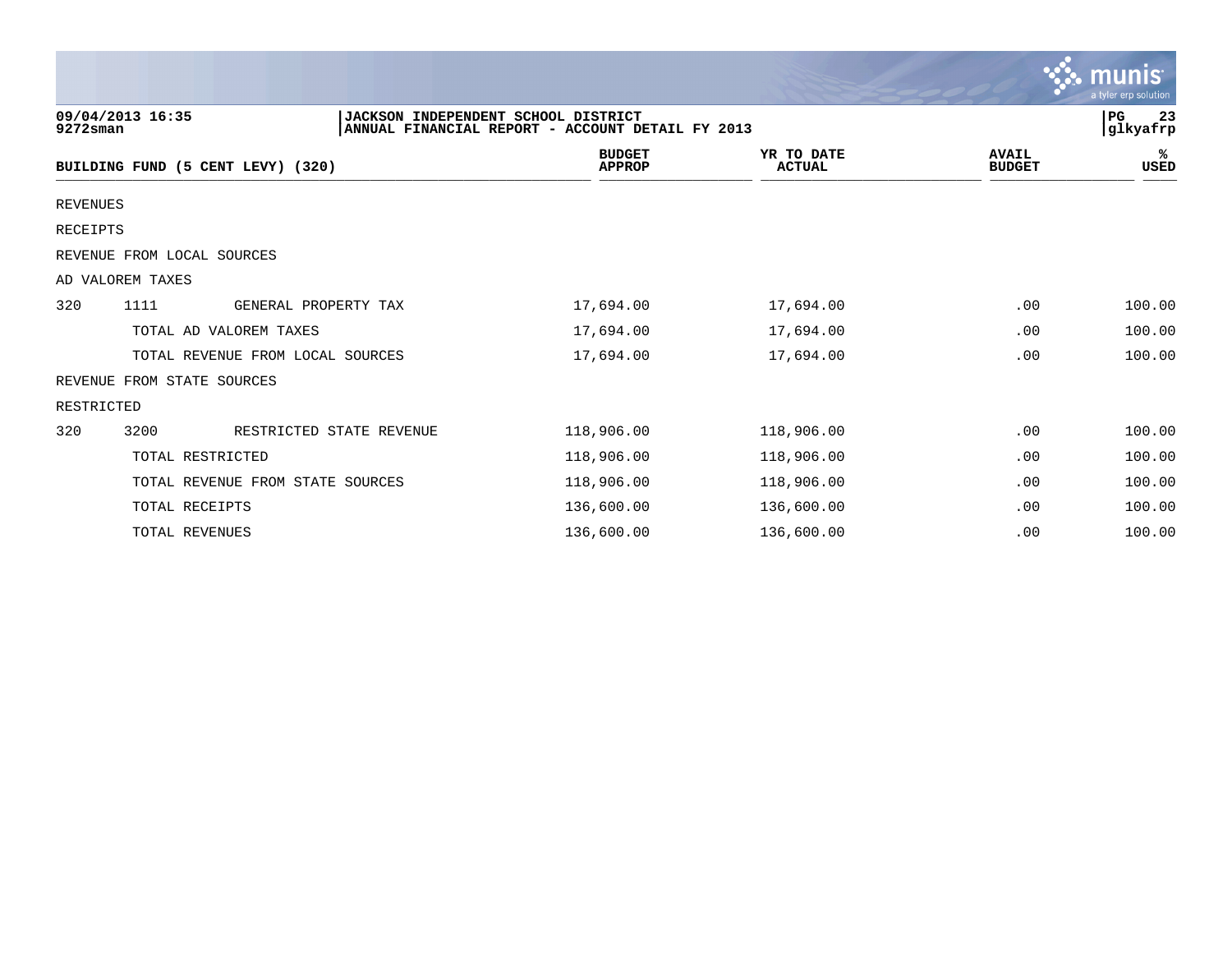|                 |                                   |                                                                                         |                             |                               | munis<br>a tyler erp solution |
|-----------------|-----------------------------------|-----------------------------------------------------------------------------------------|-----------------------------|-------------------------------|-------------------------------|
| $9272$ sman     | 09/04/2013 16:35                  | JACKSON INDEPENDENT SCHOOL DISTRICT<br>ANNUAL FINANCIAL REPORT - ACCOUNT DETAIL FY 2013 |                             |                               | $_{\rm PG}$<br>23<br>glkyafrp |
|                 | BUILDING FUND (5 CENT LEVY) (320) | <b>BUDGET</b><br><b>APPROP</b>                                                          | YR TO DATE<br><b>ACTUAL</b> | <b>AVAIL</b><br><b>BUDGET</b> | ℁<br><b>USED</b>              |
| <b>REVENUES</b> |                                   |                                                                                         |                             |                               |                               |
| RECEIPTS        |                                   |                                                                                         |                             |                               |                               |
|                 | REVENUE FROM LOCAL SOURCES        |                                                                                         |                             |                               |                               |
|                 | AD VALOREM TAXES                  |                                                                                         |                             |                               |                               |
| 320             | 1111<br>GENERAL PROPERTY TAX      | 17,694.00                                                                               | 17,694.00                   | .00                           | 100.00                        |
|                 | TOTAL AD VALOREM TAXES            | 17,694.00                                                                               | 17,694.00                   | .00                           | 100.00                        |
|                 | TOTAL REVENUE FROM LOCAL SOURCES  | 17,694.00                                                                               | 17,694.00                   | .00                           | 100.00                        |
|                 | REVENUE FROM STATE SOURCES        |                                                                                         |                             |                               |                               |
| RESTRICTED      |                                   |                                                                                         |                             |                               |                               |
| 320             | 3200<br>RESTRICTED STATE REVENUE  | 118,906.00                                                                              | 118,906.00                  | .00                           | 100.00                        |
|                 | TOTAL RESTRICTED                  | 118,906.00                                                                              | 118,906.00                  | .00                           | 100.00                        |
|                 | TOTAL REVENUE FROM STATE SOURCES  | 118,906.00                                                                              | 118,906.00                  | .00                           | 100.00                        |
|                 | TOTAL RECEIPTS                    | 136,600.00                                                                              | 136,600.00                  | .00                           | 100.00                        |
|                 | TOTAL REVENUES                    | 136,600.00                                                                              | 136,600.00                  | .00                           | 100.00                        |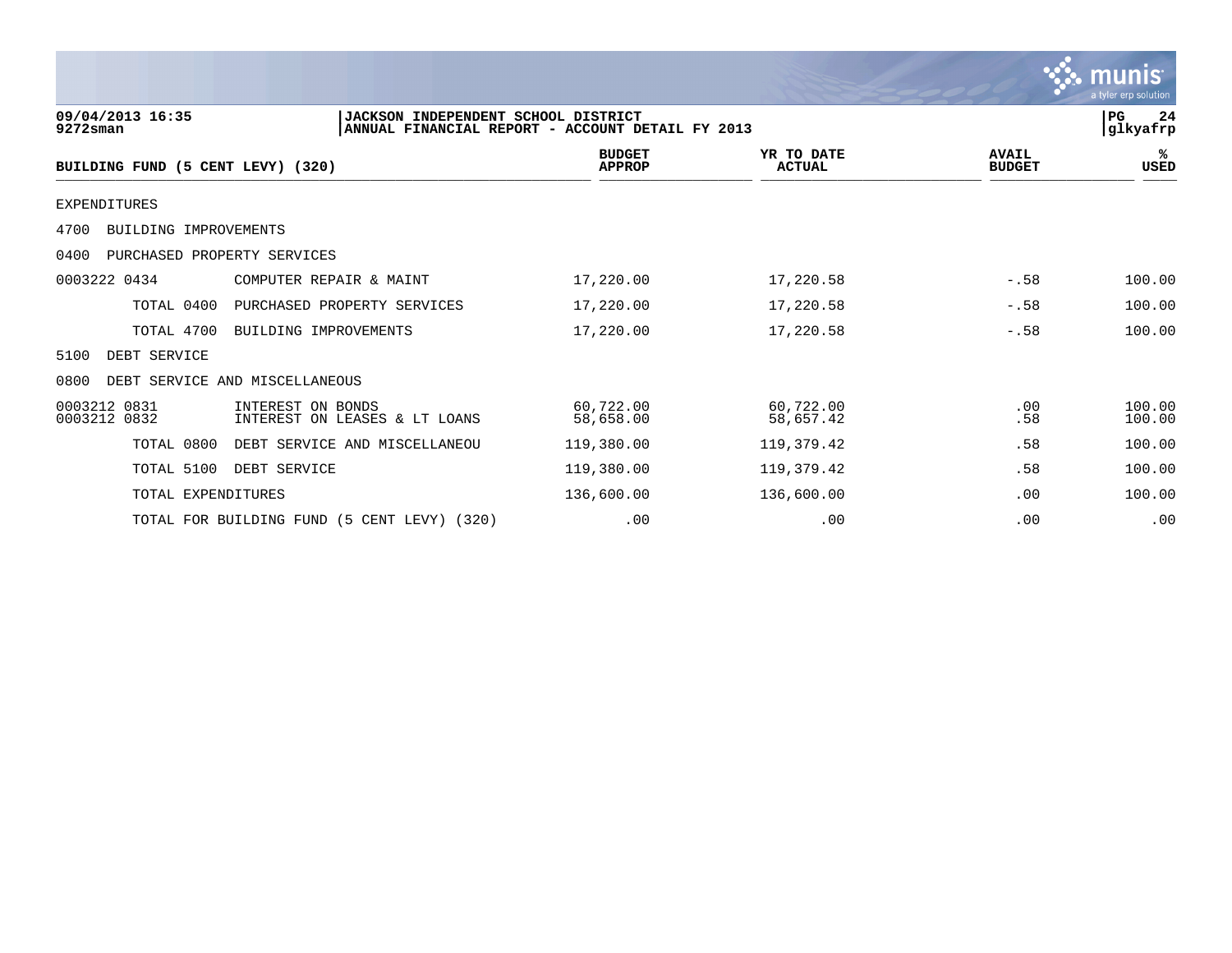|                                     |                                                                                         |                                |                             |                               | <u>munis</u><br>a tyler erp solution |
|-------------------------------------|-----------------------------------------------------------------------------------------|--------------------------------|-----------------------------|-------------------------------|--------------------------------------|
| 09/04/2013 16:35<br>$9272$ sman     | JACKSON INDEPENDENT SCHOOL DISTRICT<br>ANNUAL FINANCIAL REPORT - ACCOUNT DETAIL FY 2013 |                                |                             | PG<br>24<br> glkyafrp         |                                      |
| BUILDING FUND (5 CENT LEVY) (320)   |                                                                                         | <b>BUDGET</b><br><b>APPROP</b> | YR TO DATE<br><b>ACTUAL</b> | <b>AVAIL</b><br><b>BUDGET</b> | %ะ<br><b>USED</b>                    |
| <b>EXPENDITURES</b>                 |                                                                                         |                                |                             |                               |                                      |
| 4700<br>BUILDING IMPROVEMENTS       |                                                                                         |                                |                             |                               |                                      |
| 0400<br>PURCHASED PROPERTY SERVICES |                                                                                         |                                |                             |                               |                                      |
| 0003222 0434                        | COMPUTER REPAIR & MAINT                                                                 | 17,220.00                      | 17,220.58                   | $-.58$                        | 100.00                               |
| TOTAL 0400                          | PURCHASED PROPERTY SERVICES                                                             | 17,220.00                      | 17,220.58                   | $-.58$                        | 100.00                               |
| TOTAL 4700                          | BUILDING IMPROVEMENTS                                                                   | 17,220.00                      | 17,220.58                   | $-.58$                        | 100.00                               |
| 5100<br>DEBT SERVICE                |                                                                                         |                                |                             |                               |                                      |
| 0800                                | DEBT SERVICE AND MISCELLANEOUS                                                          |                                |                             |                               |                                      |
| 0003212 0831<br>0003212 0832        | INTEREST ON BONDS<br>INTEREST ON LEASES & LT LOANS                                      | 60,722.00<br>58,658.00         | 60,722.00<br>58,657.42      | .00<br>.58                    | 100.00<br>100.00                     |
| TOTAL 0800                          | DEBT SERVICE AND MISCELLANEOU                                                           | 119,380.00                     | 119,379.42                  | .58                           | 100.00                               |
| TOTAL 5100                          | DEBT SERVICE                                                                            | 119,380.00                     | 119,379.42                  | .58                           | 100.00                               |
| TOTAL EXPENDITURES                  |                                                                                         | 136,600.00                     | 136,600.00                  | .00                           | 100.00                               |

TOTAL FOR BUILDING FUND (5 CENT LEVY) (320) .00 .00 .00 .00 .00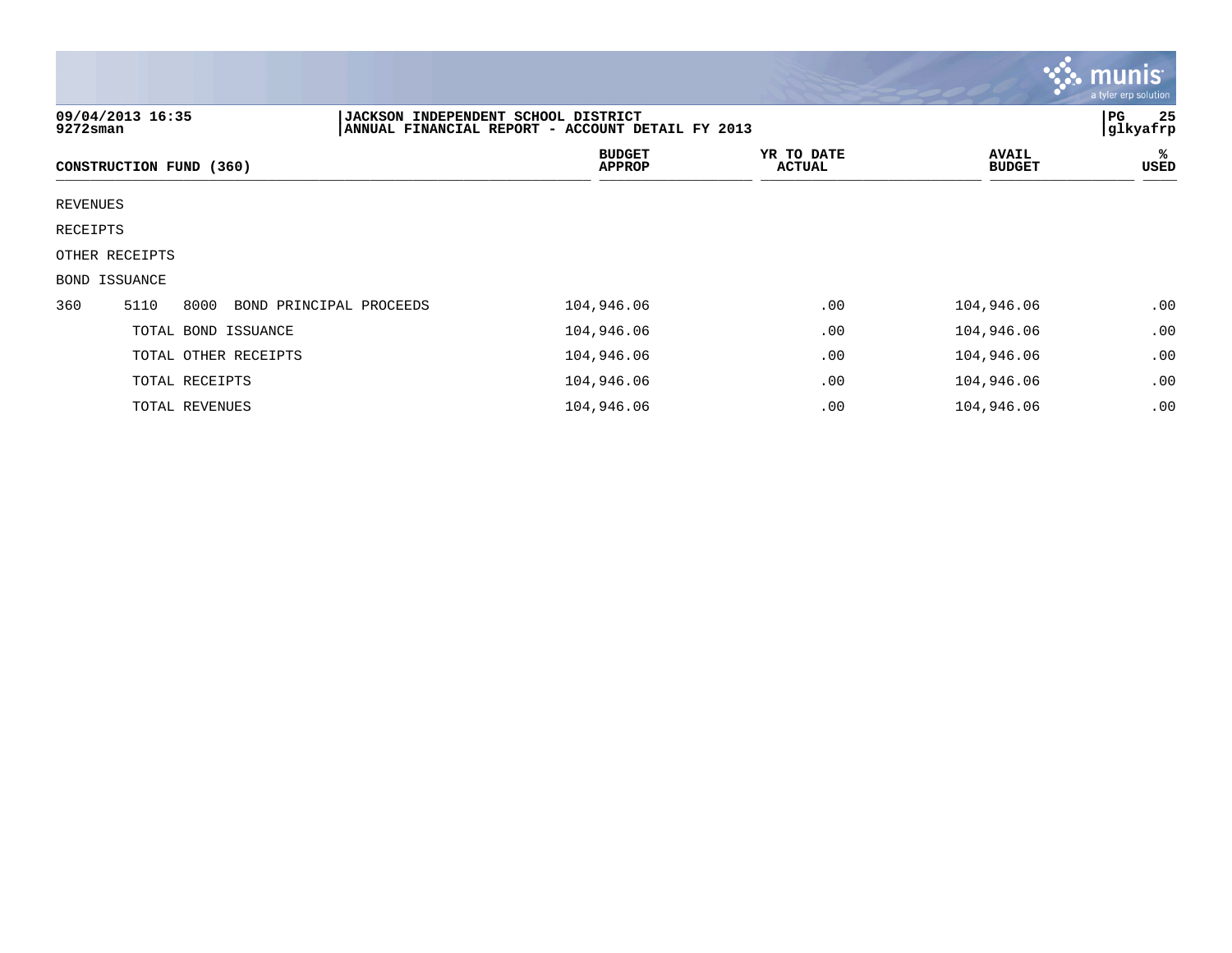|          |                                                                                                                            |                                |                             |                               | $\sim$ munis<br>a tyler erp solution |  |
|----------|----------------------------------------------------------------------------------------------------------------------------|--------------------------------|-----------------------------|-------------------------------|--------------------------------------|--|
|          | 09/04/2013 16:35<br>JACKSON INDEPENDENT SCHOOL DISTRICT<br>ANNUAL FINANCIAL REPORT - ACCOUNT DETAIL FY 2013<br>$9272$ sman |                                |                             |                               |                                      |  |
|          | CONSTRUCTION FUND (360)                                                                                                    | <b>BUDGET</b><br><b>APPROP</b> | YR TO DATE<br><b>ACTUAL</b> | <b>AVAIL</b><br><b>BUDGET</b> | ℁<br>USED                            |  |
| REVENUES |                                                                                                                            |                                |                             |                               |                                      |  |
| RECEIPTS |                                                                                                                            |                                |                             |                               |                                      |  |
|          | OTHER RECEIPTS                                                                                                             |                                |                             |                               |                                      |  |
|          | BOND ISSUANCE                                                                                                              |                                |                             |                               |                                      |  |
| 360      | 5110<br>8000<br>BOND PRINCIPAL PROCEEDS                                                                                    | 104,946.06                     | .00                         | 104,946.06                    | .00                                  |  |
|          | TOTAL BOND ISSUANCE                                                                                                        | 104,946.06                     | .00                         | 104,946.06                    | .00                                  |  |
|          | TOTAL OTHER RECEIPTS                                                                                                       | 104,946.06                     | .00                         | 104,946.06                    | .00                                  |  |
|          | TOTAL RECEIPTS                                                                                                             | 104,946.06                     | .00                         | 104,946.06                    | .00                                  |  |
|          | TOTAL REVENUES                                                                                                             | 104,946.06                     | .00                         | 104,946.06                    | .00                                  |  |

 $\mathcal{L}$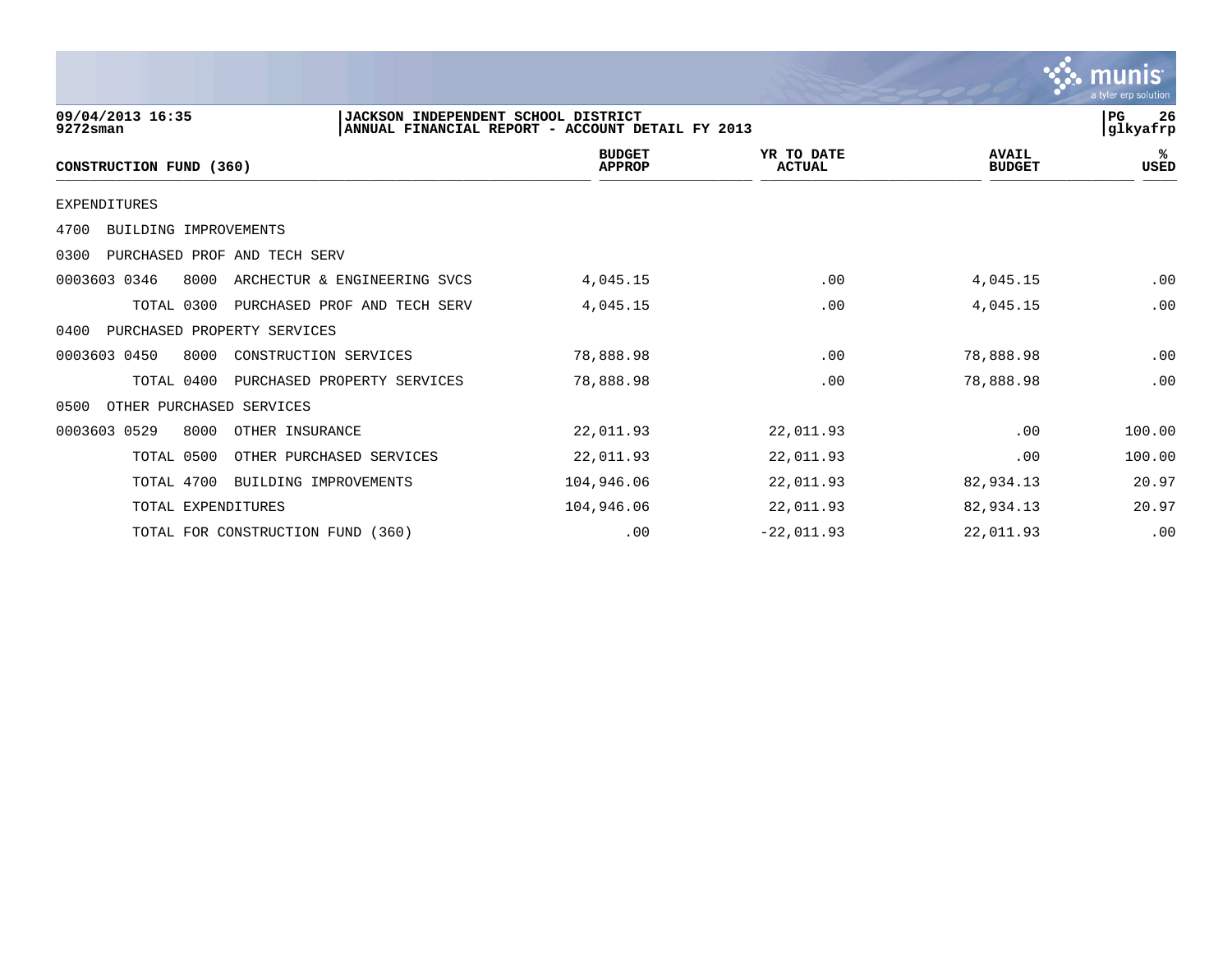|                                                                        |                                                  |                             |                               | a tyler erp solution    |
|------------------------------------------------------------------------|--------------------------------------------------|-----------------------------|-------------------------------|-------------------------|
| 09/04/2013 16:35<br>JACKSON INDEPENDENT SCHOOL DISTRICT<br>$9272$ sman | ANNUAL FINANCIAL REPORT - ACCOUNT DETAIL FY 2013 |                             |                               | l PG.<br>26<br>glkyafrp |
| CONSTRUCTION FUND (360)                                                | <b>BUDGET</b><br><b>APPROP</b>                   | YR TO DATE<br><b>ACTUAL</b> | <b>AVAIL</b><br><b>BUDGET</b> | ℁<br><b>USED</b>        |
| EXPENDITURES                                                           |                                                  |                             |                               |                         |
| BUILDING IMPROVEMENTS<br>4700                                          |                                                  |                             |                               |                         |
| PURCHASED PROF AND TECH SERV<br>0300                                   |                                                  |                             |                               |                         |
| 0003603 0346<br>8000<br>ARCHECTUR & ENGINEERING SVCS                   | 4,045.15                                         | .00                         | 4,045.15                      | .00                     |
| TOTAL 0300<br>PURCHASED PROF AND TECH SERV                             | 4,045.15                                         | .00                         | 4,045.15                      | .00                     |
| 0400<br>PURCHASED PROPERTY SERVICES                                    |                                                  |                             |                               |                         |
| 0003603 0450<br>8000<br>CONSTRUCTION SERVICES                          | 78,888.98                                        | .00                         | 78,888.98                     | .00                     |
| TOTAL 0400<br>PURCHASED PROPERTY SERVICES                              | 78,888.98                                        | .00                         | 78,888.98                     | .00                     |
| OTHER PURCHASED SERVICES<br>0500                                       |                                                  |                             |                               |                         |
| 0003603 0529<br>8000<br>OTHER INSURANCE                                | 22,011.93                                        | 22,011.93                   | .00                           | 100.00                  |
| TOTAL 0500<br>OTHER PURCHASED SERVICES                                 | 22,011.93                                        | 22,011.93                   | .00                           | 100.00                  |
| TOTAL 4700<br>BUILDING IMPROVEMENTS                                    | 104,946.06                                       | 22,011.93                   | 82,934.13                     | 20.97                   |
| TOTAL EXPENDITURES                                                     | 104,946.06                                       | 22,011.93                   | 82,934.13                     | 20.97                   |
| TOTAL FOR CONSTRUCTION FUND (360)                                      | .00                                              | $-22,011.93$                | 22,011.93                     | .00                     |

 $\therefore$  munis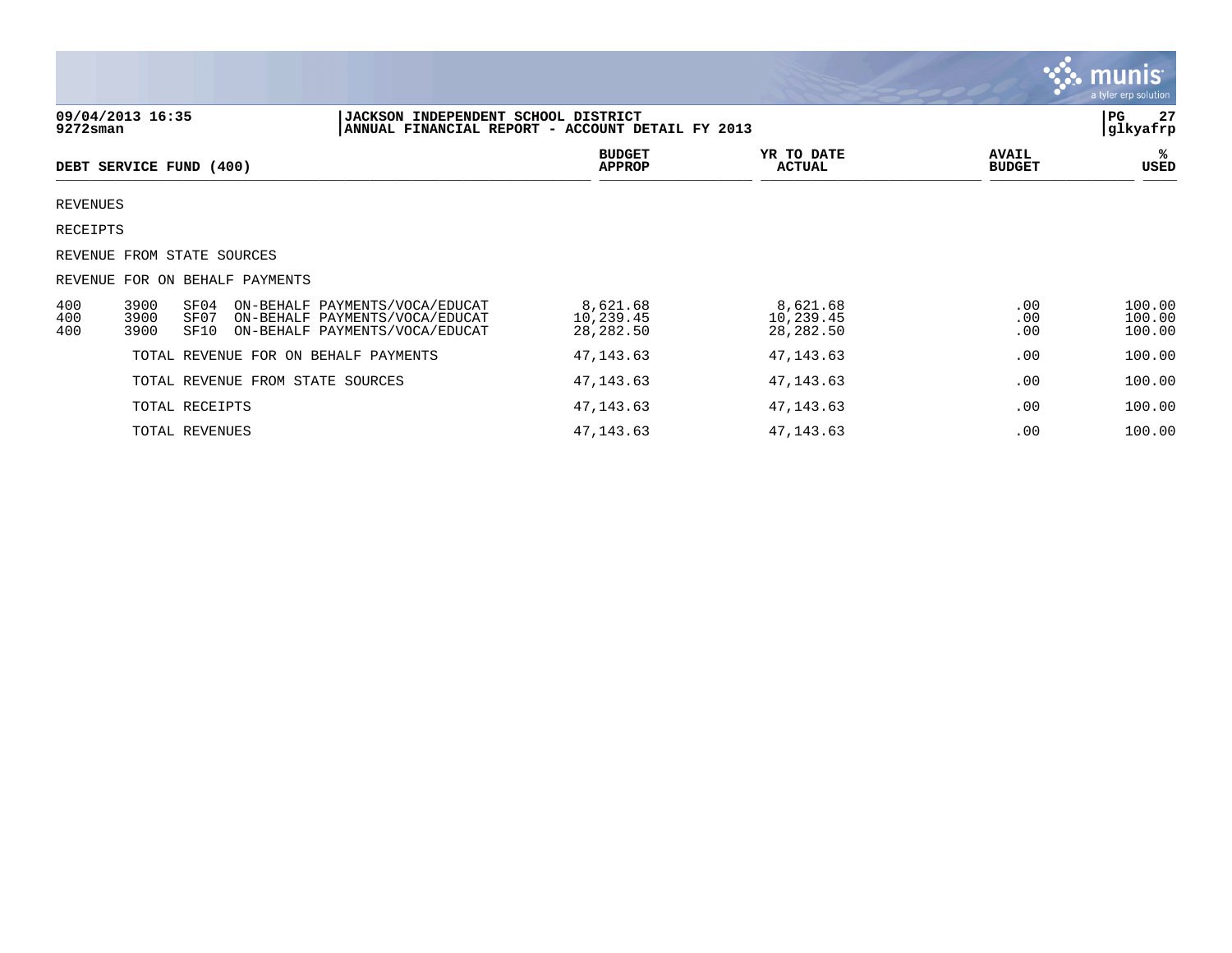|                   |                                                                                                                                                    |                                     |                                    |                               | <b>munis</b><br>a tyler erp solution |
|-------------------|----------------------------------------------------------------------------------------------------------------------------------------------------|-------------------------------------|------------------------------------|-------------------------------|--------------------------------------|
| $9272$ sman       | 09/04/2013 16:35<br> JACKSON INDEPENDENT SCHOOL DISTRICT<br>ANNUAL FINANCIAL REPORT - ACCOUNT DETAIL FY 2013                                       |                                     |                                    |                               | PG<br>27<br>glkyafrp                 |
|                   | DEBT SERVICE FUND (400)                                                                                                                            | <b>BUDGET</b><br><b>APPROP</b>      | YR TO DATE<br><b>ACTUAL</b>        | <b>AVAIL</b><br><b>BUDGET</b> | ℁<br>USED                            |
| <b>REVENUES</b>   |                                                                                                                                                    |                                     |                                    |                               |                                      |
| RECEIPTS          |                                                                                                                                                    |                                     |                                    |                               |                                      |
|                   | REVENUE FROM STATE SOURCES                                                                                                                         |                                     |                                    |                               |                                      |
|                   | REVENUE FOR ON BEHALF PAYMENTS                                                                                                                     |                                     |                                    |                               |                                      |
| 400<br>400<br>400 | 3900<br>SF04<br>ON-BEHALF PAYMENTS/VOCA/EDUCAT<br>3900<br>SF07<br>ON-BEHALF PAYMENTS/VOCA/EDUCAT<br>3900<br>SF10<br>ON-BEHALF PAYMENTS/VOCA/EDUCAT | 8,621.68<br>10,239.45<br>28, 282.50 | 8,621.68<br>10,239.45<br>28,282.50 | .00<br>.00<br>.00             | 100.00<br>100.00<br>100.00           |
|                   | TOTAL REVENUE FOR ON BEHALF PAYMENTS                                                                                                               | 47, 143.63                          | 47, 143.63                         | .00                           | 100.00                               |
|                   | TOTAL REVENUE FROM STATE SOURCES                                                                                                                   | 47,143.63                           | 47, 143.63                         | .00                           | 100.00                               |
|                   | TOTAL RECEIPTS                                                                                                                                     | 47, 143.63                          | 47, 143.63                         | .00                           | 100.00                               |
|                   | TOTAL REVENUES                                                                                                                                     | 47, 143.63                          | 47, 143.63                         | .00                           | 100.00                               |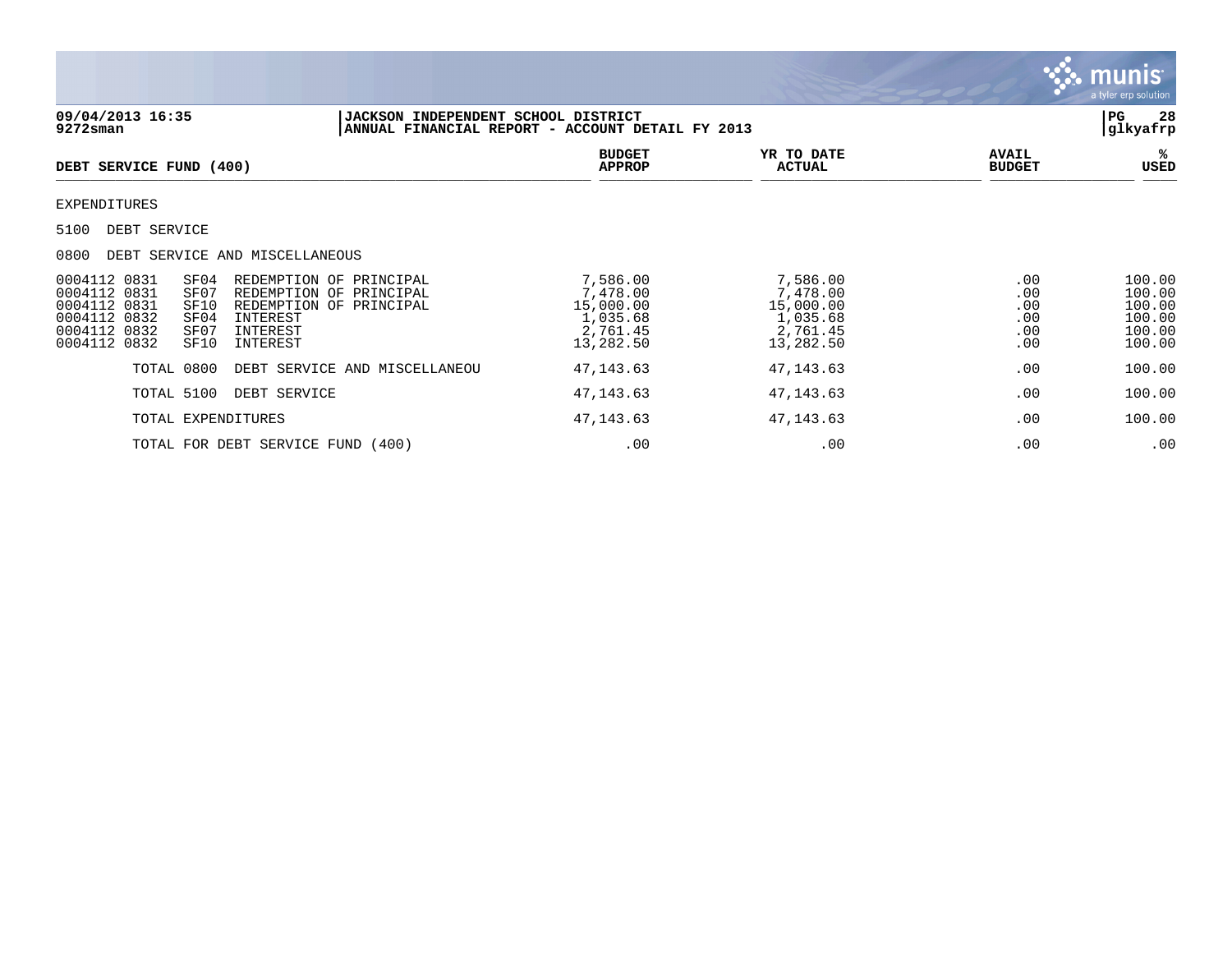

| 09/04/2013 16:35<br>$9272$ sman                                                                                                                                                  | <b>JACKSON INDEPENDENT SCHOOL DISTRICT</b>                                    | ANNUAL FINANCIAL REPORT - ACCOUNT DETAIL FY 2013                       |                                                                        |                                        | 28<br>  PG<br> glkyafrp                                  |
|----------------------------------------------------------------------------------------------------------------------------------------------------------------------------------|-------------------------------------------------------------------------------|------------------------------------------------------------------------|------------------------------------------------------------------------|----------------------------------------|----------------------------------------------------------|
| DEBT SERVICE FUND (400)                                                                                                                                                          |                                                                               | <b>BUDGET</b><br><b>APPROP</b>                                         | YR TO DATE<br><b>ACTUAL</b>                                            | <b>AVAIL</b><br><b>BUDGET</b>          | ℁<br>USED                                                |
| <b>EXPENDITURES</b>                                                                                                                                                              |                                                                               |                                                                        |                                                                        |                                        |                                                          |
| DEBT SERVICE<br>5100                                                                                                                                                             |                                                                               |                                                                        |                                                                        |                                        |                                                          |
| 0800<br>DEBT SERVICE AND MISCELLANEOUS                                                                                                                                           |                                                                               |                                                                        |                                                                        |                                        |                                                          |
| 0004112 0831<br>SF04<br>0004112 0831<br>SF07<br>0004112 0831<br>SF10<br>0004112 0832<br>SF04<br>INTEREST<br>0004112 0832<br>SF07<br>INTEREST<br>0004112 0832<br>SF10<br>INTEREST | REDEMPTION OF PRINCIPAL<br>REDEMPTION OF PRINCIPAL<br>REDEMPTION OF PRINCIPAL | 7,586.00<br>7,478.00<br>15,000.00<br>1,035.68<br>2,761.45<br>13,282.50 | 7,586.00<br>7,478.00<br>15,000.00<br>1,035.68<br>2,761.45<br>13,282.50 | .00<br>.00<br>.00<br>.00<br>.00<br>.00 | 100.00<br>100.00<br>100.00<br>100.00<br>100.00<br>100.00 |
| TOTAL 0800                                                                                                                                                                       | DEBT SERVICE AND MISCELLANEOU                                                 | 47, 143.63                                                             | 47, 143.63                                                             | .00                                    | 100.00                                                   |
| TOTAL 5100<br>DEBT SERVICE                                                                                                                                                       |                                                                               | 47, 143.63                                                             | 47, 143.63                                                             | .00                                    | 100.00                                                   |
| TOTAL EXPENDITURES                                                                                                                                                               |                                                                               | 47, 143.63                                                             | 47,143.63                                                              | .00                                    | 100.00                                                   |
| TOTAL FOR DEBT SERVICE FUND (400)                                                                                                                                                |                                                                               | .00                                                                    | .00                                                                    | .00                                    | .00                                                      |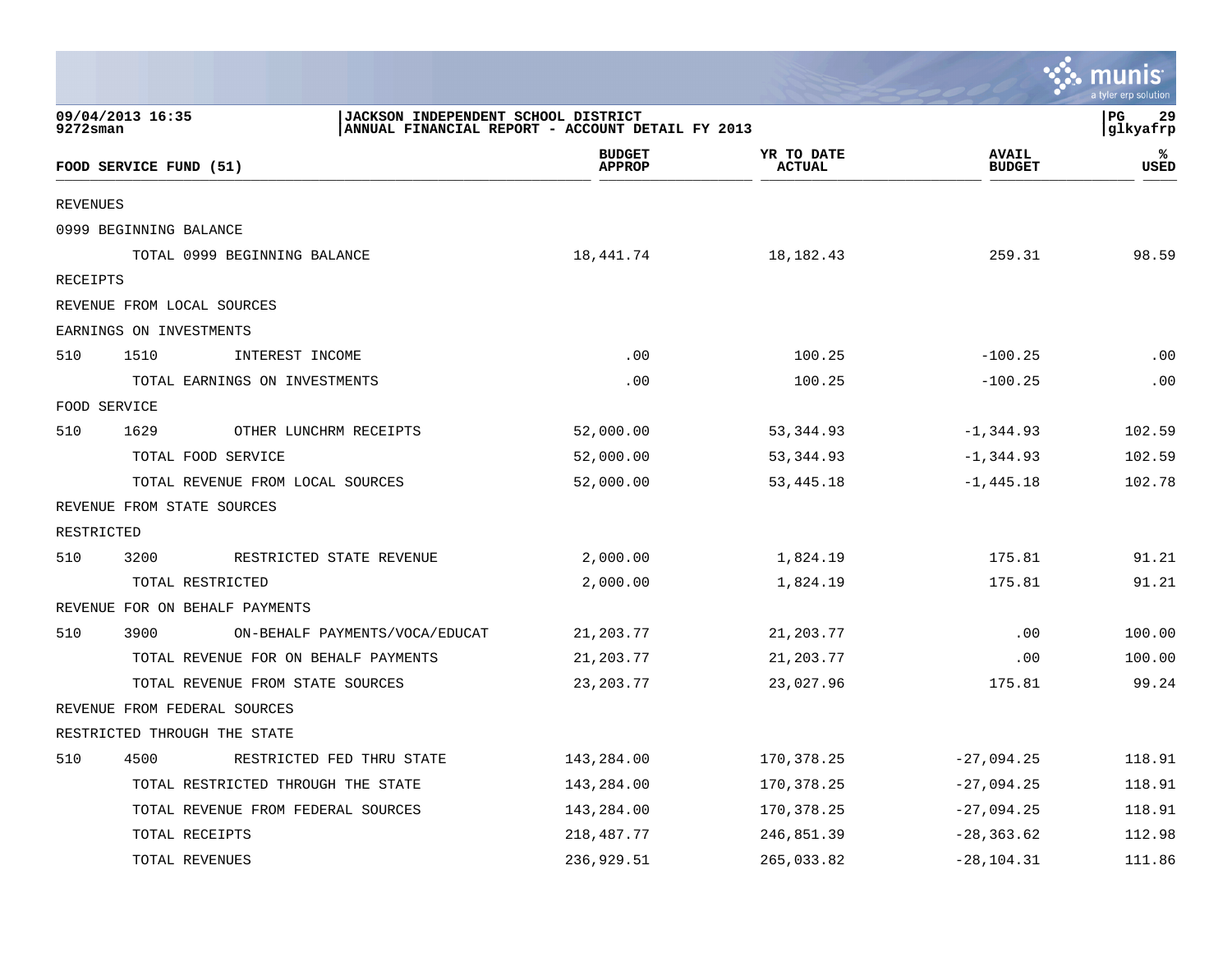|                                                                                                                                                        |                                        |                                |                             |                               | a tyler erp solution |
|--------------------------------------------------------------------------------------------------------------------------------------------------------|----------------------------------------|--------------------------------|-----------------------------|-------------------------------|----------------------|
| 09/04/2013 16:35<br>$_{\rm PG}$<br>JACKSON INDEPENDENT SCHOOL DISTRICT<br>$9272$ sman<br>ANNUAL FINANCIAL REPORT - ACCOUNT DETAIL FY 2013<br> glkyafrp |                                        |                                |                             |                               |                      |
|                                                                                                                                                        | FOOD SERVICE FUND (51)                 | <b>BUDGET</b><br><b>APPROP</b> | YR TO DATE<br><b>ACTUAL</b> | <b>AVAIL</b><br><b>BUDGET</b> | ℁<br>USED            |
| <b>REVENUES</b>                                                                                                                                        |                                        |                                |                             |                               |                      |
|                                                                                                                                                        | 0999 BEGINNING BALANCE                 |                                |                             |                               |                      |
|                                                                                                                                                        | TOTAL 0999 BEGINNING BALANCE           | 18,441.74                      | 18,182.43                   | 259.31                        | 98.59                |
| RECEIPTS                                                                                                                                               |                                        |                                |                             |                               |                      |
|                                                                                                                                                        | REVENUE FROM LOCAL SOURCES             |                                |                             |                               |                      |
|                                                                                                                                                        | EARNINGS ON INVESTMENTS                |                                |                             |                               |                      |
| 510                                                                                                                                                    | 1510<br>INTEREST INCOME                | .00                            | 100.25                      | $-100.25$                     | .00                  |
|                                                                                                                                                        | TOTAL EARNINGS ON INVESTMENTS          | .00                            | 100.25                      | $-100.25$                     | .00                  |
|                                                                                                                                                        | FOOD SERVICE                           |                                |                             |                               |                      |
| 510                                                                                                                                                    | 1629<br>OTHER LUNCHRM RECEIPTS         | 52,000.00                      | 53,344.93                   | $-1,344.93$                   | 102.59               |
|                                                                                                                                                        | TOTAL FOOD SERVICE                     | 52,000.00                      | 53,344.93                   | $-1,344.93$                   | 102.59               |
|                                                                                                                                                        | TOTAL REVENUE FROM LOCAL SOURCES       | 52,000.00                      | 53,445.18                   | $-1,445.18$                   | 102.78               |
|                                                                                                                                                        | REVENUE FROM STATE SOURCES             |                                |                             |                               |                      |
| RESTRICTED                                                                                                                                             |                                        |                                |                             |                               |                      |
| 510                                                                                                                                                    | 3200<br>RESTRICTED STATE REVENUE       | 2,000.00                       | 1,824.19                    | 175.81                        | 91.21                |
|                                                                                                                                                        | TOTAL RESTRICTED                       | 2,000.00                       | 1,824.19                    | 175.81                        | 91.21                |
|                                                                                                                                                        | REVENUE FOR ON BEHALF PAYMENTS         |                                |                             |                               |                      |
| 510                                                                                                                                                    | ON-BEHALF PAYMENTS/VOCA/EDUCAT<br>3900 | 21,203.77                      | 21,203.77                   | .00                           | 100.00               |
|                                                                                                                                                        | TOTAL REVENUE FOR ON BEHALF PAYMENTS   | 21,203.77                      | 21,203.77                   | .00                           | 100.00               |
|                                                                                                                                                        | TOTAL REVENUE FROM STATE SOURCES       | 23, 203. 77                    | 23,027.96                   | 175.81                        | 99.24                |
|                                                                                                                                                        | REVENUE FROM FEDERAL SOURCES           |                                |                             |                               |                      |
|                                                                                                                                                        | RESTRICTED THROUGH THE STATE           |                                |                             |                               |                      |
| 510                                                                                                                                                    | 4500<br>RESTRICTED FED THRU STATE      | 143,284.00                     | 170,378.25                  | $-27,094.25$                  | 118.91               |
|                                                                                                                                                        | TOTAL RESTRICTED THROUGH THE STATE     | 143,284.00                     | 170,378.25                  | $-27,094.25$                  | 118.91               |
|                                                                                                                                                        | TOTAL REVENUE FROM FEDERAL SOURCES     | 143,284.00                     | 170,378.25                  | $-27,094.25$                  | 118.91               |
|                                                                                                                                                        | TOTAL RECEIPTS                         | 218, 487. 77                   | 246,851.39                  | $-28, 363.62$                 | 112.98               |
|                                                                                                                                                        | TOTAL REVENUES                         | 236,929.51                     | 265,033.82                  | $-28, 104.31$                 | 111.86               |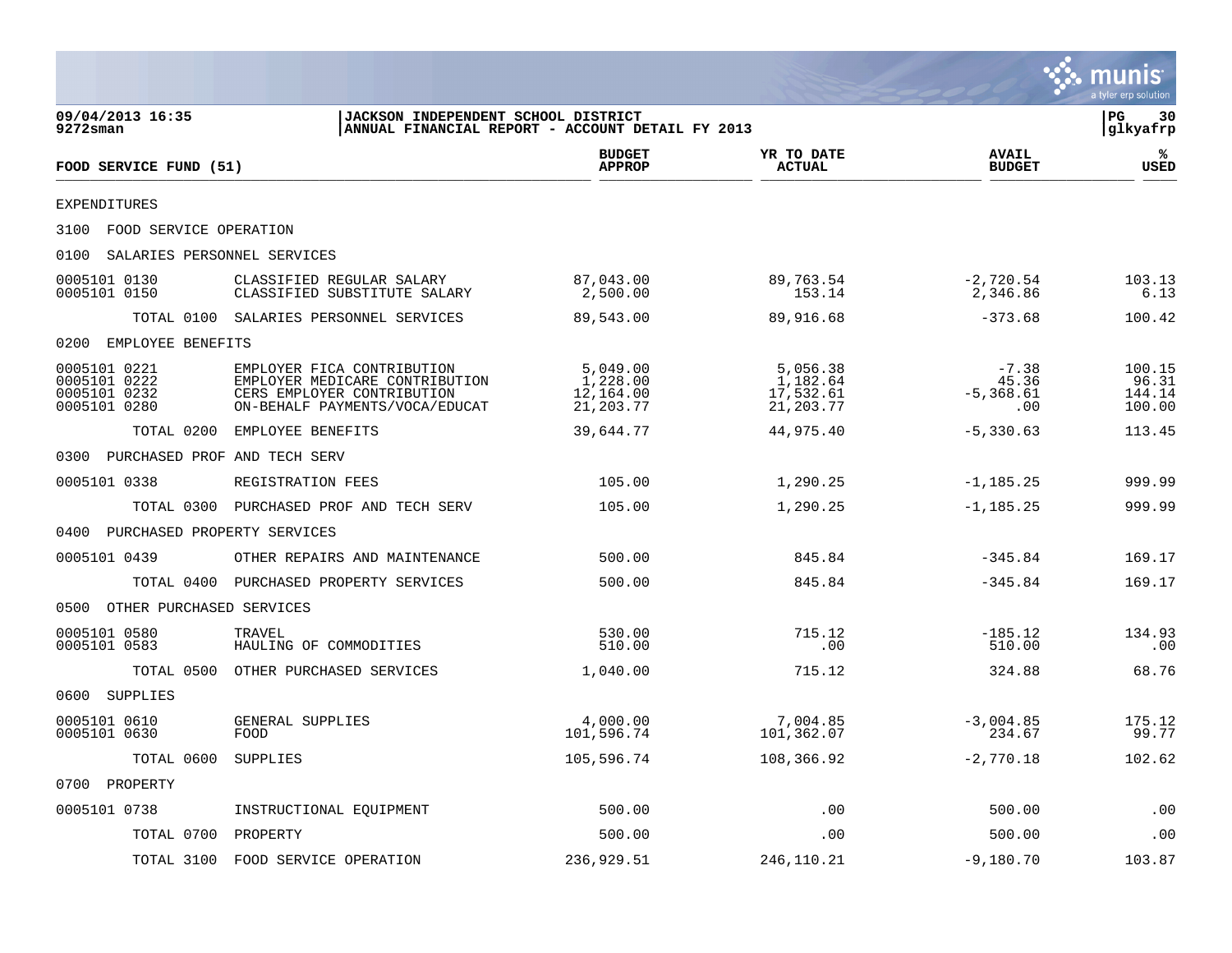|                                                                                                                                   |                                                                                                                              |                                                 |                                                |                                         | munis<br>a tyler erp solution       |  |
|-----------------------------------------------------------------------------------------------------------------------------------|------------------------------------------------------------------------------------------------------------------------------|-------------------------------------------------|------------------------------------------------|-----------------------------------------|-------------------------------------|--|
| 09/04/2013 16:35<br><b>JACKSON INDEPENDENT SCHOOL DISTRICT</b><br>ANNUAL FINANCIAL REPORT - ACCOUNT DETAIL FY 2013<br>$9272$ sman |                                                                                                                              |                                                 |                                                |                                         |                                     |  |
| FOOD SERVICE FUND (51)                                                                                                            |                                                                                                                              | <b>BUDGET</b><br><b>APPROP</b>                  | YR TO DATE<br><b>ACTUAL</b>                    | <b>AVAIL</b><br><b>BUDGET</b>           | ℁<br><b>USED</b>                    |  |
| <b>EXPENDITURES</b>                                                                                                               |                                                                                                                              |                                                 |                                                |                                         |                                     |  |
| 3100<br>FOOD SERVICE OPERATION                                                                                                    |                                                                                                                              |                                                 |                                                |                                         |                                     |  |
| 0100<br>SALARIES PERSONNEL SERVICES                                                                                               |                                                                                                                              |                                                 |                                                |                                         |                                     |  |
| 0005101 0130<br>0005101 0150                                                                                                      | CLASSIFIED REGULAR SALARY<br>CLASSIFIED SUBSTITUTE SALARY                                                                    | 87,043.00<br>2,500.00                           | 89,763.54<br>153.14                            | $-2,720.54$<br>2,346.86                 | 103.13<br>6.13                      |  |
| TOTAL 0100                                                                                                                        | SALARIES PERSONNEL SERVICES                                                                                                  | 89,543.00                                       | 89,916.68                                      | $-373.68$                               | 100.42                              |  |
| EMPLOYEE BENEFITS<br>0200                                                                                                         |                                                                                                                              |                                                 |                                                |                                         |                                     |  |
| 0005101 0221<br>0005101 0222<br>0005101 0232<br>0005101 0280                                                                      | EMPLOYER FICA CONTRIBUTION<br>EMPLOYER MEDICARE CONTRIBUTION<br>CERS EMPLOYER CONTRIBUTION<br>ON-BEHALF PAYMENTS/VOCA/EDUCAT | 5,049.00<br>1,228.00<br>12,164.00<br>21, 203.77 | 5,056.38<br>1,182.64<br>17,532.61<br>21,203.77 | $-7.38$<br>45.36<br>$-5, 368.61$<br>.00 | 100.15<br>96.31<br>144.14<br>100.00 |  |
| TOTAL 0200                                                                                                                        | EMPLOYEE BENEFITS                                                                                                            | 39,644.77                                       | 44,975.40                                      | $-5,330.63$                             | 113.45                              |  |
| PURCHASED PROF AND TECH SERV<br>0300                                                                                              |                                                                                                                              |                                                 |                                                |                                         |                                     |  |
| 0005101 0338                                                                                                                      | REGISTRATION FEES                                                                                                            | 105.00                                          | 1,290.25                                       | $-1, 185.25$                            | 999.99                              |  |
| TOTAL 0300                                                                                                                        | PURCHASED PROF AND TECH SERV                                                                                                 | 105.00                                          | 1,290.25                                       | $-1, 185.25$                            | 999.99                              |  |
| PURCHASED PROPERTY SERVICES<br>0400                                                                                               |                                                                                                                              |                                                 |                                                |                                         |                                     |  |
| 0005101 0439                                                                                                                      | OTHER REPAIRS AND MAINTENANCE                                                                                                | 500.00                                          | 845.84                                         | $-345.84$                               | 169.17                              |  |
| TOTAL 0400                                                                                                                        | PURCHASED PROPERTY SERVICES                                                                                                  | 500.00                                          | 845.84                                         | $-345.84$                               | 169.17                              |  |
| OTHER PURCHASED SERVICES<br>0500                                                                                                  |                                                                                                                              |                                                 |                                                |                                         |                                     |  |
| 0005101 0580<br>0005101 0583                                                                                                      | TRAVEL<br>HAULING OF COMMODITIES                                                                                             | 530.00<br>510.00                                | 715.12<br>.00                                  | $-185.12$<br>510.00                     | 134.93<br>.00                       |  |
| TOTAL 0500                                                                                                                        | OTHER PURCHASED SERVICES                                                                                                     | 1,040.00                                        | 715.12                                         | 324.88                                  | 68.76                               |  |
| SUPPLIES<br>0600                                                                                                                  |                                                                                                                              |                                                 |                                                |                                         |                                     |  |
| 0005101 0610<br>0005101 0630                                                                                                      | GENERAL SUPPLIES<br>FOOD                                                                                                     | 4,000.00<br>101,596.74                          | 7,004.85<br>101,362.07                         | $-3,004.85$<br>234.67                   | 175.12<br>99.77                     |  |
| TOTAL 0600 SUPPLIES                                                                                                               |                                                                                                                              | 105,596.74                                      | 108,366.92                                     | $-2,770.18$                             | 102.62                              |  |
| 0700 PROPERTY                                                                                                                     |                                                                                                                              |                                                 |                                                |                                         |                                     |  |
| 0005101 0738                                                                                                                      | INSTRUCTIONAL EQUIPMENT                                                                                                      | 500.00                                          | .00                                            | 500.00                                  | .00                                 |  |
| TOTAL 0700                                                                                                                        | PROPERTY                                                                                                                     | 500.00                                          | .00                                            | 500.00                                  | $\boldsymbol{\mathsf{.00}}$         |  |
| TOTAL 3100                                                                                                                        | FOOD SERVICE OPERATION                                                                                                       | 236,929.51                                      | 246,110.21                                     | $-9,180.70$                             | 103.87                              |  |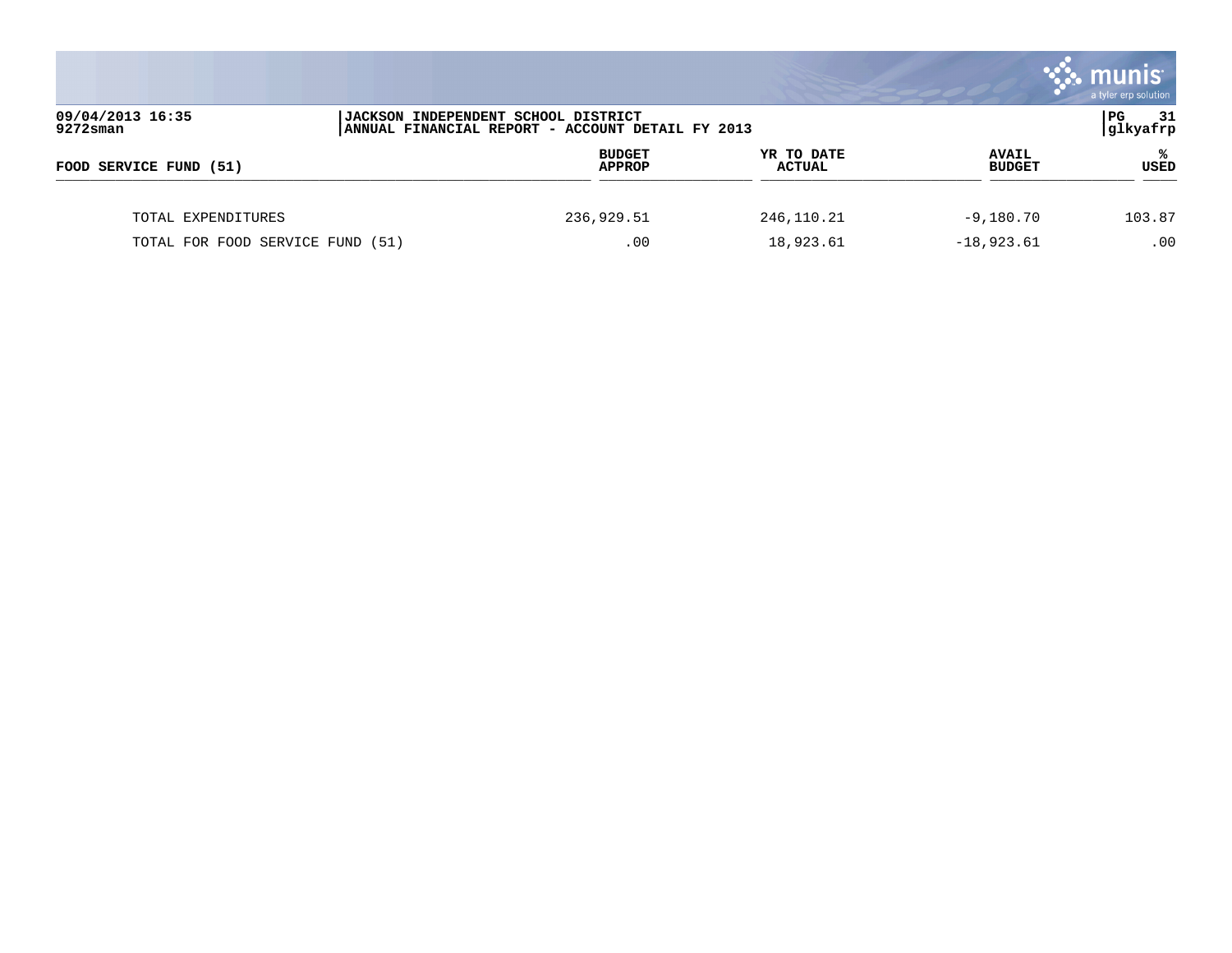|                                                                                                                            |  |                                |                             |                               | munis <sup>®</sup><br>a tyler erp solution |
|----------------------------------------------------------------------------------------------------------------------------|--|--------------------------------|-----------------------------|-------------------------------|--------------------------------------------|
| 09/04/2013 16:35<br>JACKSON INDEPENDENT SCHOOL DISTRICT<br>$9272$ sman<br>ANNUAL FINANCIAL REPORT - ACCOUNT DETAIL FY 2013 |  |                                |                             |                               | PG<br>- 31<br>glkyafrp                     |
| FOOD SERVICE FUND (51)                                                                                                     |  | <b>BUDGET</b><br><b>APPROP</b> | YR TO DATE<br><b>ACTUAL</b> | <b>AVAIL</b><br><b>BUDGET</b> | ℁<br><b>USED</b>                           |
| TOTAL EXPENDITURES                                                                                                         |  | 236,929.51                     | 246, 110. 21                | $-9,180.70$                   | 103.87                                     |
| TOTAL FOR FOOD SERVICE FUND (51)                                                                                           |  | .00                            | 18,923.61                   | $-18,923.61$                  | .00                                        |